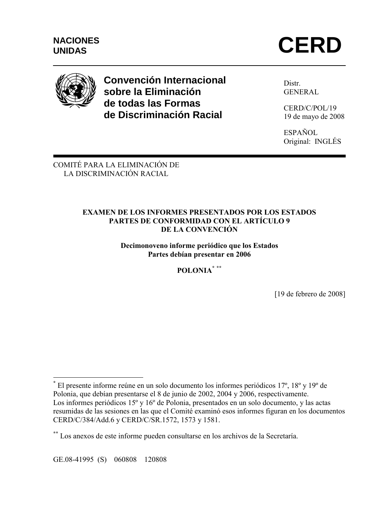



# **Convención Internacional sobre la Eliminación de todas las Formas de Discriminación Racial**

Distr. GENERAL

CERD/C/POL/19 19 de mayo de 2008

ESPAÑOL Original: INGLÉS

COMITÉ PARA LA ELIMINACIÓN DE LA DISCRIMINACIÓN RACIAL

## **EXAMEN DE LOS INFORMES PRESENTADOS POR LOS ESTADOS PARTES DE CONFORMIDAD CON EL ARTÍCULO 9 DE LA CONVENCIÓN**

**Decimonoveno informe periódico que los Estados Partes debían presentar en 2006** 

**POLONIA\* \*\***

[19 de febrero de 2008]

 $\overline{a}$ **\*** El presente informe reúne en un solo documento los informes periódicos 17º, 18º y 19º de Polonia, que debían presentarse el 8 de junio de 2002, 2004 y 2006, respectivamente. Los informes periódicos 15º y 16º de Polonia, presentados en un solo documento, y las actas resumidas de las sesiones en las que el Comité examinó esos informes figuran en los documentos CERD/C/384/Add.6 y CERD/C/SR.1572, 1573 y 1581.

**<sup>\*\*</sup>** Los anexos de este informe pueden consultarse en los archivos de la Secretaría.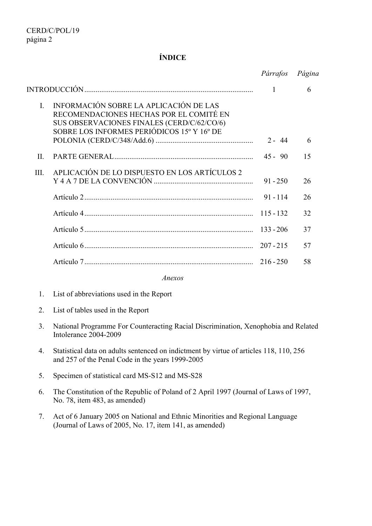## **ÍNDICE**

|                                                                                                                                                                                                                       | Párrafos    | Página |
|-----------------------------------------------------------------------------------------------------------------------------------------------------------------------------------------------------------------------|-------------|--------|
|                                                                                                                                                                                                                       | 1           | 6      |
| INFORMACIÓN SOBRE LA APLICACIÓN DE LAS<br>$\mathbf{L}$<br>RECOMENDACIONES HECHAS POR EL COMITÉ EN<br>SUS OBSERVACIONES FINALES (CERD/C/62/CO/6)<br>SOBRE LOS INFORMES PERIÓDICOS 15 <sup>°</sup> Y 16 <sup>°</sup> DE | $2 - 44$    | 6      |
|                                                                                                                                                                                                                       |             |        |
| II.                                                                                                                                                                                                                   | $45 - 90$   | 15     |
| APLICACIÓN DE LO DISPUESTO EN LOS ARTÍCULOS 2<br>III.                                                                                                                                                                 | $91 - 250$  | 26     |
|                                                                                                                                                                                                                       | $91 - 114$  | 26     |
|                                                                                                                                                                                                                       | $115 - 132$ | 32     |
|                                                                                                                                                                                                                       | $133 - 206$ | 37     |
|                                                                                                                                                                                                                       | $207 - 215$ | 57     |
|                                                                                                                                                                                                                       | $216 - 250$ | 58     |

*Anexos* 

- 1. List of abbreviations used in the Report
- 2. List of tables used in the Report
- 3. National Programme For Counteracting Racial Discrimination, Xenophobia and Related Intolerance 2004-2009
- 4. Statistical data on adults sentenced on indictment by virtue of articles 118, 110, 256 and 257 of the Penal Code in the years 1999-2005
- 5. Specimen of statistical card MS-S12 and MS-S28
- 6. The Constitution of the Republic of Poland of 2 April 1997 (Journal of Laws of 1997, No. 78, item 483, as amended)
- 7. Act of 6 January 2005 on National and Ethnic Minorities and Regional Language (Journal of Laws of 2005, No. 17, item 141, as amended)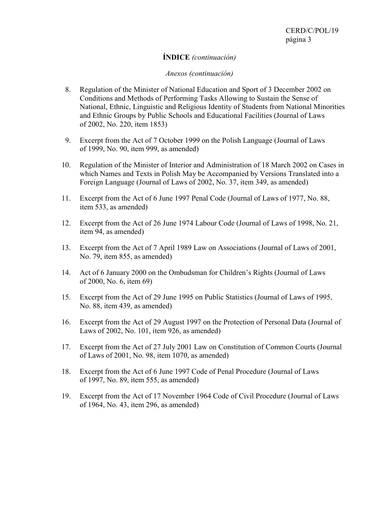# **ÍNDICE** *(continuación)*

#### *Anexos (continuación)*

- 8. Regulation of the Minister of National Education and Sport of 3 December 2002 on Conditions and Methods of Performing Tasks Allowing to Sustain the Sense of National, Ethnic, Linguistic and Religious Identity of Students from National Minorities and Ethnic Groups by Public Schools and Educational Facilities (Journal of Laws of 2002, No. 220, item 1853)
- 9. Excerpt from the Act of 7 October 1999 on the Polish Language (Journal of Laws of 1999, No. 90, item 999, as amended)
- 10. Regulation of the Minister of Interior and Administration of 18 March 2002 on Cases in which Names and Texts in Polish May be Accompanied by Versions Translated into a Foreign Language (Journal of Laws of 2002, No. 37, item 349, as amended)
- 11. Excerpt from the Act of 6 June 1997 Penal Code (Journal of Laws of 1977, No. 88, item 533, as amended)
- 12. Excerpt from the Act of 26 June 1974 Labour Code (Journal of Laws of 1998, No. 21, item 94, as amended)
- 13. Excerpt from the Act of 7 April 1989 Law on Associations (Journal of Laws of 2001, No. 79, item 855, as amended)
- 14. Act of 6 January 2000 on the Ombudsman for Children's Rights (Journal of Laws of 2000, No. 6, item 69)
- 15. Excerpt from the Act of 29 June 1995 on Public Statistics (Journal of Laws of 1995, No. 88, item 439, as amended)
- 16. Excerpt from the Act of 29 August 1997 on the Protection of Personal Data (Journal of Laws of 2002, No. 101, item 926, as amended)
- 17. Excerpt from the Act of 27 July 2001 Law on Constitution of Common Courts (Journal of Laws of 2001, No. 98, item 1070, as amended)
- 18. Excerpt from the Act of 6 June 1997 Code of Penal Procedure (Journal of Laws of 1997, No. 89, item 555, as amended)
- 19. Excerpt from the Act of 17 November 1964 Code of Civil Procedure (Journal of Laws of 1964, No. 43, item 296, as amended)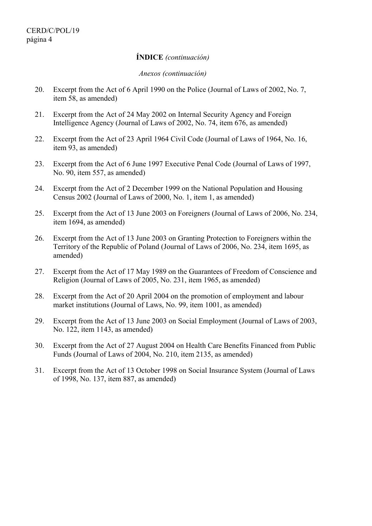#### **ÍNDICE** *(continuación)*

#### *Anexos (continuación)*

- 20. Excerpt from the Act of 6 April 1990 on the Police (Journal of Laws of 2002, No. 7, item 58, as amended)
- 21. Excerpt from the Act of 24 May 2002 on Internal Security Agency and Foreign Intelligence Agency (Journal of Laws of 2002, No. 74, item 676, as amended)
- 22. Excerpt from the Act of 23 April 1964 Civil Code (Journal of Laws of 1964, No. 16, item 93, as amended)
- 23. Excerpt from the Act of 6 June 1997 Executive Penal Code (Journal of Laws of 1997, No. 90, item 557, as amended)
- 24. Excerpt from the Act of 2 December 1999 on the National Population and Housing Census 2002 (Journal of Laws of 2000, No. 1, item 1, as amended)
- 25. Excerpt from the Act of 13 June 2003 on Foreigners (Journal of Laws of 2006, No. 234, item 1694, as amended)
- 26. Excerpt from the Act of 13 June 2003 on Granting Protection to Foreigners within the Territory of the Republic of Poland (Journal of Laws of 2006, No. 234, item 1695, as amended)
- 27. Excerpt from the Act of 17 May 1989 on the Guarantees of Freedom of Conscience and Religion (Journal of Laws of 2005, No. 231, item 1965, as amended)
- 28. Excerpt from the Act of 20 April 2004 on the promotion of employment and labour market institutions (Journal of Laws, No. 99, item 1001, as amended)
- 29. Excerpt from the Act of 13 June 2003 on Social Employment (Journal of Laws of 2003, No. 122, item 1143, as amended)
- 30. Excerpt from the Act of 27 August 2004 on Health Care Benefits Financed from Public Funds (Journal of Laws of 2004, No. 210, item 2135, as amended)
- 31. Excerpt from the Act of 13 October 1998 on Social Insurance System (Journal of Laws of 1998, No. 137, item 887, as amended)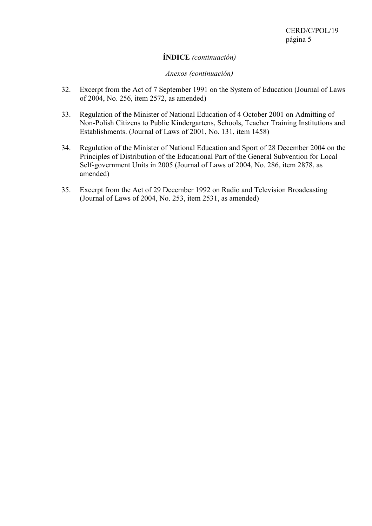# **ÍNDICE** *(continuación)*

#### *Anexos (continuación)*

- 32. Excerpt from the Act of 7 September 1991 on the System of Education (Journal of Laws of 2004, No. 256, item 2572, as amended)
- 33. Regulation of the Minister of National Education of 4 October 2001 on Admitting of Non-Polish Citizens to Public Kindergartens, Schools, Teacher Training Institutions and Establishments. (Journal of Laws of 2001, No. 131, item 1458)
- 34. Regulation of the Minister of National Education and Sport of 28 December 2004 on the Principles of Distribution of the Educational Part of the General Subvention for Local Self-government Units in 2005 (Journal of Laws of 2004, No. 286, item 2878, as amended)
- 35. Excerpt from the Act of 29 December 1992 on Radio and Television Broadcasting (Journal of Laws of 2004, No. 253, item 2531, as amended)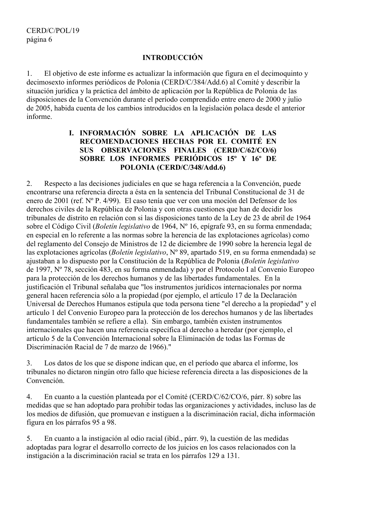# **INTRODUCCIÓN**

1. El objetivo de este informe es actualizar la información que figura en el decimoquinto y decimosexto informes periódicos de Polonia (CERD/C/384/Add.6) al Comité y describir la situación jurídica y la práctica del ámbito de aplicación por la República de Polonia de las disposiciones de la Convención durante el período comprendido entre enero de 2000 y julio de 2005, habida cuenta de los cambios introducidos en la legislación polaca desde el anterior informe.

## **I. INFORMACIÓN SOBRE LA APLICACIÓN DE LAS RECOMENDACIONES HECHAS POR EL COMITÉ EN SUS OBSERVACIONES FINALES (CERD/C/62/CO/6) SOBRE LOS INFORMES PERIÓDICOS 15º Y 16º DE POLONIA (CERD/C/348/Add.6)**

2. Respecto a las decisiones judiciales en que se haga referencia a la Convención, puede encontrarse una referencia directa a ésta en la sentencia del Tribunal Constitucional de 31 de enero de 2001 (ref. Nº P. 4/99). El caso tenía que ver con una moción del Defensor de los derechos civiles de la República de Polonia y con otras cuestiones que han de decidir los tribunales de distrito en relación con si las disposiciones tanto de la Ley de 23 de abril de 1964 sobre el Código Civil (*Boletín legislativo* de 1964, Nº 16, epígrafe 93, en su forma enmendada; en especial en lo referente a las normas sobre la herencia de las explotaciones agrícolas) como del reglamento del Consejo de Ministros de 12 de diciembre de 1990 sobre la herencia legal de las explotaciones agrícolas (*Boletín legislativo*, Nº 89, apartado 519, en su forma enmendada) se ajustaban a lo dispuesto por la Constitución de la República de Polonia (*Boletín legislativo* de 1997, Nº 78, sección 483, en su forma enmendada) y por el Protocolo I al Convenio Europeo para la protección de los derechos humanos y de las libertades fundamentales. En la justificación el Tribunal señalaba que "los instrumentos jurídicos internacionales por norma general hacen referencia sólo a la propiedad (por ejemplo, el artículo 17 de la Declaración Universal de Derechos Humanos estipula que toda persona tiene "el derecho a la propiedad" y el artículo 1 del Convenio Europeo para la protección de los derechos humanos y de las libertades fundamentales también se refiere a ella). Sin embargo, también existen instrumentos internacionales que hacen una referencia específica al derecho a heredar (por ejemplo, el artículo 5 de la Convención Internacional sobre la Eliminación de todas las Formas de Discriminación Racial de 7 de marzo de 1966)."

3. Los datos de los que se dispone indican que, en el período que abarca el informe, los tribunales no dictaron ningún otro fallo que hiciese referencia directa a las disposiciones de la Convención.

4. En cuanto a la cuestión planteada por el Comité (CERD/C/62/CO/6, párr. 8) sobre las medidas que se han adoptado para prohibir todas las organizaciones y actividades, incluso las de los medios de difusión, que promuevan e instiguen a la discriminación racial, dicha información figura en los párrafos 95 a 98.

5. En cuanto a la instigación al odio racial (ibíd., párr. 9), la cuestión de las medidas adoptadas para lograr el desarrollo correcto de los juicios en los casos relacionados con la instigación a la discriminación racial se trata en los párrafos 129 a 131.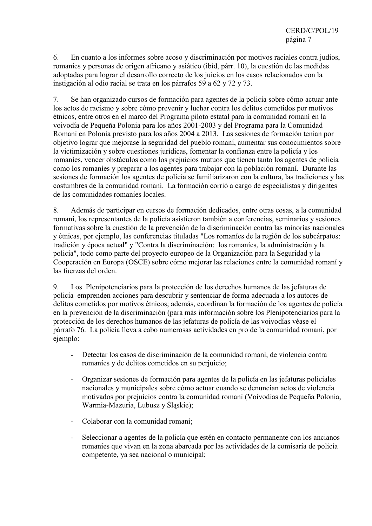6. En cuanto a los informes sobre acoso y discriminación por motivos raciales contra judíos, romaníes y personas de origen africano y asiático (ibíd, párr. 10), la cuestión de las medidas adoptadas para lograr el desarrollo correcto de los juicios en los casos relacionados con la instigación al odio racial se trata en los párrafos 59 a 62 y 72 y 73.

7. Se han organizado cursos de formación para agentes de la policía sobre cómo actuar ante los actos de racismo y sobre cómo prevenir y luchar contra los delitos cometidos por motivos étnicos, entre otros en el marco del Programa piloto estatal para la comunidad romaní en la voivodía de Pequeña Polonia para los años 2001-2003 y del Programa para la Comunidad Romaní en Polonia previsto para los años 2004 a 2013. Las sesiones de formación tenían por objetivo lograr que mejorase la seguridad del pueblo romaní, aumentar sus conocimientos sobre la victimización y sobre cuestiones jurídicas, fomentar la confianza entre la policía y los romaníes, vencer obstáculos como los prejuicios mutuos que tienen tanto los agentes de policía como los romaníes y preparar a los agentes para trabajar con la población romaní. Durante las sesiones de formación los agentes de policía se familiarizaron con la cultura, las tradiciones y las costumbres de la comunidad romaní. La formación corrió a cargo de especialistas y dirigentes de las comunidades romaníes locales.

8. Además de participar en cursos de formación dedicados, entre otras cosas, a la comunidad romaní, los representantes de la policía asistieron también a conferencias, seminarios y sesiones formativas sobre la cuestión de la prevención de la discriminación contra las minorías nacionales y étnicas, por ejemplo, las conferencias tituladas "Los romaníes de la región de los subcárpatos: tradición y época actual" y "Contra la discriminación: los romaníes, la administración y la policía", todo como parte del proyecto europeo de la Organización para la Seguridad y la Cooperación en Europa (OSCE) sobre cómo mejorar las relaciones entre la comunidad romaní y las fuerzas del orden.

9. Los Plenipotenciarios para la protección de los derechos humanos de las jefaturas de policía emprenden acciones para descubrir y sentenciar de forma adecuada a los autores de delitos cometidos por motivos étnicos; además, coordinan la formación de los agentes de policía en la prevención de la discriminación (para más información sobre los Plenipotenciarios para la protección de los derechos humanos de las jefaturas de policía de las voivodías véase el párrafo 76. La policía lleva a cabo numerosas actividades en pro de la comunidad romaní, por ejemplo:

- Detectar los casos de discriminación de la comunidad romaní, de violencia contra romaníes y de delitos cometidos en su perjuicio;
- Organizar sesiones de formación para agentes de la policía en las jefaturas policiales nacionales y municipales sobre cómo actuar cuando se denuncian actos de violencia motivados por prejuicios contra la comunidad romaní (Voivodías de Pequeña Polonia, Warmia-Mazuria, Lubusz y Śląskie);
- Colaborar con la comunidad romaní;
- Seleccionar a agentes de la policía que estén en contacto permanente con los ancianos romaníes que vivan en la zona abarcada por las actividades de la comisaría de policía competente, ya sea nacional o municipal;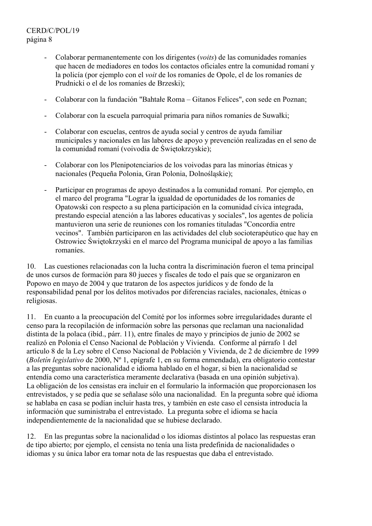# CERD/C/POL/19 página 8

- Colaborar permanentemente con los dirigentes (*voits*) de las comunidades romaníes que hacen de mediadores en todos los contactos oficiales entre la comunidad romaní y la policía (por ejemplo con el *voit* de los romaníes de Opole, el de los romaníes de Prudnicki o el de los romaníes de Brzeski);
- Colaborar con la fundación "Bahtałe Roma Gitanos Felices", con sede en Poznan;
- Colaborar con la escuela parroquial primaria para niños romaníes de Suwałki;
- Colaborar con escuelas, centros de ayuda social y centros de ayuda familiar municipales y nacionales en las labores de apoyo y prevención realizadas en el seno de la comunidad romaní (voivodía de Świętokrzyskie);
- Colaborar con los Plenipotenciarios de los voivodas para las minorías étnicas y nacionales (Pequeña Polonia, Gran Polonia, Dolnośląskie);
- Participar en programas de apoyo destinados a la comunidad romaní. Por ejemplo, en el marco del programa "Lograr la igualdad de oportunidades de los romaníes de Opatowski con respecto a su plena participación en la comunidad cívica integrada, prestando especial atención a las labores educativas y sociales", los agentes de policía mantuvieron una serie de reuniones con los romaníes tituladas "Concordia entre vecinos". También participaron en las actividades del club socioterapéutico que hay en Ostrowiec Świętokrzyski en el marco del Programa municipal de apoyo a las familias romaníes.

10. Las cuestiones relacionadas con la lucha contra la discriminación fueron el tema principal de unos cursos de formación para 80 jueces y fiscales de todo el país que se organizaron en Popowo en mayo de 2004 y que trataron de los aspectos jurídicos y de fondo de la responsabilidad penal por los delitos motivados por diferencias raciales, nacionales, étnicas o religiosas.

11. En cuanto a la preocupación del Comité por los informes sobre irregularidades durante el censo para la recopilación de información sobre las personas que reclaman una nacionalidad distinta de la polaca (ibíd., párr. 11), entre finales de mayo y principios de junio de 2002 se realizó en Polonia el Censo Nacional de Población y Vivienda. Conforme al párrafo 1 del artículo 8 de la Ley sobre el Censo Nacional de Población y Vivienda, de 2 de diciembre de 1999 (*Boletín legislativo* de 2000, Nº 1, epígrafe 1, en su forma enmendada), era obligatorio contestar a las preguntas sobre nacionalidad e idioma hablado en el hogar, si bien la nacionalidad se entendía como una característica meramente declarativa (basada en una opinión subjetiva). La obligación de los censistas era incluir en el formulario la información que proporcionasen los entrevistados, y se pedía que se señalase sólo una nacionalidad. En la pregunta sobre qué idioma se hablaba en casa se podían incluir hasta tres, y también en este caso el censista introducía la información que suministraba el entrevistado. La pregunta sobre el idioma se hacía independientemente de la nacionalidad que se hubiese declarado.

12. En las preguntas sobre la nacionalidad o los idiomas distintos al polaco las respuestas eran de tipo abierto; por ejemplo, el censista no tenía una lista predefinida de nacionalidades o idiomas y su única labor era tomar nota de las respuestas que daba el entrevistado.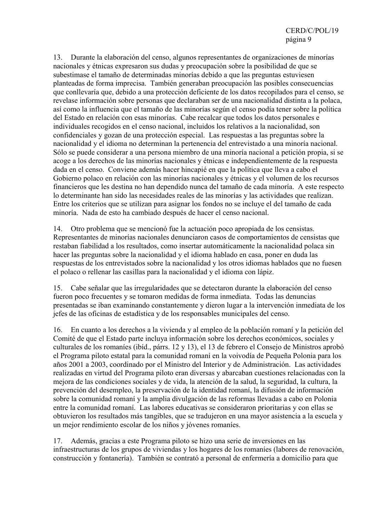13. Durante la elaboración del censo, algunos representantes de organizaciones de minorías nacionales y étnicas expresaron sus dudas y preocupación sobre la posibilidad de que se subestimase el tamaño de determinadas minorías debido a que las preguntas estuviesen planteadas de forma imprecisa. También generaban preocupación las posibles consecuencias que conllevaría que, debido a una protección deficiente de los datos recopilados para el censo, se revelase información sobre personas que declaraban ser de una nacionalidad distinta a la polaca, así como la influencia que el tamaño de las minorías según el censo podía tener sobre la política del Estado en relación con esas minorías. Cabe recalcar que todos los datos personales e individuales recogidos en el censo nacional, incluidos los relativos a la nacionalidad, son confidenciales y gozan de una protección especial. Las respuestas a las preguntas sobre la nacionalidad y el idioma no determinan la pertenencia del entrevistado a una minoría nacional. Sólo se puede considerar a una persona miembro de una minoría nacional a petición propia, si se acoge a los derechos de las minorías nacionales y étnicas e independientemente de la respuesta dada en el censo. Conviene además hacer hincapié en que la política que lleva a cabo el Gobierno polaco en relación con las minorías nacionales y étnicas y el volumen de los recursos financieros que les destina no han dependido nunca del tamaño de cada minoría. A este respecto lo determinante han sido las necesidades reales de las minorías y las actividades que realizan. Entre los criterios que se utilizan para asignar los fondos no se incluye el del tamaño de cada minoría. Nada de esto ha cambiado después de hacer el censo nacional.

14. Otro problema que se mencionó fue la actuación poco apropiada de los censistas. Representantes de minorías nacionales denunciaron casos de comportamientos de censistas que restaban fiabilidad a los resultados, como insertar automáticamente la nacionalidad polaca sin hacer las preguntas sobre la nacionalidad y el idioma hablado en casa, poner en duda las respuestas de los entrevistados sobre la nacionalidad y los otros idiomas hablados que no fuesen el polaco o rellenar las casillas para la nacionalidad y el idioma con lápiz.

15. Cabe señalar que las irregularidades que se detectaron durante la elaboración del censo fueron poco frecuentes y se tomaron medidas de forma inmediata. Todas las denuncias presentadas se iban examinando constantemente y dieron lugar a la intervención inmediata de los jefes de las oficinas de estadística y de los responsables municipales del censo.

16. En cuanto a los derechos a la vivienda y al empleo de la población romaní y la petición del Comité de que el Estado parte incluya información sobre los derechos económicos, sociales y culturales de los romaníes (ibíd., párrs. 12 y 13), el 13 de febrero el Consejo de Ministros aprobó el Programa piloto estatal para la comunidad romaní en la voivodía de Pequeña Polonia para los años 2001 a 2003, coordinado por el Ministro del Interior y de Administración. Las actividades realizadas en virtud del Programa piloto eran diversas y abarcaban cuestiones relacionadas con la mejora de las condiciones sociales y de vida, la atención de la salud, la seguridad, la cultura, la prevención del desempleo, la preservación de la identidad romaní, la difusión de información sobre la comunidad romaní y la amplia divulgación de las reformas llevadas a cabo en Polonia entre la comunidad romaní. Las labores educativas se consideraron prioritarias y con ellas se obtuvieron los resultados más tangibles, que se tradujeron en una mayor asistencia a la escuela y un mejor rendimiento escolar de los niños y jóvenes romaníes.

17. Además, gracias a este Programa piloto se hizo una serie de inversiones en las infraestructuras de los grupos de viviendas y los hogares de los romaníes (labores de renovación, construcción y fontanería). También se contrató a personal de enfermería a domicilio para que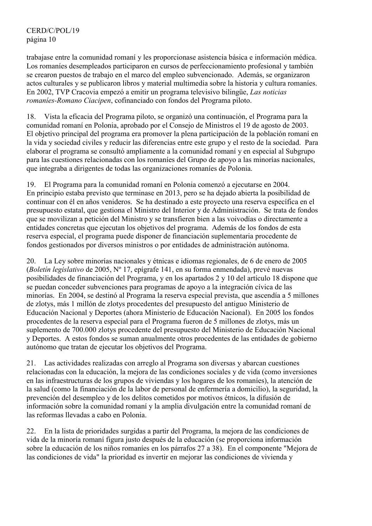trabajase entre la comunidad romaní y les proporcionase asistencia básica e información médica. Los romaníes desempleados participaron en cursos de perfeccionamiento profesional y también se crearon puestos de trabajo en el marco del empleo subvencionado. Además, se organizaron actos culturales y se publicaron libros y material multimedia sobre la historia y cultura romaníes. En 2002, TVP Cracovia empezó a emitir un programa televisivo bilingüe, *Las noticias romaníes-Romano Ciacipen*, cofinanciado con fondos del Programa piloto.

18. Vista la eficacia del Programa piloto, se organizó una continuación, el Programa para la comunidad romaní en Polonia, aprobado por el Consejo de Ministros el 19 de agosto de 2003. El objetivo principal del programa era promover la plena participación de la población romaní en la vida y sociedad civiles y reducir las diferencias entre este grupo y el resto de la sociedad. Para elaborar el programa se consultó ampliamente a la comunidad romaní y en especial al Subgrupo para las cuestiones relacionadas con los romaníes del Grupo de apoyo a las minorías nacionales, que integraba a dirigentes de todas las organizaciones romaníes de Polonia.

19. El Programa para la comunidad romaní en Polonia comenzó a ejecutarse en 2004. En principio estaba previsto que terminase en 2013, pero se ha dejado abierta la posibilidad de continuar con él en años venideros. Se ha destinado a este proyecto una reserva específica en el presupuesto estatal, que gestiona el Ministro del Interior y de Administración. Se trata de fondos que se movilizan a petición del Ministro y se transfieren bien a las voivodías o directamente a entidades concretas que ejecutan los objetivos del programa. Además de los fondos de esta reserva especial, el programa puede disponer de financiación suplementaria procedente de fondos gestionados por diversos ministros o por entidades de administración autónoma.

20. La Ley sobre minorías nacionales y étnicas e idiomas regionales, de 6 de enero de 2005 (*Boletín legislativo* de 2005, Nº 17, epígrafe 141, en su forma enmendada), prevé nuevas posibilidades de financiación del Programa, y en los apartados 2 y 10 del artículo 18 dispone que se puedan conceder subvenciones para programas de apoyo a la integración cívica de las minorías. En 2004, se destinó al Programa la reserva especial prevista, que ascendía a 5 millones de zlotys, más 1 millón de zlotys procedentes del presupuesto del antiguo Ministerio de Educación Nacional y Deportes (ahora Ministerio de Educación Nacional). En 2005 los fondos procedentes de la reserva especial para el Programa fueron de 5 millones de zlotys, más un suplemento de 700.000 zlotys procedente del presupuesto del Ministerio de Educación Nacional y Deportes. A estos fondos se suman anualmente otros procedentes de las entidades de gobierno autónomo que tratan de ejecutar los objetivos del Programa.

21. Las actividades realizadas con arreglo al Programa son diversas y abarcan cuestiones relacionadas con la educación, la mejora de las condiciones sociales y de vida (como inversiones en las infraestructuras de los grupos de viviendas y los hogares de los romaníes), la atención de la salud (como la financiación de la labor de personal de enfermería a domicilio), la seguridad, la prevención del desempleo y de los delitos cometidos por motivos étnicos, la difusión de información sobre la comunidad romaní y la amplia divulgación entre la comunidad romaní de las reformas llevadas a cabo en Polonia.

22. En la lista de prioridades surgidas a partir del Programa, la mejora de las condiciones de vida de la minoría romaní figura justo después de la educación (se proporciona información sobre la educación de los niños romaníes en los párrafos 27 a 38). En el componente "Mejora de las condiciones de vida" la prioridad es invertir en mejorar las condiciones de vivienda y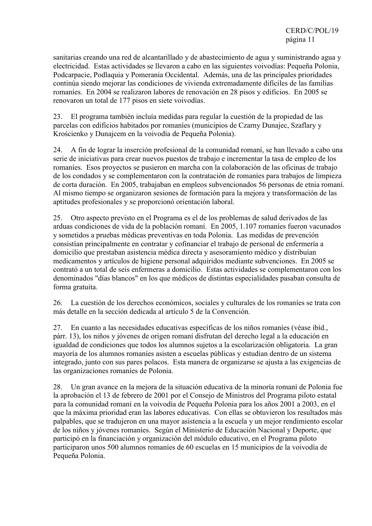sanitarias creando una red de alcantarillado y de abastecimiento de agua y suministrando agua y electricidad. Estas actividades se llevaron a cabo en las siguientes voivodías: Pequeña Polonia, Podcarpacie, Podlaquia y Pomerania Occidental. Además, una de las principales prioridades continúa siendo mejorar las condiciones de vivienda extremadamente difíciles de las familias romaníes. En 2004 se realizaron labores de renovación en 28 pisos y edificios. En 2005 se renovaron un total de 177 pisos en siete voivodías.

23. El programa también incluía medidas para regular la cuestión de la propiedad de las parcelas con edificios habitados por romaníes (municipios de Czarny Dunajec, Szaflary y Krościenko y Dunajcem en la voivodía de Pequeña Polonia).

24. A fin de lograr la inserción profesional de la comunidad romaní, se han llevado a cabo una serie de iniciativas para crear nuevos puestos de trabajo e incrementar la tasa de empleo de los romaníes. Esos proyectos se pusieron en marcha con la colaboración de las oficinas de trabajo de los condados y se complementaron con la contratación de romaníes para trabajos de limpieza de corta duración. En 2005, trabajaban en empleos subvencionados 56 personas de etnia romaní. Al mismo tiempo se organizaron sesiones de formación para la mejora y transformación de las aptitudes profesionales y se proporcionó orientación laboral.

25. Otro aspecto previsto en el Programa es el de los problemas de salud derivados de las arduas condiciones de vida de la población romaní. En 2005, 1.107 romaníes fueron vacunados y sometidos a pruebas médicas preventivas en toda Polonia. Las medidas de prevención consistían principalmente en contratar y cofinanciar el trabajo de personal de enfermería a domicilio que prestaban asistencia médica directa y asesoramiento médico y distribuían medicamentos y artículos de higiene personal adquiridos mediante subvenciones. En 2005 se contrató a un total de seis enfermeras a domicilio. Estas actividades se complementaron con los denominados "días blancos" en los que médicos de distintas especialidades pasaban consulta de forma gratuita.

26. La cuestión de los derechos económicos, sociales y culturales de los romaníes se trata con más detalle en la sección dedicada al artículo 5 de la Convención.

27. En cuanto a las necesidades educativas específicas de los niños romaníes (véase ibíd., párr. 13), los niños y jóvenes de origen romaní disfrutan del derecho legal a la educación en igualdad de condiciones que todos los alumnos sujetos a la escolarización obligatoria. La gran mayoría de los alumnos romaníes asisten a escuelas públicas y estudian dentro de un sistema integrado, junto con sus pares polacos. Esta manera de organizarse se ajusta a las exigencias de las organizaciones romaníes de Polonia.

28. Un gran avance en la mejora de la situación educativa de la minoría romaní de Polonia fue la aprobación el 13 de febrero de 2001 por el Consejo de Ministros del Programa piloto estatal para la comunidad romaní en la voivodía de Pequeña Polonia para los años 2001 a 2003, en el que la máxima prioridad eran las labores educativas. Con ellas se obtuvieron los resultados más palpables, que se tradujeron en una mayor asistencia a la escuela y un mejor rendimiento escolar de los niños y jóvenes romaníes. Según el Ministerio de Educación Nacional y Deporte, que participó en la financiación y organización del módulo educativo, en el Programa piloto participaron unos 500 alumnos romaníes de 60 escuelas en 15 municipios de la voivodía de Pequeña Polonia.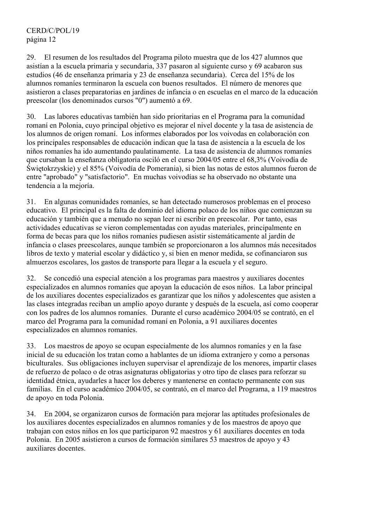29. El resumen de los resultados del Programa piloto muestra que de los 427 alumnos que asistían a la escuela primaria y secundaria, 337 pasaron al siguiente curso y 69 acabaron sus estudios (46 de enseñanza primaria y 23 de enseñanza secundaria). Cerca del 15% de los alumnos romaníes terminaron la escuela con buenos resultados. El número de menores que asistieron a clases preparatorias en jardines de infancia o en escuelas en el marco de la educación preescolar (los denominados cursos "0") aumentó a 69.

30. Las labores educativas también han sido prioritarias en el Programa para la comunidad romaní en Polonia, cuyo principal objetivo es mejorar el nivel docente y la tasa de asistencia de los alumnos de origen romaní. Los informes elaborados por los voivodas en colaboración con los principales responsables de educación indican que la tasa de asistencia a la escuela de los niños romaníes ha ido aumentando paulatinamente. La tasa de asistencia de alumnos romaníes que cursaban la enseñanza obligatoria osciló en el curso 2004/05 entre el 68,3% (Voivodía de Świętokrzyskie) y el 85% (Voivodía de Pomerania), si bien las notas de estos alumnos fueron de entre "aprobado" y "satisfactorio". En muchas voivodías se ha observado no obstante una tendencia a la mejoría.

31. En algunas comunidades romaníes, se han detectado numerosos problemas en el proceso educativo. El principal es la falta de dominio del idioma polaco de los niños que comienzan su educación y también que a menudo no sepan leer ni escribir en preescolar. Por tanto, esas actividades educativas se vieron complementadas con ayudas materiales, principalmente en forma de becas para que los niños romaníes pudiesen asistir sistemáticamente al jardín de infancia o clases preescolares, aunque también se proporcionaron a los alumnos más necesitados libros de texto y material escolar y didáctico y, si bien en menor medida, se cofinanciaron sus almuerzos escolares, los gastos de transporte para llegar a la escuela y el seguro.

32. Se concedió una especial atención a los programas para maestros y auxiliares docentes especializados en alumnos romaníes que apoyan la educación de esos niños. La labor principal de los auxiliares docentes especializados es garantizar que los niños y adolescentes que asisten a las clases integradas reciban un amplio apoyo durante y después de la escuela, así como cooperar con los padres de los alumnos romaníes. Durante el curso académico 2004/05 se contrató, en el marco del Programa para la comunidad romaní en Polonia, a 91 auxiliares docentes especializados en alumnos romaníes.

33. Los maestros de apoyo se ocupan especialmente de los alumnos romaníes y en la fase inicial de su educación los tratan como a hablantes de un idioma extranjero y como a personas biculturales. Sus obligaciones incluyen supervisar el aprendizaje de los menores, impartir clases de refuerzo de polaco o de otras asignaturas obligatorias y otro tipo de clases para reforzar su identidad étnica, ayudarles a hacer los deberes y mantenerse en contacto permanente con sus familias. En el curso académico 2004/05, se contrató, en el marco del Programa, a 119 maestros de apoyo en toda Polonia.

34. En 2004, se organizaron cursos de formación para mejorar las aptitudes profesionales de los auxiliares docentes especializados en alumnos romaníes y de los maestros de apoyo que trabajan con estos niños en los que participaron 92 maestros y 61 auxiliares docentes en toda Polonia. En 2005 asistieron a cursos de formación similares 53 maestros de apoyo y 43 auxiliares docentes.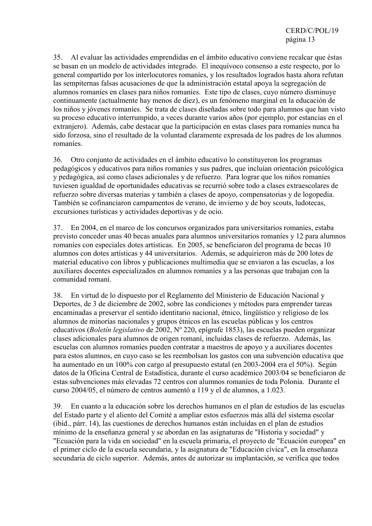35. Al evaluar las actividades emprendidas en el ámbito educativo conviene recalcar que éstas se basan en un modelo de actividades integrado. El inequívoco consenso a este respecto, por lo general compartido por los interlocutores romaníes, y los resultados logrados hasta ahora refutan las sempiternas falsas acusaciones de que la administración estatal apoya la segregación de alumnos romaníes en clases para niños romaníes. Este tipo de clases, cuyo número disminuye continuamente (actualmente hay menos de diez), es un fenómeno marginal en la educación de los niños y jóvenes romaníes. Se trata de clases diseñadas sobre todo para alumnos que han visto su proceso educativo interrumpido, a veces durante varios años (por ejemplo, por estancias en el extranjero). Además, cabe destacar que la participación en estas clases para romaníes nunca ha sido forzosa, sino el resultado de la voluntad claramente expresada de los padres de los alumnos romaníes.

36. Otro conjunto de actividades en el ámbito educativo lo constituyeron los programas pedagógicos y educativos para niños romaníes y sus padres, que incluían orientación psicológica y pedagógica, así como clases adicionales y de refuerzo. Para lograr que los niños romaníes tuviesen igualdad de oportunidades educativas se recurrió sobre todo a clases extraescolares de refuerzo sobre diversas materias y también a clases de apoyo, compensatorias y de logopedia. También se cofinanciaron campamentos de verano, de invierno y de boy scouts, ludotecas, excursiones turísticas y actividades deportivas y de ocio.

37. En 2004, en el marco de los concursos organizados para universitarios romaníes, estaba previsto conceder unas 40 becas anuales para alumnos universitarios romaníes y 12 para alumnos romaníes con especiales dotes artísticas. En 2005, se beneficiaron del programa de becas 10 alumnos con dotes artísticas y 44 universitarios. Además, se adquirieron más de 200 lotes de material educativo con libros y publicaciones multimedia que se enviaron a las escuelas, a los auxiliares docentes especializados en alumnos romaníes y a las personas que trabajan con la comunidad romaní.

38. En virtud de lo dispuesto por el Reglamento del Ministerio de Educación Nacional y Deportes, de 3 de diciembre de 2002, sobre las condiciones y métodos para emprender tareas encaminadas a preservar el sentido identitario nacional, étnico, lingüístico y religioso de los alumnos de minorías nacionales y grupos étnicos en las escuelas públicas y los centros educativos (*Boletín legislativo* de 2002, Nº 220, epígrafe 1853), las escuelas pueden organizar clases adicionales para alumnos de origen romaní, incluidas clases de refuerzo. Además, las escuelas con alumnos romaníes pueden contratar a maestros de apoyo y a auxiliares docentes para estos alumnos, en cuyo caso se les reembolsan los gastos con una subvención educativa que ha aumentado en un 100% con cargo al presupuesto estatal (en 2003-2004 era el 50%). Según datos de la Oficina Central de Estadística, durante el curso académico 2003/04 se beneficiaron de estas subvenciones más elevadas 72 centros con alumnos romaníes de toda Polonia. Durante el curso 2004/05, el número de centros aumentó a 119 y el de alumnos, a 1.023.

39. En cuanto a la educación sobre los derechos humanos en el plan de estudios de las escuelas del Estado parte y el aliento del Comité a ampliar estos esfuerzos más allá del sistema escolar (ibíd., párr. 14), las cuestiones de derechos humanos están incluidas en el plan de estudios mínimo de la enseñanza general y se abordan en las asignaturas de "Historia y sociedad" y "Ecuación para la vida en sociedad" en la escuela primaria, el proyecto de "Ecuación europea" en el primer ciclo de la escuela secundaria, y la asignatura de "Educación cívica", en la enseñanza secundaria de ciclo superior. Además, antes de autorizar su implantación, se verifica que todos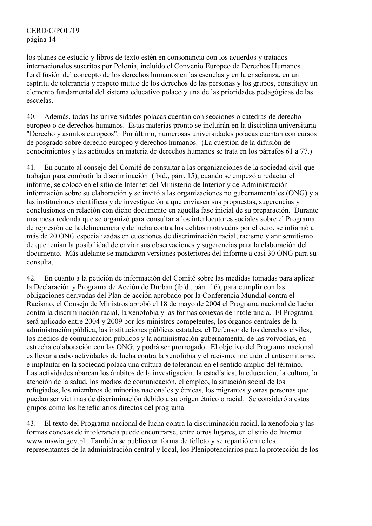los planes de estudio y libros de texto estén en consonancia con los acuerdos y tratados internacionales suscritos por Polonia, incluido el Convenio Europeo de Derechos Humanos. La difusión del concepto de los derechos humanos en las escuelas y en la enseñanza, en un espíritu de tolerancia y respeto mutuo de los derechos de las personas y los grupos, constituye un elemento fundamental del sistema educativo polaco y una de las prioridades pedagógicas de las escuelas.

40. Además, todas las universidades polacas cuentan con secciones o cátedras de derecho europeo o de derechos humanos. Estas materias pronto se incluirán en la disciplina universitaria "Derecho y asuntos europeos". Por último, numerosas universidades polacas cuentan con cursos de posgrado sobre derecho europeo y derechos humanos. (La cuestión de la difusión de conocimientos y las actitudes en materia de derechos humanos se trata en los párrafos 61 a 77.)

41. En cuanto al consejo del Comité de consultar a las organizaciones de la sociedad civil que trabajan para combatir la discriminación (ibíd., párr. 15), cuando se empezó a redactar el informe, se colocó en el sitio de Internet del Ministerio de Interior y de Administración información sobre su elaboración y se invitó a las organizaciones no gubernamentales (ONG) y a las instituciones científicas y de investigación a que enviasen sus propuestas, sugerencias y conclusiones en relación con dicho documento en aquella fase inicial de su preparación. Durante una mesa redonda que se organizó para consultar a los interlocutores sociales sobre el Programa de represión de la delincuencia y de lucha contra los delitos motivados por el odio, se informó a más de 20 ONG especializadas en cuestiones de discriminación racial, racismo y antisemitismo de que tenían la posibilidad de enviar sus observaciones y sugerencias para la elaboración del documento. Más adelante se mandaron versiones posteriores del informe a casi 30 ONG para su consulta.

42. En cuanto a la petición de información del Comité sobre las medidas tomadas para aplicar la Declaración y Programa de Acción de Durban (ibíd., párr. 16), para cumplir con las obligaciones derivadas del Plan de acción aprobado por la Conferencia Mundial contra el Racismo, el Consejo de Ministros aprobó el 18 de mayo de 2004 el Programa nacional de lucha contra la discriminación racial, la xenofobia y las formas conexas de intolerancia. El Programa será aplicado entre 2004 y 2009 por los ministros competentes, los órganos centrales de la administración pública, las instituciones públicas estatales, el Defensor de los derechos civiles, los medios de comunicación públicos y la administración gubernamental de las voivodías, en estrecha colaboración con las ONG, y podrá ser prorrogado. El objetivo del Programa nacional es llevar a cabo actividades de lucha contra la xenofobia y el racismo, incluido el antisemitismo, e implantar en la sociedad polaca una cultura de tolerancia en el sentido amplio del término. Las actividades abarcan los ámbitos de la investigación, la estadística, la educación, la cultura, la atención de la salud, los medios de comunicación, el empleo, la situación social de los refugiados, los miembros de minorías nacionales y étnicas, los migrantes y otras personas que puedan ser víctimas de discriminación debido a su origen étnico o racial. Se consideró a estos grupos como los beneficiarios directos del programa.

43. El texto del Programa nacional de lucha contra la discriminación racial, la xenofobia y las formas conexas de intolerancia puede encontrarse, entre otros lugares, en el sitio de Internet www.mswia.gov.pl. También se publicó en forma de folleto y se repartió entre los representantes de la administración central y local, los Plenipotenciarios para la protección de los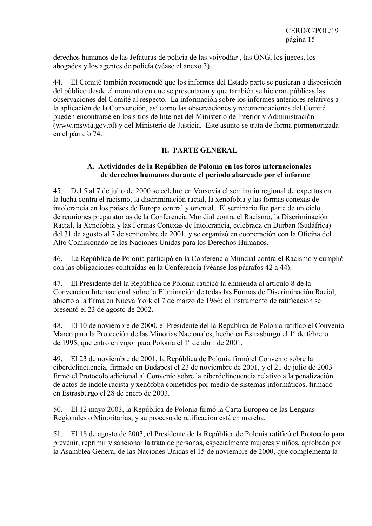derechos humanos de las Jefaturas de policía de las voivodía*s* , las ONG, los jueces, los abogados y los agentes de policía (véase el anexo 3).

44. El Comité también recomendó que los informes del Estado parte se pusieran a disposición del público desde el momento en que se presentaran y que también se hicieran públicas las observaciones del Comité al respecto. La información sobre los informes anteriores relativos a la aplicación de la Convención, así como las observaciones y recomendaciones del Comité pueden encontrarse en los sitios de Internet del Ministerio de Interior y Administración (www.mswia.gov.pl) y del Ministerio de Justicia. Este asunto se trata de forma pormenorizada en el párrafo 74.

# **II. PARTE GENERAL**

## **A. Actividades de la República de Polonia en los foros internacionales de derechos humanos durante el período abarcado por el informe**

45. Del 5 al 7 de julio de 2000 se celebró en Varsovia el seminario regional de expertos en la lucha contra el racismo, la discriminación racial, la xenofobia y las formas conexas de intolerancia en los países de Europa central y oriental. El seminario fue parte de un ciclo de reuniones preparatorias de la Conferencia Mundial contra el Racismo, la Discriminación Racial, la Xenofobia y las Formas Conexas de Intolerancia, celebrada en Durban (Sudáfrica) del 31 de agosto al 7 de septiembre de 2001, y se organizó en cooperación con la Oficina del Alto Comisionado de las Naciones Unidas para los Derechos Humanos.

46. La República de Polonia participó en la Conferencia Mundial contra el Racismo y cumplió con las obligaciones contraídas en la Conferencia (véanse los párrafos 42 a 44).

47. El Presidente del la República de Polonia ratificó la enmienda al artículo 8 de la Convención Internacional sobre la Eliminación de todas las Formas de Discriminación Racial, abierto a la firma en Nueva York el 7 de marzo de 1966; el instrumento de ratificación se presentó el 23 de agosto de 2002.

48. El 10 de noviembre de 2000, el Presidente del la República de Polonia ratificó el Convenio Marco para la Protección de las Minorías Nacionales, hecho en Estrasburgo el 1º de febrero de 1995, que entró en vigor para Polonia el 1º de abril de 2001.

49. El 23 de noviembre de 2001, la República de Polonia firmó el Convenio sobre la ciberdelincuencia, firmado en Budapest el 23 de noviembre de 2001, y el 21 de julio de 2003 firmó el Protocolo adicional al Convenio sobre la ciberdelincuencia relativo a la penalización de actos de índole racista y xenófoba cometidos por medio de sistemas informáticos, firmado en Estrasburgo el 28 de enero de 2003.

50. El 12 mayo 2003, la República de Polonia firmó la Carta Europea de las Lenguas Regionales o Minoritarias, y su proceso de ratificación está en marcha.

51. El 18 de agosto de 2003, el Presidente de la República de Polonia ratificó el Protocolo para prevenir, reprimir y sancionar la trata de personas, especialmente mujeres y niños, aprobado por la Asamblea General de las Naciones Unidas el 15 de noviembre de 2000, que complementa la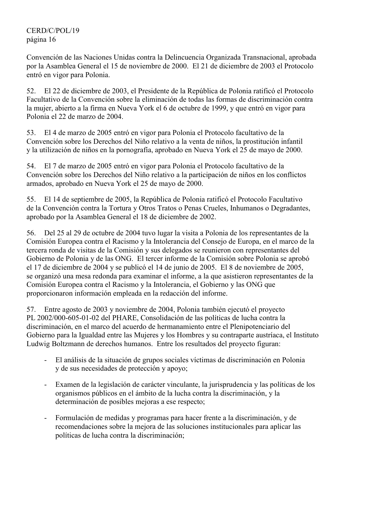Convención de las Naciones Unidas contra la Delincuencia Organizada Transnacional, aprobada por la Asamblea General el 15 de noviembre de 2000. El 21 de diciembre de 2003 el Protocolo entró en vigor para Polonia.

52. El 22 de diciembre de 2003, el Presidente de la República de Polonia ratificó el Protocolo Facultativo de la Convención sobre la eliminación de todas las formas de discriminación contra la mujer, abierto a la firma en Nueva York el 6 de octubre de 1999, y que entró en vigor para Polonia el 22 de marzo de 2004.

53. El 4 de marzo de 2005 entró en vigor para Polonia el Protocolo facultativo de la Convención sobre los Derechos del Niño relativo a la venta de niños, la prostitución infantil y la utilización de niños en la pornografía, aprobado en Nueva York el 25 de mayo de 2000.

54. El 7 de marzo de 2005 entró en vigor para Polonia el Protocolo facultativo de la Convención sobre los Derechos del Niño relativo a la participación de niños en los conflictos armados, aprobado en Nueva York el 25 de mayo de 2000.

55. El 14 de septiembre de 2005, la República de Polonia ratificó el Protocolo Facultativo de la Convención contra la Tortura y Otros Tratos o Penas Crueles, Inhumanos o Degradantes, aprobado por la Asamblea General el 18 de diciembre de 2002.

56. Del 25 al 29 de octubre de 2004 tuvo lugar la visita a Polonia de los representantes de la Comisión Europea contra el Racismo y la Intolerancia del Consejo de Europa, en el marco de la tercera ronda de visitas de la Comisión y sus delegados se reunieron con representantes del Gobierno de Polonia y de las ONG. El tercer informe de la Comisión sobre Polonia se aprobó el 17 de diciembre de 2004 y se publicó el 14 de junio de 2005. El 8 de noviembre de 2005, se organizó una mesa redonda para examinar el informe, a la que asistieron representantes de la Comisión Europea contra el Racismo y la Intolerancia, el Gobierno y las ONG que proporcionaron información empleada en la redacción del informe.

57. Entre agosto de 2003 y noviembre de 2004, Polonia también ejecutó el proyecto PL 2002/000-605-01-02 del PHARE, Consolidación de las políticas de lucha contra la discriminación, en el marco del acuerdo de hermanamiento entre el Plenipotenciario del Gobierno para la Igualdad entre las Mujeres y los Hombres y su contraparte austríaca, el Instituto Ludwig Boltzmann de derechos humanos. Entre los resultados del proyecto figuran:

- El análisis de la situación de grupos sociales víctimas de discriminación en Polonia y de sus necesidades de protección y apoyo;
- Examen de la legislación de carácter vinculante, la jurisprudencia y las políticas de los organismos públicos en el ámbito de la lucha contra la discriminación, y la determinación de posibles mejoras a ese respecto;
- Formulación de medidas y programas para hacer frente a la discriminación, y de recomendaciones sobre la mejora de las soluciones institucionales para aplicar las políticas de lucha contra la discriminación;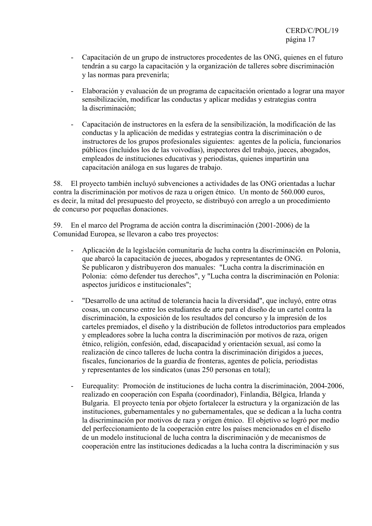- Capacitación de un grupo de instructores procedentes de las ONG, quienes en el futuro tendrán a su cargo la capacitación y la organización de talleres sobre discriminación y las normas para prevenirla;
- Elaboración y evaluación de un programa de capacitación orientado a lograr una mayor sensibilización, modificar las conductas y aplicar medidas y estrategias contra la discriminación;
- Capacitación de instructores en la esfera de la sensibilización, la modificación de las conductas y la aplicación de medidas y estrategias contra la discriminación o de instructores de los grupos profesionales siguientes: agentes de la policía, funcionarios públicos (incluidos los de las voivodías), inspectores del trabajo, jueces, abogados, empleados de instituciones educativas y periodistas, quienes impartirán una capacitación análoga en sus lugares de trabajo.

58. El proyecto también incluyó subvenciones a actividades de las ONG orientadas a luchar contra la discriminación por motivos de raza u origen étnico. Un monto de 560.000 euros, es decir, la mitad del presupuesto del proyecto, se distribuyó con arreglo a un procedimiento de concurso por pequeñas donaciones.

59. En el marco del Programa de acción contra la discriminación (2001-2006) de la Comunidad Europea, se llevaron a cabo tres proyectos:

- Aplicación de la legislación comunitaria de lucha contra la discriminación en Polonia, que abarcó la capacitación de jueces, abogados y representantes de ONG. Se publicaron y distribuyeron dos manuales: "Lucha contra la discriminación en Polonia: cómo defender tus derechos", y "Lucha contra la discriminación en Polonia: aspectos jurídicos e institucionales";
- "Desarrollo de una actitud de tolerancia hacia la diversidad", que incluyó, entre otras cosas, un concurso entre los estudiantes de arte para el diseño de un cartel contra la discriminación, la exposición de los resultados del concurso y la impresión de los carteles premiados, el diseño y la distribución de folletos introductorios para empleados y empleadores sobre la lucha contra la discriminación por motivos de raza, origen étnico, religión, confesión, edad, discapacidad y orientación sexual, así como la realización de cinco talleres de lucha contra la discriminación dirigidos a jueces, fiscales, funcionarios de la guardia de fronteras, agentes de policía, periodistas y representantes de los sindicatos (unas 250 personas en total);
- Eurequality: Promoción de instituciones de lucha contra la discriminación, 2004-2006, realizado en cooperación con España (coordinador), Finlandia, Bélgica, Irlanda y Bulgaria. El proyecto tenía por objeto fortalecer la estructura y la organización de las instituciones, gubernamentales y no gubernamentales, que se dedican a la lucha contra la discriminación por motivos de raza y origen étnico. El objetivo se logró por medio del perfeccionamiento de la cooperación entre los países mencionados en el diseño de un modelo institucional de lucha contra la discriminación y de mecanismos de cooperación entre las instituciones dedicadas a la lucha contra la discriminación y sus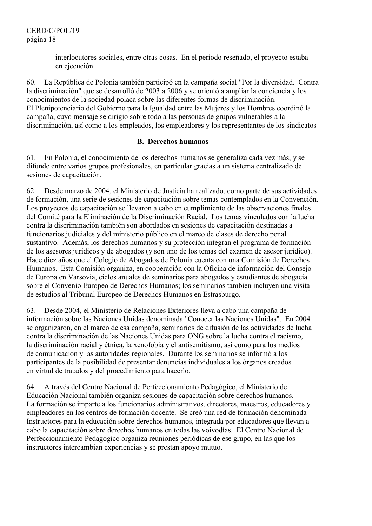interlocutores sociales, entre otras cosas. En el período reseñado, el proyecto estaba en ejecución.

60. La República de Polonia también participó en la campaña social "Por la diversidad. Contra la discriminación" que se desarrolló de 2003 a 2006 y se orientó a ampliar la conciencia y los conocimientos de la sociedad polaca sobre las diferentes formas de discriminación. El Plenipotenciario del Gobierno para la Igualdad entre las Mujeres y los Hombres coordinó la campaña, cuyo mensaje se dirigió sobre todo a las personas de grupos vulnerables a la discriminación, así como a los empleados, los empleadores y los representantes de los sindicatos

# **B. Derechos humanos**

61. En Polonia, el conocimiento de los derechos humanos se generaliza cada vez más, y se difunde entre varios grupos profesionales, en particular gracias a un sistema centralizado de sesiones de capacitación.

62. Desde marzo de 2004, el Ministerio de Justicia ha realizado, como parte de sus actividades de formación, una serie de sesiones de capacitación sobre temas contemplados en la Convención. Los proyectos de capacitación se llevaron a cabo en cumplimiento de las observaciones finales del Comité para la Eliminación de la Discriminación Racial. Los temas vinculados con la lucha contra la discriminación también son abordados en sesiones de capacitación destinadas a funcionarios judiciales y del ministerio público en el marco de clases de derecho penal sustantivo. Además, los derechos humanos y su protección integran el programa de formación de los asesores jurídicos y de abogados (y son uno de los temas del examen de asesor jurídico). Hace diez años que el Colegio de Abogados de Polonia cuenta con una Comisión de Derechos Humanos. Esta Comisión organiza, en cooperación con la Oficina de información del Consejo de Europa en Varsovia, ciclos anuales de seminarios para abogados y estudiantes de abogacía sobre el Convenio Europeo de Derechos Humanos; los seminarios también incluyen una visita de estudios al Tribunal Europeo de Derechos Humanos en Estrasburgo.

63. Desde 2004, el Ministerio de Relaciones Exteriores lleva a cabo una campaña de información sobre las Naciones Unidas denominada "Conocer las Naciones Unidas". En 2004 se organizaron, en el marco de esa campaña, seminarios de difusión de las actividades de lucha contra la discriminación de las Naciones Unidas para ONG sobre la lucha contra el racismo, la discriminación racial y étnica, la xenofobia y el antisemitismo, así como para los medios de comunicación y las autoridades regionales. Durante los seminarios se informó a los participantes de la posibilidad de presentar denuncias individuales a los órganos creados en virtud de tratados y del procedimiento para hacerlo.

64. A través del Centro Nacional de Perfeccionamiento Pedagógico, el Ministerio de Educación Nacional también organiza sesiones de capacitación sobre derechos humanos. La formación se imparte a los funcionarios administrativos, directores, maestros, educadores y empleadores en los centros de formación docente. Se creó una red de formación denominada Instructores para la educación sobre derechos humanos, integrada por educadores que llevan a cabo la capacitación sobre derechos humanos en todas las voivodías. El Centro Nacional de Perfeccionamiento Pedagógico organiza reuniones periódicas de ese grupo, en las que los instructores intercambian experiencias y se prestan apoyo mutuo.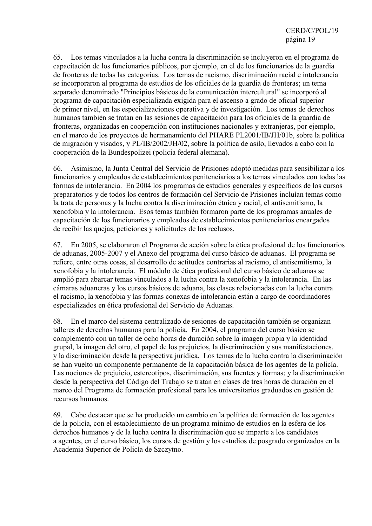65. Los temas vinculados a la lucha contra la discriminación se incluyeron en el programa de capacitación de los funcionarios públicos, por ejemplo, en el de los funcionarios de la guardia de fronteras de todas las categorías. Los temas de racismo, discriminación racial e intolerancia se incorporaron al programa de estudios de los oficiales de la guardia de fronteras; un tema separado denominado "Principios básicos de la comunicación intercultural" se incorporó al programa de capacitación especializada exigida para el ascenso a grado de oficial superior de primer nivel, en las especializaciones operativa y de investigación. Los temas de derechos humanos también se tratan en las sesiones de capacitación para los oficiales de la guardia de fronteras, organizadas en cooperación con instituciones nacionales y extranjeras, por ejemplo, en el marco de los proyectos de hermanamiento del PHARE PL2001/IB/JH/01b, sobre la política de migración y visados, y PL/IB/2002/JH/02, sobre la política de asilo, llevados a cabo con la cooperación de la Bundespolizei (policía federal alemana).

66. Asimismo, la Junta Central del Servicio de Prisiones adoptó medidas para sensibilizar a los funcionarios y empleados de establecimientos penitenciarios a los temas vinculados con todas las formas de intolerancia. En 2004 los programas de estudios generales y específicos de los cursos preparatorios y de todos los centros de formación del Servicio de Prisiones incluían temas como la trata de personas y la lucha contra la discriminación étnica y racial, el antisemitismo, la xenofobia y la intolerancia. Esos temas también formaron parte de los programas anuales de capacitación de los funcionarios y empleados de establecimientos penitenciarios encargados de recibir las quejas, peticiones y solicitudes de los reclusos.

67. En 2005, se elaboraron el Programa de acción sobre la ética profesional de los funcionarios de aduanas, 2005-2007 y el Anexo del programa del curso básico de aduanas. El programa se refiere, entre otras cosas, al desarrollo de actitudes contrarias al racismo, el antisemitismo, la xenofobia y la intolerancia. El módulo de ética profesional del curso básico de aduanas se amplió para abarcar temas vinculados a la lucha contra la xenofobia y la intolerancia. En las cámaras aduaneras y los cursos básicos de aduana, las clases relacionadas con la lucha contra el racismo, la xenofobia y las formas conexas de intolerancia están a cargo de coordinadores especializados en ética profesional del Servicio de Aduanas.

68. En el marco del sistema centralizado de sesiones de capacitación también se organizan talleres de derechos humanos para la policía. En 2004, el programa del curso básico se complementó con un taller de ocho horas de duración sobre la imagen propia y la identidad grupal, la imagen del otro, el papel de los prejuicios, la discriminación y sus manifestaciones, y la discriminación desde la perspectiva jurídica. Los temas de la lucha contra la discriminación se han vuelto un componente permanente de la capacitación básica de los agentes de la policía. Las nociones de prejuicio, estereotipos, discriminación, sus fuentes y formas; y la discriminación desde la perspectiva del Código del Trabajo se tratan en clases de tres horas de duración en el marco del Programa de formación profesional para los universitarios graduados en gestión de recursos humanos.

69. Cabe destacar que se ha producido un cambio en la política de formación de los agentes de la policía, con el establecimiento de un programa mínimo de estudios en la esfera de los derechos humanos y de la lucha contra la discriminación que se imparte a los candidatos a agentes, en el curso básico, los cursos de gestión y los estudios de posgrado organizados en la Academia Superior de Policía de Szczytno.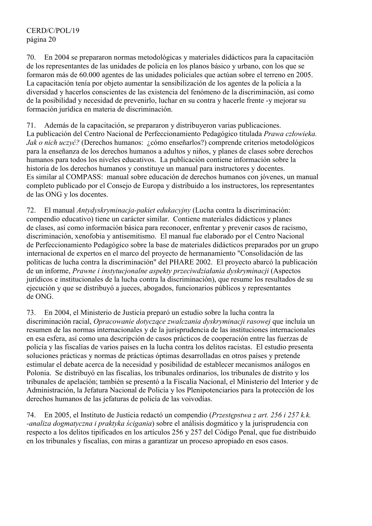70. En 2004 se prepararon normas metodológicas y materiales didácticos para la capacitación de los representantes de las unidades de policía en los planos básico y urbano, con los que se formaron más de 60.000 agentes de las unidades policiales que actúan sobre el terreno en 2005. La capacitación tenía por objeto aumentar la sensibilización de los agentes de la policía a la diversidad y hacerlos conscientes de las existencia del fenómeno de la discriminación, así como de la posibilidad y necesidad de prevenirlo, luchar en su contra y hacerle frente -y mejorar su formación jurídica en materia de discriminación.

71. Además de la capacitación, se prepararon y distribuyeron varias publicaciones. La publicación del Centro Nacional de Perfeccionamiento Pedagógico titulada *Prawa człowieka. Jak o nich uczyć?* (Derechos humanos: ¿cómo enseñarlos?) comprende criterios metodológicos para la enseñanza de los derechos humanos a adultos y niños, y planes de clases sobre derechos humanos para todos los niveles educativos. La publicación contiene información sobre la historia de los derechos humanos y constituye un manual para instructores y docentes. Es similar al COMPASS: manual sobre educación de derechos humanos con jóvenes, un manual completo publicado por el Consejo de Europa y distribuido a los instructores, los representantes de las ONG y los docentes.

72. El manual *Antydyskryminacja-pakiet edukacyjny* (Lucha contra la discriminación: compendio educativo) tiene un carácter similar. Contiene materiales didácticos y planes de clases, así como información básica para reconocer, enfrentar y prevenir casos de racismo, discriminación, xenofobia y antisemitismo. El manual fue elaborado por el Centro Nacional de Perfeccionamiento Pedagógico sobre la base de materiales didácticos preparados por un grupo internacional de expertos en el marco del proyecto de hermanamiento "Consolidación de las políticas de lucha contra la discriminación" del PHARE 2002. El proyecto abarcó la publicación de un informe, *Prawne i instytucjonalne aspekty przeciwdziałania dyskryminacji* (Aspectos jurídicos e institucionales de la lucha contra la discriminación), que resume los resultados de su ejecución y que se distribuyó a jueces, abogados, funcionarios públicos y representantes de ONG.

73. En 2004, el Ministerio de Justicia preparó un estudio sobre la lucha contra la discriminación racial, *Opracowanie dotyczące zwalczania dyskryminacji rasowej* que incluía un resumen de las normas internacionales y de la jurisprudencia de las instituciones internacionales en esa esfera, así como una descripción de casos prácticos de cooperación entre las fuerzas de policía y las fiscalías de varios países en la lucha contra los delitos racistas. El estudio presenta soluciones prácticas y normas de prácticas óptimas desarrolladas en otros países y pretende estimular el debate acerca de la necesidad y posibilidad de establecer mecanismos análogos en Polonia. Se distribuyó en las fiscalías, los tribunales ordinarios, los tribunales de distrito y los tribunales de apelación; también se presentó a la Fiscalía Nacional, el Ministerio del Interior y de Administración, la Jefatura Nacional de Policía y los Plenipotenciarios para la protección de los derechos humanos de las jefaturas de policía de las voivodías.

74. En 2005, el Instituto de Justicia redactó un compendio (*Przestępstwa z art. 256 i 257 k.k. -analiza dogmatyczna i praktyka ścigania*) sobre el análisis dogmático y la jurisprudencia con respecto a los delitos tipificados en los artículos 256 y 257 del Código Penal, que fue distribuido en los tribunales y fiscalías, con miras a garantizar un proceso apropiado en esos casos.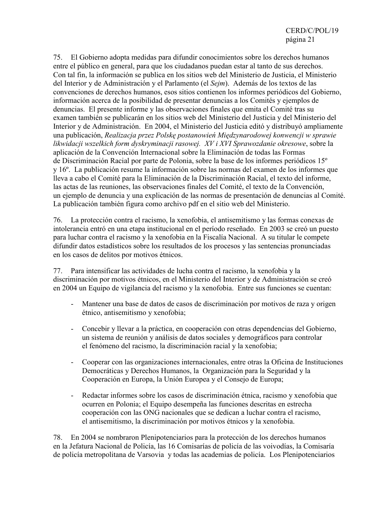75. El Gobierno adopta medidas para difundir conocimientos sobre los derechos humanos entre el público en general, para que los ciudadanos puedan estar al tanto de sus derechos. Con tal fin, la información se publica en los sitios web del Ministerio de Justicia, el Ministerio del Interior y de Administración y el Parlamento (el *Sejm*). Además de los textos de las convenciones de derechos humanos, esos sitios contienen los informes periódicos del Gobierno, información acerca de la posibilidad de presentar denuncias a los Comités y ejemplos de denuncias. El presente informe y las observaciones finales que emita el Comité tras su examen también se publicarán en los sitios web del Ministerio del Justicia y del Ministerio del Interior y de Administración. En 2004, el Ministerio del Justicia editó y distribuyó ampliamente una publicación, *Realizacja przez Polskę postanowień Międzynarodowej konwencji w sprawie likwidacji wszelkich form dyskryminacji rasowej. XV i XVI Sprawozdanie okresowe*, sobre la aplicación de la Convención Internacional sobre la Eliminación de todas las Formas de Discriminación Racial por parte de Polonia, sobre la base de los informes periódicos 15º y 16º. La publicación resume la información sobre las normas del examen de los informes que lleva a cabo el Comité para la Eliminación de la Discriminación Racial, el texto del informe, las actas de las reuniones, las observaciones finales del Comité, el texto de la Convención, un ejemplo de denuncia y una explicación de las normas de presentación de denuncias al Comité. La publicación también figura como archivo pdf en el sitio web del Ministerio.

76. La protección contra el racismo, la xenofobia, el antisemitismo y las formas conexas de intolerancia entró en una etapa institucional en el período reseñado. En 2003 se creó un puesto para luchar contra el racismo y la xenofobia en la Fiscalía Nacional. A su titular le compete difundir datos estadísticos sobre los resultados de los procesos y las sentencias pronunciadas en los casos de delitos por motivos étnicos.

77. Para intensificar las actividades de lucha contra el racismo, la xenofobia y la discriminación por motivos étnicos, en el Ministerio del Interior y de Administración se creó en 2004 un Equipo de vigilancia del racismo y la xenofobia. Entre sus funciones se cuentan:

- Mantener una base de datos de casos de discriminación por motivos de raza y origen étnico, antisemitismo y xenofobia;
- Concebir y llevar a la práctica, en cooperación con otras dependencias del Gobierno, un sistema de reunión y análisis de datos sociales y demográficos para controlar el fenómeno del racismo, la discriminación racial y la xenofobia;
- Cooperar con las organizaciones internacionales, entre otras la Oficina de Instituciones Democráticas y Derechos Humanos, la Organización para la Seguridad y la Cooperación en Europa, la Unión Europea y el Consejo de Europa;
- Redactar informes sobre los casos de discriminación étnica, racismo y xenofobia que ocurren en Polonia; el Equipo desempeña las funciones descritas en estrecha cooperación con las ONG nacionales que se dedican a luchar contra el racismo, el antisemitismo, la discriminación por motivos étnicos y la xenofobia.

78. En 2004 se nombraron Plenipotenciarios para la protección de los derechos humanos en la Jefatura Nacional de Policía, las 16 Comisarías de policía de las voivodías, la Comisaría de policía metropolitana de Varsovia y todas las academias de policía. Los Plenipotenciarios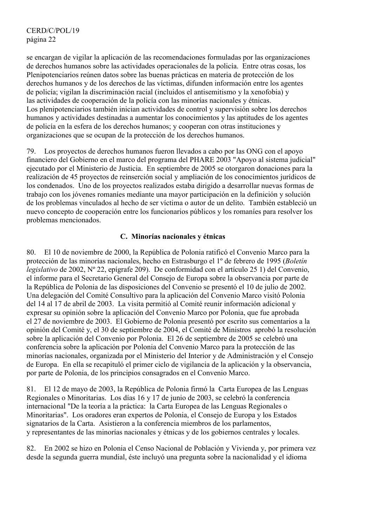se encargan de vigilar la aplicación de las recomendaciones formuladas por las organizaciones de derechos humanos sobre las actividades operacionales de la policía. Entre otras cosas, los Plenipotenciarios reúnen datos sobre las buenas prácticas en materia de protección de los derechos humanos y de los derechos de las víctimas, difunden información entre los agentes de policía; vigilan la discriminación racial (incluidos el antisemitismo y la xenofobia) y las actividades de cooperación de la policía con las minorías nacionales y étnicas. Los plenipotenciarios también inician actividades de control y supervisión sobre los derechos humanos y actividades destinadas a aumentar los conocimientos y las aptitudes de los agentes de policía en la esfera de los derechos humanos; y cooperan con otras instituciones y organizaciones que se ocupan de la protección de los derechos humanos.

79. Los proyectos de derechos humanos fueron llevados a cabo por las ONG con el apoyo financiero del Gobierno en el marco del programa del PHARE 2003 "Apoyo al sistema judicial" ejecutado por el Ministerio de Justicia. En septiembre de 2005 se otorgaron donaciones para la realización de 45 proyectos de reinserción social y ampliación de los conocimientos jurídicos de los condenados. Uno de los proyectos realizados estaba dirigido a desarrollar nuevas formas de trabajo con los jóvenes romaníes mediante una mayor participación en la definición y solución de los problemas vinculados al hecho de ser víctima o autor de un delito. También estableció un nuevo concepto de cooperación entre los funcionarios públicos y los romaníes para resolver los problemas mencionados.

## **C. Minorías nacionales y étnicas**

80. El 10 de noviembre de 2000, la República de Polonia ratificó el Convenio Marco para la protección de las minorías nacionales, hecho en Estrasburgo el 1º de febrero de 1995 (*Boletín legislativo* de 2002, Nº 22, epígrafe 209). De conformidad con el artículo 25 1) del Convenio, el informe para el Secretario General del Consejo de Europa sobre la observancia por parte de la República de Polonia de las disposiciones del Convenio se presentó el 10 de julio de 2002. Una delegación del Comité Consultivo para la aplicación del Convenio Marco visitó Polonia del 14 al 17 de abril de 2003. La visita permitió al Comité reunir información adicional y expresar su opinión sobre la aplicación del Convenio Marco por Polonia, que fue aprobada el 27 de noviembre de 2003. El Gobierno de Polonia presentó por escrito sus comentarios a la opinión del Comité y, el 30 de septiembre de 2004, el Comité de Ministros aprobó la resolución sobre la aplicación del Convenio por Polonia. El 26 de septiembre de 2005 se celebró una conferencia sobre la aplicación por Polonia del Convenio Marco para la protección de las minorías nacionales, organizada por el Ministerio del Interior y de Administración y el Consejo de Europa. En ella se recapituló el primer ciclo de vigilancia de la aplicación y la observancia, por parte de Polonia, de los principios consagrados en el Convenio Marco.

81. El 12 de mayo de 2003, la República de Polonia firmó la Carta Europea de las Lenguas Regionales o Minoritarias. Los días 16 y 17 de junio de 2003, se celebró la conferencia internacional "De la teoría a la práctica: la Carta Europea de las Lenguas Regionales o Minoritarias". Los oradores eran expertos de Polonia, el Consejo de Europa y los Estados signatarios de la Carta. Asistieron a la conferencia miembros de los parlamentos, y representantes de las minorías nacionales y étnicas y de los gobiernos centrales y locales.

82. En 2002 se hizo en Polonia el Censo Nacional de Población y Vivienda y, por primera vez desde la segunda guerra mundial, éste incluyó una pregunta sobre la nacionalidad y el idioma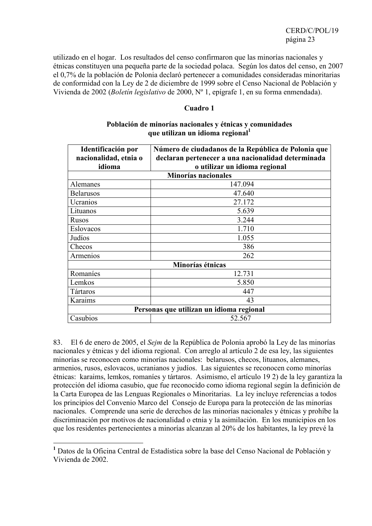utilizado en el hogar. Los resultados del censo confirmaron que las minorías nacionales y étnicas constituyen una pequeña parte de la sociedad polaca. Según los datos del censo, en 2007 el 0,7% de la población de Polonia declaró pertenecer a comunidades consideradas minoritarias de conformidad con la Ley de 2 de diciembre de 1999 sobre el Censo Nacional de Población y Vivienda de 2002 (*Boletín legislativo* de 2000, Nº 1, epígrafe 1, en su forma enmendada).

#### **Cuadro 1**

| Identificación por<br>nacionalidad, etnia o<br>idioma | Número de ciudadanos de la República de Polonia que<br>declaran pertenecer a una nacionalidad determinada<br>o utilizar un idioma regional |  |  |  |  |
|-------------------------------------------------------|--------------------------------------------------------------------------------------------------------------------------------------------|--|--|--|--|
| <b>Minorías nacionales</b>                            |                                                                                                                                            |  |  |  |  |
| Alemanes                                              | 147.094                                                                                                                                    |  |  |  |  |
| <b>Belarusos</b>                                      | 47.640                                                                                                                                     |  |  |  |  |
| Ucranios                                              | 27.172                                                                                                                                     |  |  |  |  |
| Lituanos                                              | 5.639                                                                                                                                      |  |  |  |  |
| Rusos                                                 | 3.244                                                                                                                                      |  |  |  |  |
| Eslovacos                                             | 1.710                                                                                                                                      |  |  |  |  |
| Judíos                                                | 1.055                                                                                                                                      |  |  |  |  |
| Checos                                                | 386                                                                                                                                        |  |  |  |  |
| Armenios                                              | 262                                                                                                                                        |  |  |  |  |
|                                                       | Minorías étnicas                                                                                                                           |  |  |  |  |
| Romaníes                                              | 12.731                                                                                                                                     |  |  |  |  |
| Lemkos                                                | 5.850                                                                                                                                      |  |  |  |  |
| Tártaros                                              | 447                                                                                                                                        |  |  |  |  |
| Karaims                                               | 43                                                                                                                                         |  |  |  |  |
| Personas que utilizan un idioma regional              |                                                                                                                                            |  |  |  |  |
| Casubios                                              | 52.567                                                                                                                                     |  |  |  |  |

#### **Población de minorías nacionales y étnicas y comunidades que utilizan un idioma regional<sup>1</sup>**

83. El 6 de enero de 2005, el *Sejm* de la República de Polonia aprobó la Ley de las minorías nacionales y étnicas y del idioma regional. Con arreglo al artículo 2 de esa ley, las siguientes minorías se reconocen como minorías nacionales: belarusos, checos, lituanos, alemanes, armenios, rusos, eslovacos, ucranianos y judíos. Las siguientes se reconocen como minorías étnicas: karaims, lemkos, romaníes y tártaros. Asimismo, el artículo 19 2) de la ley garantiza la protección del idioma casubio, que fue reconocido como idioma regional según la definición de la Carta Europea de las Lenguas Regionales o Minoritarias. La ley incluye referencias a todos los principios del Convenio Marco del Consejo de Europa para la protección de las minorías nacionales. Comprende una serie de derechos de las minorías nacionales y étnicas y prohíbe la discriminación por motivos de nacionalidad o etnia y la asimilación. En los municipios en los que los residentes pertenecientes a minorías alcanzan al 20% de los habitantes, la ley prevé la

 **1** Datos de la Oficina Central de Estadística sobre la base del Censo Nacional de Población y Vivienda de 2002.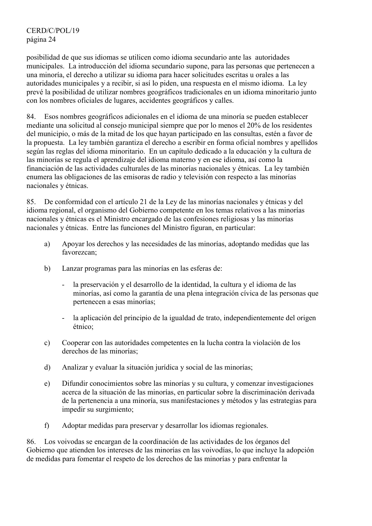CERD/C/POL/19 página 24

posibilidad de que sus idiomas se utilicen como idioma secundario ante las autoridades municipales. La introducción del idioma secundario supone, para las personas que pertenecen a una minoría, el derecho a utilizar su idioma para hacer solicitudes escritas u orales a las autoridades municipales y a recibir, si así lo piden, una respuesta en el mismo idioma. La ley prevé la posibilidad de utilizar nombres geográficos tradicionales en un idioma minoritario junto con los nombres oficiales de lugares, accidentes geográficos y calles.

84. Esos nombres geográficos adicionales en el idioma de una minoría se pueden establecer mediante una solicitud al consejo municipal siempre que por lo menos el 20% de los residentes del municipio, o más de la mitad de los que hayan participado en las consultas, estén a favor de la propuesta. La ley también garantiza el derecho a escribir en forma oficial nombres y apellidos según las reglas del idioma minoritario. En un capítulo dedicado a la educación y la cultura de las minorías se regula el aprendizaje del idioma materno y en ese idioma, así como la financiación de las actividades culturales de las minorías nacionales y étnicas. La ley también enumera las obligaciones de las emisoras de radio y televisión con respecto a las minorías nacionales y étnicas.

85. De conformidad con el artículo 21 de la Ley de las minorías nacionales y étnicas y del idioma regional, el organismo del Gobierno competente en los temas relativos a las minorías nacionales y étnicas es el Ministro encargado de las confesiones religiosas y las minorías nacionales y étnicas. Entre las funciones del Ministro figuran, en particular:

- a) Apoyar los derechos y las necesidades de las minorías, adoptando medidas que las favorezcan;
- b) Lanzar programas para las minorías en las esferas de:
	- la preservación y el desarrollo de la identidad, la cultura y el idioma de las minorías, así como la garantía de una plena integración cívica de las personas que pertenecen a esas minorías;
	- la aplicación del principio de la igualdad de trato, independientemente del origen étnico;
- c) Cooperar con las autoridades competentes en la lucha contra la violación de los derechos de las minorías;
- d) Analizar y evaluar la situación jurídica y social de las minorías;
- e) Difundir conocimientos sobre las minorías y su cultura, y comenzar investigaciones acerca de la situación de las minorías, en particular sobre la discriminación derivada de la pertenencia a una minoría, sus manifestaciones y métodos y las estrategias para impedir su surgimiento;
- f) Adoptar medidas para preservar y desarrollar los idiomas regionales.

86. Los voivodas se encargan de la coordinación de las actividades de los órganos del Gobierno que atienden los intereses de las minorías en las voivodías, lo que incluye la adopción de medidas para fomentar el respeto de los derechos de las minorías y para enfrentar la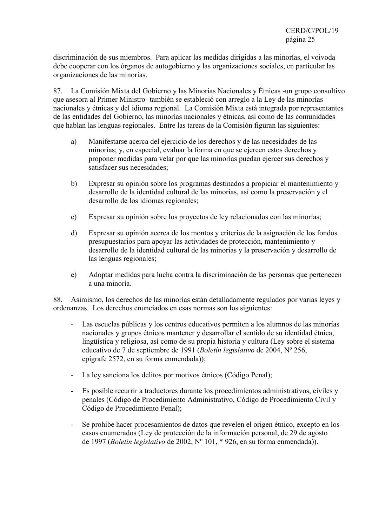discriminación de sus miembros. Para aplicar las medidas dirigidas a las minorías, el voivoda debe cooperar con los órganos de autogobierno y las organizaciones sociales, en particular las organizaciones de las minorías.

87. La Comisión Mixta del Gobierno y las Minorías Nacionales y Étnicas -un grupo consultivo que asesora al Primer Ministro- también se estableció con arreglo a la Ley de las minorías nacionales y étnicas y del idioma regional. La Comisión Mixta está integrada por representantes de las entidades del Gobierno, las minorías nacionales y étnicas, así como de las comunidades que hablan las lenguas regionales. Entre las tareas de la Comisión figuran las siguientes:

- a) Manifestarse acerca del ejercicio de los derechos y de las necesidades de las minorías; y, en especial, evaluar la forma en que se ejercen estos derechos y proponer medidas para velar por que las minorías puedan ejercer sus derechos y satisfacer sus necesidades;
- b) Expresar su opinión sobre los programas destinados a propiciar el mantenimiento y desarrollo de la identidad cultural de las minorías, así como la preservación y el desarrollo de los idiomas regionales;
- c) Expresar su opinión sobre los proyectos de ley relacionados con las minorías;
- d) Expresar su opinión acerca de los montos y criterios de la asignación de los fondos presupuestarios para apoyar las actividades de protección, mantenimiento y desarrollo de la identidad cultural de las minorías y la preservación y desarrollo de las lenguas regionales;
- e) Adoptar medidas para lucha contra la discriminación de las personas que pertenecen a una minoría.

88. Asimismo, los derechos de las minorías están detalladamente regulados por varias leyes y ordenanzas. Los derechos enunciados en esas normas son los siguientes:

- Las escuelas públicas y los centros educativos permiten a los alumnos de las minorías nacionales y grupos étnicos mantener y desarrollar el sentido de su identidad étnica, lingüística y religiosa, así como de su propia historia y cultura (Ley sobre el sistema educativo de 7 de septiembre de 1991 (*Boletín legislativo* de 2004, Nº 256, epígrafe 2572, en su forma enmendada));
- La ley sanciona los delitos por motivos étnicos (Código Penal);
- Es posible recurrir a traductores durante los procedimientos administrativos, civiles y penales (Código de Procedimiento Administrativo, Código de Procedimiento Civil y Código de Procedimiento Penal);
- Se prohíbe hacer procesamientos de datos que revelen el origen étnico, excepto en los casos enumerados (Ley de protección de la información personal, de 29 de agosto de 1997 (*Boletín legislativo* de 2002, Nº 101, \* 926, en su forma enmendada)).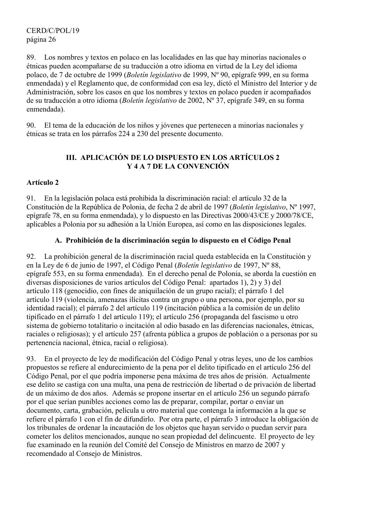CERD/C/POL/19 página 26

89. Los nombres y textos en polaco en las localidades en las que hay minorías nacionales o étnicas pueden acompañarse de su traducción a otro idioma en virtud de la Ley del idioma polaco, de 7 de octubre de 1999 (*Boletín legislativo* de 1999, Nº 90, epígrafe 999, en su forma enmendada) y el Reglamento que, de conformidad con esa ley, dictó el Ministro del Interior y de Administración, sobre los casos en que los nombres y textos en polaco pueden ir acompañados de su traducción a otro idioma (*Boletín legislativo* de 2002, Nº 37, epígrafe 349, en su forma enmendada).

90. El tema de la educación de los niños y jóvenes que pertenecen a minorías nacionales y étnicas se trata en los párrafos 224 a 230 del presente documento.

## **III. APLICACIÓN DE LO DISPUESTO EN LOS ARTÍCULOS 2 Y 4 A 7 DE LA CONVENCIÓN**

## **Artículo 2**

91. En la legislación polaca está prohibida la discriminación racial: el artículo 32 de la Constitución de la República de Polonia, de fecha 2 de abril de 1997 (*Boletín legislativo*, Nº 1997, epígrafe 78, en su forma enmendada), y lo dispuesto en las Directivas 2000/43/CE y 2000/78/CE, aplicables a Polonia por su adhesión a la Unión Europea, así como en las disposiciones legales.

## **A. Prohibición de la discriminación según lo dispuesto en el Código Penal**

92. La prohibición general de la discriminación racial queda establecida en la Constitución y en la Ley de 6 de junio de 1997, el Código Penal (*Boletín legislativo* de 1997, Nº 88, epígrafe 553, en su forma enmendada). En el derecho penal de Polonia, se aborda la cuestión en diversas disposiciones de varios artículos del Código Penal: apartados 1), 2) y 3) del artículo 118 (genocidio, con fines de aniquilación de un grupo racial); el párrafo 1 del artículo 119 (violencia, amenazas ilícitas contra un grupo o una persona, por ejemplo, por su identidad racial); el párrafo 2 del artículo 119 (incitación pública a la comisión de un delito tipificado en el párrafo 1 del artículo 119); el artículo 256 (propaganda del fascismo u otro sistema de gobierno totalitario o incitación al odio basado en las diferencias nacionales, étnicas, raciales o religiosas); y el artículo 257 (afrenta pública a grupos de población o a personas por su pertenencia nacional, étnica, racial o religiosa).

93. En el proyecto de ley de modificación del Código Penal y otras leyes, uno de los cambios propuestos se refiere al endurecimiento de la pena por el delito tipificado en el artículo 256 del Código Penal, por el que podría imponerse pena máxima de tres años de prisión. Actualmente ese delito se castiga con una multa, una pena de restricción de libertad o de privación de libertad de un máximo de dos años. Además se propone insertar en el artículo 256 un segundo párrafo por el que serían punibles acciones como las de preparar, compilar, portar o enviar un documento, carta, grabación, película u otro material que contenga la información a la que se refiere el párrafo 1 con el fin de difundirlo. Por otra parte, el párrafo 3 introduce la obligación de los tribunales de ordenar la incautación de los objetos que hayan servido o puedan servir para cometer los delitos mencionados, aunque no sean propiedad del delincuente. El proyecto de ley fue examinado en la reunión del Comité del Consejo de Ministros en marzo de 2007 y recomendado al Consejo de Ministros.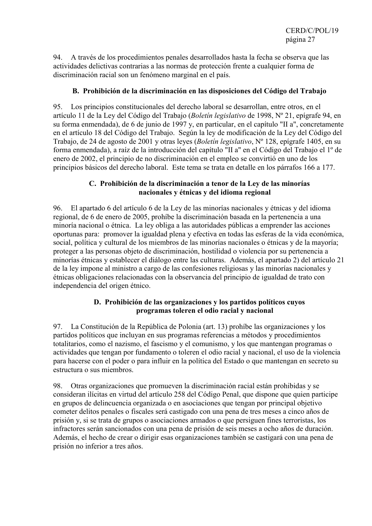94. A través de los procedimientos penales desarrollados hasta la fecha se observa que las actividades delictivas contrarias a las normas de protección frente a cualquier forma de discriminación racial son un fenómeno marginal en el país.

## **B. Prohibición de la discriminación en las disposiciones del Código del Trabajo**

95. Los principios constitucionales del derecho laboral se desarrollan, entre otros, en el artículo 11 de la Ley del Código del Trabajo (*Boletín legislativo* de 1998, Nº 21, epígrafe 94, en su forma enmendada), de 6 de junio de 1997 y, en particular, en el capítulo "II a", concretamente en el artículo 18 del Código del Trabajo. Según la ley de modificación de la Ley del Código del Trabajo, de 24 de agosto de 2001 y otras leyes (*Boletín legislativo*, Nº 128, epígrafe 1405, en su forma enmendada), a raíz de la introducción del capítulo "II a" en el Código del Trabajo el 1º de enero de 2002, el principio de no discriminación en el empleo se convirtió en uno de los principios básicos del derecho laboral. Este tema se trata en detalle en los párrafos 166 a 177.

## **C. Prohibición de la discriminación a tenor de la Ley de las minorías nacionales y étnicas y del idioma regional**

96. El apartado 6 del artículo 6 de la Ley de las minorías nacionales y étnicas y del idioma regional, de 6 de enero de 2005, prohíbe la discriminación basada en la pertenencia a una minoría nacional o étnica. La ley obliga a las autoridades públicas a emprender las acciones oportunas para: promover la igualdad plena y efectiva en todas las esferas de la vida económica, social, política y cultural de los miembros de las minorías nacionales o étnicas y de la mayoría; proteger a las personas objeto de discriminación, hostilidad o violencia por su pertenencia a minorías étnicas y establecer el diálogo entre las culturas. Además, el apartado 2) del artículo 21 de la ley impone al ministro a cargo de las confesiones religiosas y las minorías nacionales y étnicas obligaciones relacionadas con la observancia del principio de igualdad de trato con independencia del origen étnico.

## **D. Prohibición de las organizaciones y los partidos políticos cuyos programas toleren el odio racial y nacional**

97. La Constitución de la República de Polonia (art. 13) prohíbe las organizaciones y los partidos políticos que incluyan en sus programas referencias a métodos y procedimientos totalitarios, como el nazismo, el fascismo y el comunismo, y los que mantengan programas o actividades que tengan por fundamento o toleren el odio racial y nacional, el uso de la violencia para hacerse con el poder o para influir en la política del Estado o que mantengan en secreto su estructura o sus miembros.

98. Otras organizaciones que promueven la discriminación racial están prohibidas y se consideran ilícitas en virtud del artículo 258 del Código Penal, que dispone que quien participe en grupos de delincuencia organizada o en asociaciones que tengan por principal objetivo cometer delitos penales o fiscales será castigado con una pena de tres meses a cinco años de prisión y, si se trata de grupos o asociaciones armados o que persiguen fines terroristas, los infractores serán sancionados con una pena de prisión de seis meses a ocho años de duración. Además, el hecho de crear o dirigir esas organizaciones también se castigará con una pena de prisión no inferior a tres años.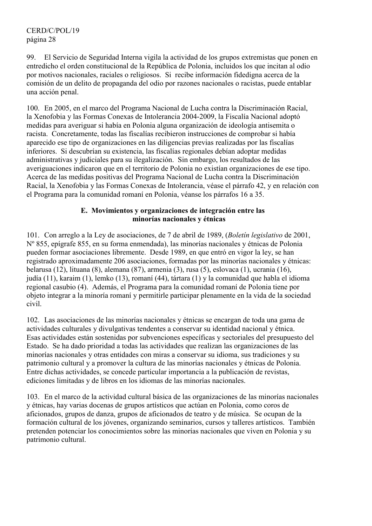99. El Servicio de Seguridad Interna vigila la actividad de los grupos extremistas que ponen en entredicho el orden constitucional de la República de Polonia, incluidos los que incitan al odio por motivos nacionales, raciales o religiosos. Si recibe información fidedigna acerca de la comisión de un delito de propaganda del odio por razones nacionales o racistas, puede entablar una acción penal.

100. En 2005, en el marco del Programa Nacional de Lucha contra la Discriminación Racial, la Xenofobia y las Formas Conexas de Intolerancia 2004-2009, la Fiscalía Nacional adoptó medidas para averiguar si había en Polonia alguna organización de ideología antisemita o racista. Concretamente, todas las fiscalías recibieron instrucciones de comprobar si había aparecido ese tipo de organizaciones en las diligencias previas realizadas por las fiscalías inferiores. Si descubrían su existencia, las fiscalías regionales debían adoptar medidas administrativas y judiciales para su ilegalización. Sin embargo, los resultados de las averiguaciones indicaron que en el territorio de Polonia no existían organizaciones de ese tipo. Acerca de las medidas positivas del Programa Nacional de Lucha contra la Discriminación Racial, la Xenofobia y las Formas Conexas de Intolerancia, véase el párrafo 42, y en relación con el Programa para la comunidad romaní en Polonia, véanse los párrafos 16 a 35.

## **E. Movimientos y organizaciones de integración entre las minorías nacionales y étnicas**

101. Con arreglo a la Ley de asociaciones, de 7 de abril de 1989, (*Boletín legislativo* de 2001, Nº 855, epígrafe 855, en su forma enmendada), las minorías nacionales y étnicas de Polonia pueden formar asociaciones libremente. Desde 1989, en que entró en vigor la ley, se han registrado aproximadamente 206 asociaciones, formadas por las minorías nacionales y étnicas: belarusa (12), lituana (8), alemana (87), armenia (3), rusa (5), eslovaca (1), ucrania (16), judía (11), karaim (1), lemko (13), romaní (44), tártara (1) y la comunidad que habla el idioma regional casubio (4). Además, el Programa para la comunidad romaní de Polonia tiene por objeto integrar a la minoría romaní y permitirle participar plenamente en la vida de la sociedad civil.

102. Las asociaciones de las minorías nacionales y étnicas se encargan de toda una gama de actividades culturales y divulgativas tendentes a conservar su identidad nacional y étnica. Esas actividades están sostenidas por subvenciones específicas y sectoriales del presupuesto del Estado. Se ha dado prioridad a todas las actividades que realizan las organizaciones de las minorías nacionales y otras entidades con miras a conservar su idioma, sus tradiciones y su patrimonio cultural y a promover la cultura de las minorías nacionales y étnicas de Polonia. Entre dichas actividades, se concede particular importancia a la publicación de revistas, ediciones limitadas y de libros en los idiomas de las minorías nacionales.

103. En el marco de la actividad cultural básica de las organizaciones de las minorías nacionales y étnicas, hay varias docenas de grupos artísticos que actúan en Polonia, como coros de aficionados, grupos de danza, grupos de aficionados de teatro y de música. Se ocupan de la formación cultural de los jóvenes, organizando seminarios, cursos y talleres artísticos. También pretenden potenciar los conocimientos sobre las minorías nacionales que viven en Polonia y su patrimonio cultural.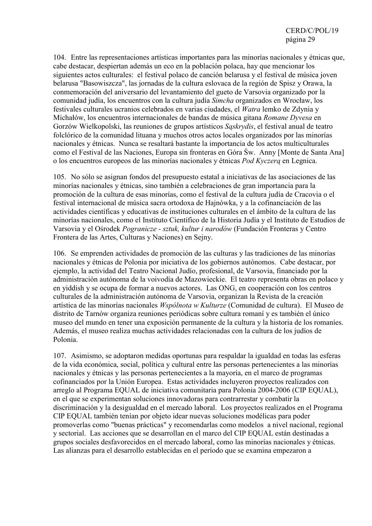104. Entre las representaciones artísticas importantes para las minorías nacionales y étnicas que, cabe destacar, despiertan además un eco en la población polaca, hay que mencionar los siguientes actos culturales: el festival polaco de canción belarusa y el festival de música joven belarusa "Basowiszcza", las jornadas de la cultura eslovaca de la región de Spisz y Orawa, la conmemoración del aniversario del levantamiento del gueto de Varsovia organizado por la comunidad judía, los encuentros con la cultura judía *Simcha* organizados en Wrocław, los festivales culturales ucranios celebrados en varias ciudades, el *Watra* lemko de Zdynia y Michałów, los encuentros internacionales de bandas de música gitana *Romane Dyvesa* en Gorzów Wielkopolski, las reuniones de grupos artísticos *Sąskrydis*, el festival anual de teatro folclórico de la comunidad lituana y muchos otros actos locales organizados por las minorías nacionales y étnicas. Nunca se resaltará bastante la importancia de los actos multiculturales como el Festival de las Naciones, Europa sin fronteras en Góra Św. Anny [Monte de Santa Ana] o los encuentros europeos de las minorías nacionales y étnicas *Pod Kyczerą* en Legnica.

105. No sólo se asignan fondos del presupuesto estatal a iniciativas de las asociaciones de las minorías nacionales y étnicas, sino también a celebraciones de gran importancia para la promoción de la cultura de esas minorías, como el festival de la cultura judía de Cracovia o el festival internacional de música sacra ortodoxa de Hajnówka, y a la cofinanciación de las actividades científicas y educativas de instituciones culturales en el ámbito de la cultura de las minorías nacionales, como el Instituto Científico de la Historia Judía y el Instituto de Estudios de Varsovia y el Ośrodek *Pogranicze - sztuk, kultur i narodów* (Fundación Fronteras y Centro Frontera de las Artes, Culturas y Naciones) en Sejny.

106. Se emprenden actividades de promoción de las culturas y las tradiciones de las minorías nacionales y étnicas de Polonia por iniciativa de los gobiernos autónomos. Cabe destacar, por ejemplo, la actividad del Teatro Nacional Judío, profesional, de Varsovia, financiado por la administración autónoma de la voivodía de Mazowieckie. El teatro representa obras en polaco y en yiddish y se ocupa de formar a nuevos actores. Las ONG, en cooperación con los centros culturales de la administración autónoma de Varsovia, organizan la Revista de la creación artística de las minorías nacionales *Wspólnota w Kulturze* (Comunidad de cultura). El Museo de distrito de Tarnów organiza reuniones periódicas sobre cultura romaní y es también el único museo del mundo en tener una exposición permanente de la cultura y la historia de los romaníes. Además, el museo realiza muchas actividades relacionadas con la cultura de los judíos de Polonia.

107. Asimismo, se adoptaron medidas oportunas para respaldar la igualdad en todas las esferas de la vida económica, social, política y cultural entre las personas pertenecientes a las minorías nacionales y étnicas y las personas pertenecientes a la mayoría, en el marco de programas cofinanciados por la Unión Europea. Estas actividades incluyeron proyectos realizados con arreglo al Programa EQUAL de iniciativa comunitaria para Polonia 2004-2006 (CIP EQUAL), en el que se experimentan soluciones innovadoras para contrarrestar y combatir la discriminación y la desigualdad en el mercado laboral. Los proyectos realizados en el Programa CIP EQUAL también tenían por objeto idear nuevas soluciones modélicas para poder promoverlas como "buenas prácticas" y recomendarlas como modelos a nivel nacional, regional y sectorial. Las acciones que se desarrollan en el marco del CIP EQUAL están destinadas a grupos sociales desfavorecidos en el mercado laboral, como las minorías nacionales y étnicas. Las alianzas para el desarrollo establecidas en el período que se examina empezaron a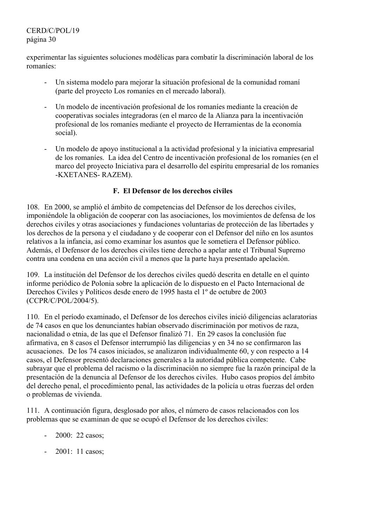CERD/C/POL/19 página 30

experimentar las siguientes soluciones modélicas para combatir la discriminación laboral de los romaníes:

- Un sistema modelo para mejorar la situación profesional de la comunidad romaní (parte del proyecto Los romaníes en el mercado laboral).
- Un modelo de incentivación profesional de los romaníes mediante la creación de cooperativas sociales integradoras (en el marco de la Alianza para la incentivación profesional de los romaníes mediante el proyecto de Herramientas de la economía social).
- Un modelo de apoyo institucional a la actividad profesional y la iniciativa empresarial de los romaníes. La idea del Centro de incentivación profesional de los romaníes (en el marco del proyecto Iniciativa para el desarrollo del espíritu empresarial de los romaníes -KXETANES- RAZEM).

## **F. El Defensor de los derechos civiles**

108. En 2000, se amplió el ámbito de competencias del Defensor de los derechos civiles, imponiéndole la obligación de cooperar con las asociaciones, los movimientos de defensa de los derechos civiles y otras asociaciones y fundaciones voluntarias de protección de las libertades y los derechos de la persona y el ciudadano y de cooperar con el Defensor del niño en los asuntos relativos a la infancia, así como examinar los asuntos que le sometiera el Defensor público. Además, el Defensor de los derechos civiles tiene derecho a apelar ante el Tribunal Supremo contra una condena en una acción civil a menos que la parte haya presentado apelación.

109. La institución del Defensor de los derechos civiles quedó descrita en detalle en el quinto informe periódico de Polonia sobre la aplicación de lo dispuesto en el Pacto Internacional de Derechos Civiles y Políticos desde enero de 1995 hasta el 1º de octubre de 2003 (CCPR/C/POL/2004/5).

110. En el período examinado, el Defensor de los derechos civiles inició diligencias aclaratorias de 74 casos en que los denunciantes habían observado discriminación por motivos de raza, nacionalidad o etnia, de las que el Defensor finalizó 71. En 29 casos la conclusión fue afirmativa, en 8 casos el Defensor interrumpió las diligencias y en 34 no se confirmaron las acusaciones. De los 74 casos iniciados, se analizaron individualmente 60, y con respecto a 14 casos, el Defensor presentó declaraciones generales a la autoridad pública competente. Cabe subrayar que el problema del racismo o la discriminación no siempre fue la razón principal de la presentación de la denuncia al Defensor de los derechos civiles. Hubo casos propios del ámbito del derecho penal, el procedimiento penal, las actividades de la policía u otras fuerzas del orden o problemas de vivienda.

111. A continuación figura, desglosado por años, el número de casos relacionados con los problemas que se examinan de que se ocupó el Defensor de los derechos civiles:

- 2000: 22 casos;
- 2001: 11 casos;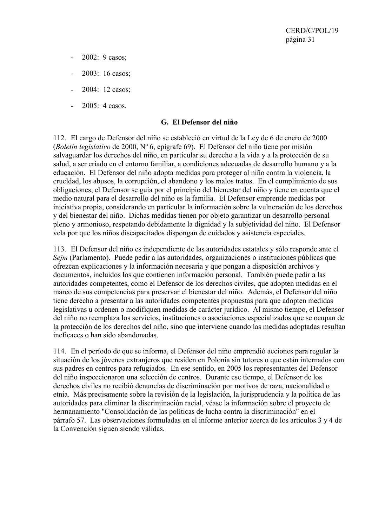- 2002: 9 casos;
- 2003: 16 casos;
- 2004: 12 casos;
- 2005: 4 casos.

#### **G. El Defensor del niño**

112. El cargo de Defensor del niño se estableció en virtud de la Ley de 6 de enero de 2000 (*Boletín legislativo* de 2000, Nº 6, epígrafe 69). El Defensor del niño tiene por misión salvaguardar los derechos del niño, en particular su derecho a la vida y a la protección de su salud, a ser criado en el entorno familiar, a condiciones adecuadas de desarrollo humano y a la educación. El Defensor del niño adopta medidas para proteger al niño contra la violencia, la crueldad, los abusos, la corrupción, el abandono y los malos tratos. En el cumplimiento de sus obligaciones, el Defensor se guía por el principio del bienestar del niño y tiene en cuenta que el medio natural para el desarrollo del niño es la familia. El Defensor emprende medidas por iniciativa propia, considerando en particular la información sobre la vulneración de los derechos y del bienestar del niño. Dichas medidas tienen por objeto garantizar un desarrollo personal pleno y armonioso, respetando debidamente la dignidad y la subjetividad del niño. El Defensor vela por que los niños discapacitados dispongan de cuidados y asistencia especiales.

113. El Defensor del niño es independiente de las autoridades estatales y sólo responde ante el *Sejm* (Parlamento). Puede pedir a las autoridades, organizaciones o instituciones públicas que ofrezcan explicaciones y la información necesaria y que pongan a disposición archivos y documentos, incluidos los que contienen información personal. También puede pedir a las autoridades competentes, como el Defensor de los derechos civiles, que adopten medidas en el marco de sus competencias para preservar el bienestar del niño. Además, el Defensor del niño tiene derecho a presentar a las autoridades competentes propuestas para que adopten medidas legislativas u ordenen o modifiquen medidas de carácter jurídico. Al mismo tiempo, el Defensor del niño no reemplaza los servicios, instituciones o asociaciones especializados que se ocupan de la protección de los derechos del niño, sino que interviene cuando las medidas adoptadas resultan ineficaces o han sido abandonadas.

114. En el período de que se informa, el Defensor del niño emprendió acciones para regular la situación de los jóvenes extranjeros que residen en Polonia sin tutores o que están internados con sus padres en centros para refugiados. En ese sentido, en 2005 los representantes del Defensor del niño inspeccionaron una selección de centros. Durante ese tiempo, el Defensor de los derechos civiles no recibió denuncias de discriminación por motivos de raza, nacionalidad o etnia. Más precisamente sobre la revisión de la legislación, la jurisprudencia y la política de las autoridades para eliminar la discriminación racial, véase la información sobre el proyecto de hermanamiento "Consolidación de las políticas de lucha contra la discriminación" en el párrafo 57. Las observaciones formuladas en el informe anterior acerca de los artículos 3 y 4 de la Convención siguen siendo válidas.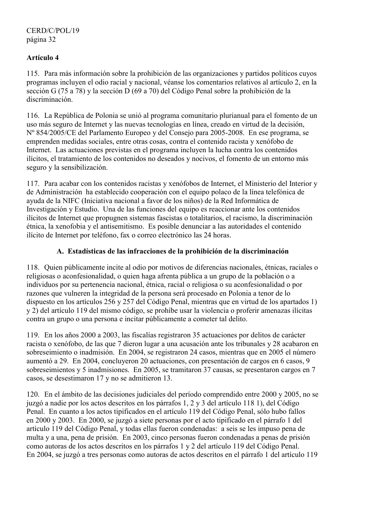# **Artículo 4**

115. Para más información sobre la prohibición de las organizaciones y partidos políticos cuyos programas incluyen el odio racial y nacional, véanse los comentarios relativos al artículo 2, en la sección G (75 a 78) y la sección D (69 a 70) del Código Penal sobre la prohibición de la discriminación.

116. La República de Polonia se unió al programa comunitario plurianual para el fomento de un uso más seguro de Internet y las nuevas tecnologías en línea, creado en virtud de la decisión, Nº 854/2005/CE del Parlamento Europeo y del Consejo para 2005-2008. En ese programa, se emprenden medidas sociales, entre otras cosas, contra el contenido racista y xenófobo de Internet. Las actuaciones previstas en el programa incluyen la lucha contra los contenidos ilícitos, el tratamiento de los contenidos no deseados y nocivos, el fomento de un entorno más seguro y la sensibilización.

117. Para acabar con los contenidos racistas y xenófobos de Internet, el Ministerio del Interior y de Administración ha establecido cooperación con el equipo polaco de la línea telefónica de ayuda de la NIFC (Iniciativa nacional a favor de los niños) de la Red Informática de Investigación y Estudio. Una de las funciones del equipo es reaccionar ante los contenidos ilícitos de Internet que propugnen sistemas fascistas o totalitarios, el racismo, la discriminación étnica, la xenofobia y el antisemitismo. Es posible denunciar a las autoridades el contenido ilícito de Internet por teléfono, fax o correo electrónico las 24 horas.

## **A. Estadísticas de las infracciones de la prohibición de la discriminación**

118. Quien públicamente incite al odio por motivos de diferencias nacionales, étnicas, raciales o religiosas o aconfesionalidad, o quien haga afrenta pública a un grupo de la población o a individuos por su pertenencia nacional, étnica, racial o religiosa o su aconfesionalidad o por razones que vulneren la integridad de la persona será procesado en Polonia a tenor de lo dispuesto en los artículos 256 y 257 del Código Penal, mientras que en virtud de los apartados 1) y 2) del artículo 119 del mismo código, se prohíbe usar la violencia o proferir amenazas ilícitas contra un grupo o una persona e incitar públicamente a cometer tal delito.

119. En los años 2000 a 2003, las fiscalías registraron 35 actuaciones por delitos de carácter racista o xenófobo, de las que 7 dieron lugar a una acusación ante los tribunales y 28 acabaron en sobreseimiento o inadmisión. En 2004, se registraron 24 casos, mientras que en 2005 el número aumentó a 29. En 2004, concluyeron 20 actuaciones, con presentación de cargos en 6 casos, 9 sobreseimientos y 5 inadmisiones. En 2005, se tramitaron 37 causas, se presentaron cargos en 7 casos, se desestimaron 17 y no se admitieron 13.

120. En el ámbito de las decisiones judiciales del período comprendido entre 2000 y 2005, no se juzgó a nadie por los actos descritos en los párrafos 1, 2 y 3 del artículo 118 1), del Código Penal. En cuanto a los actos tipificados en el artículo 119 del Código Penal, sólo hubo fallos en 2000 y 2003. En 2000, se juzgó a siete personas por el acto tipificado en el párrafo 1 del artículo 119 del Código Penal, y todas ellas fueron condenadas: a seis se les impuso pena de multa y a una, pena de prisión. En 2003, cinco personas fueron condenadas a penas de prisión como autoras de los actos descritos en los párrafos 1 y 2 del artículo 119 del Código Penal. En 2004, se juzgó a tres personas como autoras de actos descritos en el párrafo 1 del artículo 119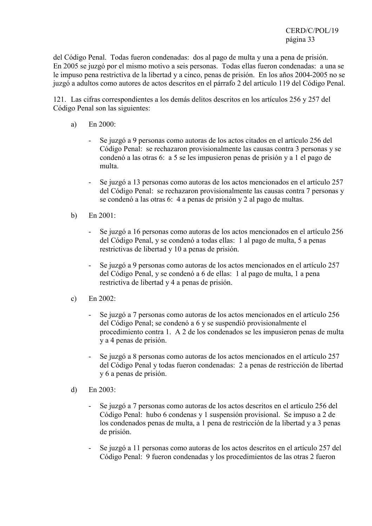del Código Penal. Todas fueron condenadas: dos al pago de multa y una a pena de prisión. En 2005 se juzgó por el mismo motivo a seis personas. Todas ellas fueron condenadas: a una se le impuso pena restrictiva de la libertad y a cinco, penas de prisión. En los años 2004-2005 no se juzgó a adultos como autores de actos descritos en el párrafo 2 del artículo 119 del Código Penal.

121. Las cifras correspondientes a los demás delitos descritos en los artículos 256 y 257 del Código Penal son las siguientes:

- a) En 2000:
	- Se juzgó a 9 personas como autoras de los actos citados en el artículo 256 del Código Penal: se rechazaron provisionalmente las causas contra 3 personas y se condenó a las otras 6: a 5 se les impusieron penas de prisión y a 1 el pago de multa.
	- Se juzgó a 13 personas como autoras de los actos mencionados en el artículo 257 del Código Penal: se rechazaron provisionalmente las causas contra 7 personas y se condenó a las otras 6: 4 a penas de prisión y 2 al pago de multas.
- b) En 2001:
	- Se juzgó a 16 personas como autoras de los actos mencionados en el artículo 256 del Código Penal, y se condenó a todas ellas: 1 al pago de multa, 5 a penas restrictivas de libertad y 10 a penas de prisión.
	- Se juzgó a 9 personas como autoras de los actos mencionados en el artículo 257 del Código Penal, y se condenó a 6 de ellas: 1 al pago de multa, 1 a pena restrictiva de libertad y 4 a penas de prisión.
- c) En  $2002$ 
	- Se juzgó a 7 personas como autoras de los actos mencionados en el artículo 256 del Código Penal; se condenó a 6 y se suspendió provisionalmente el procedimiento contra 1. A 2 de los condenados se les impusieron penas de multa y a 4 penas de prisión.
	- Se juzgó a 8 personas como autoras de los actos mencionados en el artículo 257 del Código Penal y todas fueron condenadas: 2 a penas de restricción de libertad y 6 a penas de prisión.
- d) En 2003:
	- Se juzgó a 7 personas como autoras de los actos descritos en el artículo 256 del Código Penal: hubo 6 condenas y 1 suspensión provisional. Se impuso a 2 de los condenados penas de multa, a 1 pena de restricción de la libertad y a 3 penas de prisión.
	- Se juzgó a 11 personas como autoras de los actos descritos en el artículo 257 del Código Penal: 9 fueron condenadas y los procedimientos de las otras 2 fueron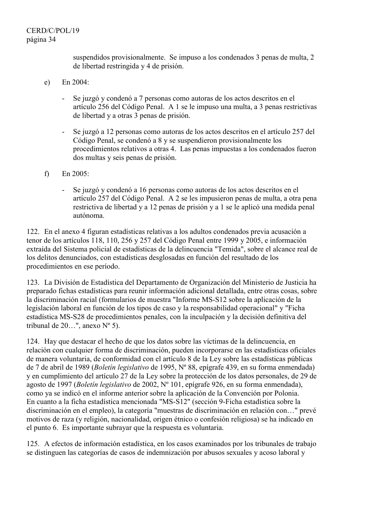suspendidos provisionalmente. Se impuso a los condenados 3 penas de multa, 2 de libertad restringida y 4 de prisión.

- e) En 2004:
	- Se juzgó y condenó a 7 personas como autoras de los actos descritos en el artículo 256 del Código Penal. A 1 se le impuso una multa, a 3 penas restrictivas de libertad y a otras 3 penas de prisión.
	- Se juzgó a 12 personas como autoras de los actos descritos en el artículo 257 del Código Penal, se condenó a 8 y se suspendieron provisionalmente los procedimientos relativos a otras 4. Las penas impuestas a los condenados fueron dos multas y seis penas de prisión.
- f) En 2005:
	- Se juzgó y condenó a 16 personas como autoras de los actos descritos en el artículo 257 del Código Penal. A 2 se les impusieron penas de multa, a otra pena restrictiva de libertad y a 12 penas de prisión y a 1 se le aplicó una medida penal autónoma.

122. En el anexo 4 figuran estadísticas relativas a los adultos condenados previa acusación a tenor de los artículos 118, 110, 256 y 257 del Código Penal entre 1999 y 2005, e información extraída del Sistema policial de estadísticas de la delincuencia "Temida", sobre el alcance real de los delitos denunciados, con estadísticas desglosadas en función del resultado de los procedimientos en ese período.

123. La División de Estadística del Departamento de Organización del Ministerio de Justicia ha preparado fichas estadísticas para reunir información adicional detallada, entre otras cosas, sobre la discriminación racial (formularios de muestra "Informe MS-S12 sobre la aplicación de la legislación laboral en función de los tipos de caso y la responsabilidad operacional" y "Ficha estadística MS-S28 de procedimientos penales, con la inculpación y la decisión definitiva del tribunal de 20...", anexo  $N^{\circ}$  5).

124. Hay que destacar el hecho de que los datos sobre las víctimas de la delincuencia, en relación con cualquier forma de discriminación, pueden incorporarse en las estadísticas oficiales de manera voluntaria, de conformidad con el artículo 8 de la Ley sobre las estadísticas públicas de 7 de abril de 1989 (*Boletín legislativo* de 1995, Nº 88, epígrafe 439, en su forma enmendada) y en cumplimiento del artículo 27 de la Ley sobre la protección de los datos personales, de 29 de agosto de 1997 (*Boletín legislativo* de 2002, Nº 101, epígrafe 926, en su forma enmendada), como ya se indicó en el informe anterior sobre la aplicación de la Convención por Polonia. En cuanto a la ficha estadística mencionada "MS-S12" (sección 9-Ficha estadística sobre la discriminación en el empleo), la categoría "muestras de discriminación en relación con…" prevé motivos de raza (y religión, nacionalidad, origen étnico o confesión religiosa) se ha indicado en el punto 6. Es importante subrayar que la respuesta es voluntaria.

125. A efectos de información estadística, en los casos examinados por los tribunales de trabajo se distinguen las categorías de casos de indemnización por abusos sexuales y acoso laboral y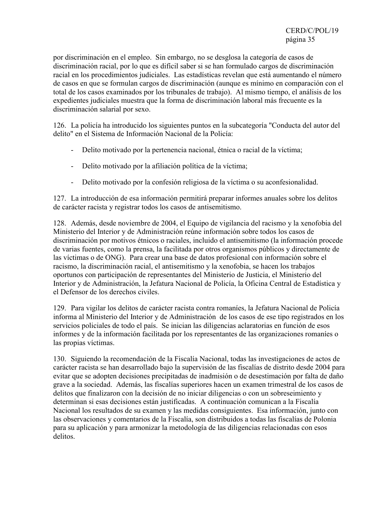por discriminación en el empleo. Sin embargo, no se desglosa la categoría de casos de discriminación racial, por lo que es difícil saber si se han formulado cargos de discriminación racial en los procedimientos judiciales. Las estadísticas revelan que está aumentando el número de casos en que se formulan cargos de discriminación (aunque es mínimo en comparación con el total de los casos examinados por los tribunales de trabajo). Al mismo tiempo, el análisis de los expedientes judiciales muestra que la forma de discriminación laboral más frecuente es la discriminación salarial por sexo.

126. La policía ha introducido los siguientes puntos en la subcategoría "Conducta del autor del delito" en el Sistema de Información Nacional de la Policía:

- Delito motivado por la pertenencia nacional, étnica o racial de la víctima;
- Delito motivado por la afiliación política de la víctima;
- Delito motivado por la confesión religiosa de la víctima o su aconfesionalidad.

127. La introducción de esa información permitirá preparar informes anuales sobre los delitos de carácter racista y registrar todos los casos de antisemitismo.

128. Además, desde noviembre de 2004, el Equipo de vigilancia del racismo y la xenofobia del Ministerio del Interior y de Administración reúne información sobre todos los casos de discriminación por motivos étnicos o raciales, incluido el antisemitismo (la información procede de varias fuentes, como la prensa, la facilitada por otros organismos públicos y directamente de las víctimas o de ONG). Para crear una base de datos profesional con información sobre el racismo, la discriminación racial, el antisemitismo y la xenofobia, se hacen los trabajos oportunos con participación de representantes del Ministerio de Justicia, el Ministerio del Interior y de Administración, la Jefatura Nacional de Policía, la Oficina Central de Estadística y el Defensor de los derechos civiles.

129. Para vigilar los delitos de carácter racista contra romaníes, la Jefatura Nacional de Policía informa al Ministerio del Interior y de Administración de los casos de ese tipo registrados en los servicios policiales de todo el país. Se inician las diligencias aclaratorias en función de esos informes y de la información facilitada por los representantes de las organizaciones romaníes o las propias víctimas.

130. Siguiendo la recomendación de la Fiscalía Nacional, todas las investigaciones de actos de carácter racista se han desarrollado bajo la supervisión de las fiscalías de distrito desde 2004 para evitar que se adopten decisiones precipitadas de inadmisión o de desestimación por falta de daño grave a la sociedad. Además, las fiscalías superiores hacen un examen trimestral de los casos de delitos que finalizaron con la decisión de no iniciar diligencias o con un sobreseimiento y determinan si esas decisiones están justificadas. A continuación comunican a la Fiscalía Nacional los resultados de su examen y las medidas consiguientes. Esa información, junto con las observaciones y comentarios de la Fiscalía, son distribuidos a todas las fiscalías de Polonia para su aplicación y para armonizar la metodología de las diligencias relacionadas con esos delitos.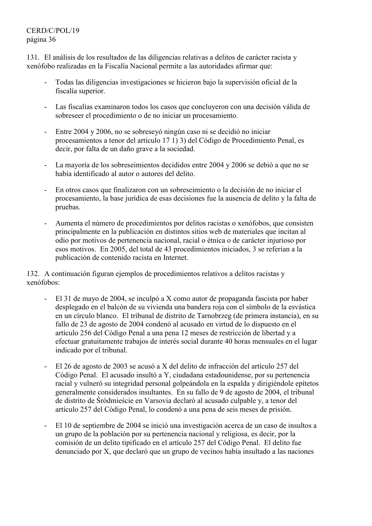# CERD/C/POL/19 página 36

131. El análisis de los resultados de las diligencias relativas a delitos de carácter racista y xenófobo realizadas en la Fiscalía Nacional permite a las autoridades afirmar que:

- Todas las diligencias investigaciones se hicieron bajo la supervisión oficial de la fiscalía superior.
- Las fiscalías examinaron todos los casos que concluyeron con una decisión válida de sobreseer el procedimiento o de no iniciar un procesamiento.
- Entre 2004 y 2006, no se sobreseyó ningún caso ni se decidió no iniciar procesamientos a tenor del artículo 17 1) 3) del Código de Procedimiento Penal, es decir, por falta de un daño grave a la sociedad.
- La mayoría de los sobreseimientos decididos entre 2004 y 2006 se debió a que no se había identificado al autor o autores del delito.
- En otros casos que finalizaron con un sobreseimiento o la decisión de no iniciar el procesamiento, la base jurídica de esas decisiones fue la ausencia de delito y la falta de pruebas.
- Aumenta el número de procedimientos por delitos racistas o xenófobos, que consisten principalmente en la publicación en distintos sitios web de materiales que incitan al odio por motivos de pertenencia nacional, racial o étnica o de carácter injurioso por esos motivos. En 2005, del total de 43 procedimientos iniciados, 3 se referían a la publicación de contenido racista en Internet.

132. A continuación figuran ejemplos de procedimientos relativos a delitos racistas y xenófobos:

- El 31 de mayo de 2004, se inculpó a X como autor de propaganda fascista por haber desplegado en el balcón de su vivienda una bandera roja con el símbolo de la esvástica en un círculo blanco. El tribunal de distrito de Tarnobrzeg (de primera instancia), en su fallo de 23 de agosto de 2004 condenó al acusado en virtud de lo dispuesto en el artículo 256 del Código Penal a una pena 12 meses de restricción de libertad y a efectuar gratuitamente trabajos de interés social durante 40 horas mensuales en el lugar indicado por el tribunal.
- El 26 de agosto de 2003 se acusó a X del delito de infracción del artículo 257 del Código Penal. El acusado insultó a Y, ciudadana estadounidense, por su pertenencia racial y vulneró su integridad personal golpeándola en la espalda y dirigiéndole epítetos generalmente considerados insultantes. En su fallo de 9 de agosto de 2004, el tribunal de distrito de Śródmieście en Varsovia declaró al acusado culpable y, a tenor del artículo 257 del Código Penal, lo condenó a una pena de seis meses de prisión.
- El 10 de septiembre de 2004 se inició una investigación acerca de un caso de insultos a un grupo de la población por su pertenencia nacional y religiosa, es decir, por la comisión de un delito tipificado en el artículo 257 del Código Penal. El delito fue denunciado por X, que declaró que un grupo de vecinos había insultado a las naciones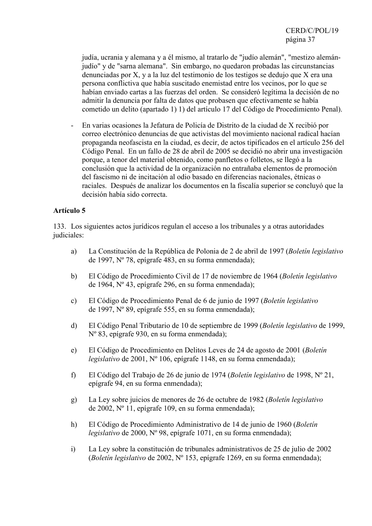judía, ucrania y alemana y a él mismo, al tratarlo de "judío alemán", "mestizo alemánjudío" y de "sarna alemana". Sin embargo, no quedaron probadas las circunstancias denunciadas por X, y a la luz del testimonio de los testigos se dedujo que X era una persona conflictiva que había suscitado enemistad entre los vecinos, por lo que se habían enviado cartas a las fuerzas del orden. Se consideró legítima la decisión de no admitir la denuncia por falta de datos que probasen que efectivamente se había cometido un delito (apartado 1) 1) del artículo 17 del Código de Procedimiento Penal).

- En varias ocasiones la Jefatura de Policía de Distrito de la ciudad de X recibió por correo electrónico denuncias de que activistas del movimiento nacional radical hacían propaganda neofascista en la ciudad, es decir, de actos tipificados en el artículo 256 del Código Penal. En un fallo de 28 de abril de 2005 se decidió no abrir una investigación porque, a tenor del material obtenido, como panfletos o folletos, se llegó a la conclusión que la actividad de la organización no entrañaba elementos de promoción del fascismo ni de incitación al odio basado en diferencias nacionales, étnicas o raciales. Después de analizar los documentos en la fiscalía superior se concluyó que la decisión había sido correcta.

## **Artículo 5**

133. Los siguientes actos jurídicos regulan el acceso a los tribunales y a otras autoridades judiciales:

- a) La Constitución de la República de Polonia de 2 de abril de 1997 (*Boletín legislativo* de 1997, Nº 78, epígrafe 483, en su forma enmendada);
- b) El Código de Procedimiento Civil de 17 de noviembre de 1964 (*Boletín legislativo* de 1964, Nº 43, epígrafe 296, en su forma enmendada);
- c) El Código de Procedimiento Penal de 6 de junio de 1997 (*Boletín legislativo* de 1997, Nº 89, epígrafe 555, en su forma enmendada);
- d) El Código Penal Tributario de 10 de septiembre de 1999 (*Boletín legislativo* de 1999, Nº 83, epígrafe 930, en su forma enmendada);
- e) El Código de Procedimiento en Delitos Leves de 24 de agosto de 2001 (*Boletín legislativo* de 2001, Nº 106, epígrafe 1148, en su forma enmendada);
- f) El Código del Trabajo de 26 de junio de 1974 (*Boletín legislativo* de 1998, Nº 21, epígrafe 94, en su forma enmendada);
- g) La Ley sobre juicios de menores de 26 de octubre de 1982 (*Boletín legislativo* de 2002, Nº 11, epígrafe 109, en su forma enmendada);
- h) El Código de Procedimiento Administrativo de 14 de junio de 1960 (*Boletín legislativo* de 2000, Nº 98, epígrafe 1071, en su forma enmendada);
- i) La Ley sobre la constitución de tribunales administrativos de 25 de julio de 2002 (*Boletín legislativo* de 2002, Nº 153, epígrafe 1269, en su forma enmendada);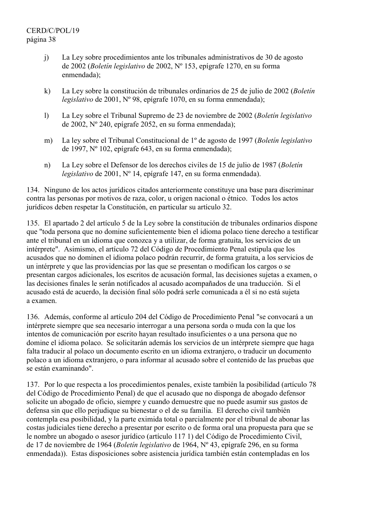- j) La Ley sobre procedimientos ante los tribunales administrativos de 30 de agosto de 2002 (*Boletín legislativo* de 2002, Nº 153, epígrafe 1270, en su forma enmendada);
- k) La Ley sobre la constitución de tribunales ordinarios de 25 de julio de 2002 (*Boletín legislativo* de 2001, Nº 98, epígrafe 1070, en su forma enmendada);
- l) La Ley sobre el Tribunal Supremo de 23 de noviembre de 2002 (*Boletín legislativo* de 2002, Nº 240, epígrafe 2052, en su forma enmendada);
- m) La ley sobre el Tribunal Constitucional de 1º de agosto de 1997 (*Boletín legislativo* de 1997, Nº 102, epígrafe 643, en su forma enmendada);
- n) La Ley sobre el Defensor de los derechos civiles de 15 de julio de 1987 (*Boletín legislativo* de 2001, Nº 14, epígrafe 147, en su forma enmendada).

134. Ninguno de los actos jurídicos citados anteriormente constituye una base para discriminar contra las personas por motivos de raza, color, u origen nacional o étnico. Todos los actos jurídicos deben respetar la Constitución, en particular su artículo 32.

135. El apartado 2 del artículo 5 de la Ley sobre la constitución de tribunales ordinarios dispone que "toda persona que no domine suficientemente bien el idioma polaco tiene derecho a testificar ante el tribunal en un idioma que conozca y a utilizar, de forma gratuita, los servicios de un intérprete". Asimismo, el artículo 72 del Código de Procedimiento Penal estipula que los acusados que no dominen el idioma polaco podrán recurrir, de forma gratuita, a los servicios de un intérprete y que las providencias por las que se presentan o modifican los cargos o se presentan cargos adicionales, los escritos de acusación formal, las decisiones sujetas a examen, o las decisiones finales le serán notificados al acusado acompañados de una traducción. Si el acusado está de acuerdo, la decisión final sólo podrá serle comunicada a él si no está sujeta a examen.

136. Además, conforme al artículo 204 del Código de Procedimiento Penal "se convocará a un intérprete siempre que sea necesario interrogar a una persona sorda o muda con la que los intentos de comunicación por escrito hayan resultado insuficientes o a una persona que no domine el idioma polaco. Se solicitarán además los servicios de un intérprete siempre que haga falta traducir al polaco un documento escrito en un idioma extranjero, o traducir un documento polaco a un idioma extranjero, o para informar al acusado sobre el contenido de las pruebas que se están examinando".

137. Por lo que respecta a los procedimientos penales, existe también la posibilidad (artículo 78 del Código de Procedimiento Penal) de que el acusado que no disponga de abogado defensor solicite un abogado de oficio, siempre y cuando demuestre que no puede asumir sus gastos de defensa sin que ello perjudique su bienestar o el de su familia. El derecho civil también contempla esa posibilidad, y la parte eximida total o parcialmente por el tribunal de abonar las costas judiciales tiene derecho a presentar por escrito o de forma oral una propuesta para que se le nombre un abogado o asesor jurídico (artículo 117 1) del Código de Procedimiento Civil, de 17 de noviembre de 1964 (*Boletín legislativo* de 1964, Nº 43, epígrafe 296, en su forma enmendada)). Estas disposiciones sobre asistencia jurídica también están contempladas en los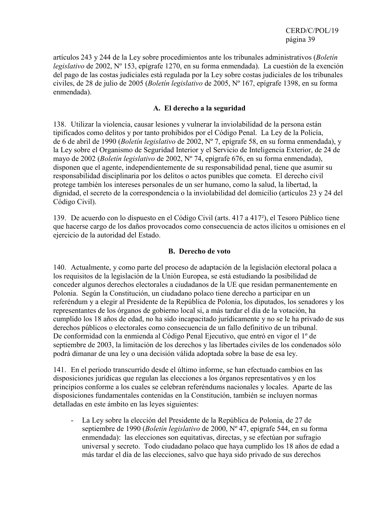artículos 243 y 244 de la Ley sobre procedimientos ante los tribunales administrativos (*Boletín legislativo* de 2002, Nº 153, epígrafe 1270, en su forma enmendada). La cuestión de la exención del pago de las costas judiciales está regulada por la Ley sobre costas judiciales de los tribunales civiles, de 28 de julio de 2005 (*Boletín legislativo* de 2005, Nº 167, epígrafe 1398, en su forma enmendada).

#### **A. El derecho a la seguridad**

138. Utilizar la violencia, causar lesiones y vulnerar la inviolabilidad de la persona están tipificados como delitos y por tanto prohibidos por el Código Penal. La Ley de la Policía, de 6 de abril de 1990 (*Boletín legislativo* de 2002, Nº 7, epígrafe 58, en su forma enmendada), y la Ley sobre el Organismo de Seguridad Interior y el Servicio de Inteligencia Exterior, de 24 de mayo de 2002 (*Boletín legislativo* de 2002, Nº 74, epígrafe 676, en su forma enmendada), disponen que el agente, independientemente de su responsabilidad penal, tiene que asumir su responsabilidad disciplinaria por los delitos o actos punibles que cometa. El derecho civil protege también los intereses personales de un ser humano, como la salud, la libertad, la dignidad, el secreto de la correspondencia o la inviolabilidad del domicilio (artículos 23 y 24 del Código Civil).

139. De acuerdo con lo dispuesto en el Código Civil (arts. 417 a 417²), el Tesoro Público tiene que hacerse cargo de los daños provocados como consecuencia de actos ilícitos u omisiones en el ejercicio de la autoridad del Estado.

## **B. Derecho de voto**

140. Actualmente, y como parte del proceso de adaptación de la legislación electoral polaca a los requisitos de la legislación de la Unión Europea, se está estudiando la posibilidad de conceder algunos derechos electorales a ciudadanos de la UE que residan permanentemente en Polonia. Según la Constitución, un ciudadano polaco tiene derecho a participar en un referéndum y a elegir al Presidente de la República de Polonia, los diputados, los senadores y los representantes de los órganos de gobierno local si, a más tardar el día de la votación, ha cumplido los 18 años de edad, no ha sido incapacitado jurídicamente y no se le ha privado de sus derechos públicos o electorales como consecuencia de un fallo definitivo de un tribunal. De conformidad con la enmienda al Código Penal Ejecutivo, que entró en vigor el 1º de septiembre de 2003, la limitación de los derechos y las libertades civiles de los condenados sólo podrá dimanar de una ley o una decisión válida adoptada sobre la base de esa ley.

141. En el período transcurrido desde el último informe, se han efectuado cambios en las disposiciones jurídicas que regulan las elecciones a los órganos representativos y en los principios conforme a los cuales se celebran referéndums nacionales y locales. Aparte de las disposiciones fundamentales contenidas en la Constitución, también se incluyen normas detalladas en este ámbito en las leyes siguientes:

La Ley sobre la elección del Presidente de la República de Polonia, de 27 de septiembre de 1990 (*Boletín legislativo* de 2000, Nº 47, epígrafe 544, en su forma enmendada): las elecciones son equitativas, directas, y se efectúan por sufragio universal y secreto. Todo ciudadano polaco que haya cumplido los 18 años de edad a más tardar el día de las elecciones, salvo que haya sido privado de sus derechos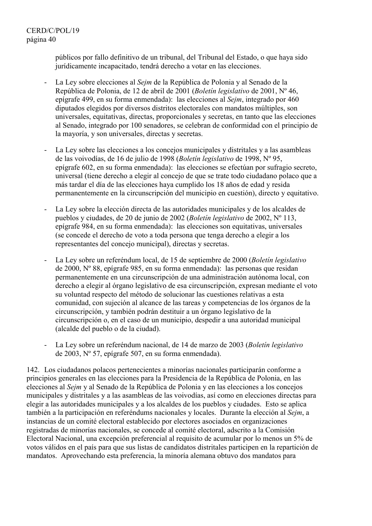públicos por fallo definitivo de un tribunal, del Tribunal del Estado, o que haya sido jurídicamente incapacitado, tendrá derecho a votar en las elecciones.

- La Ley sobre elecciones al *Sejm* de la República de Polonia y al Senado de la República de Polonia, de 12 de abril de 2001 (*Boletín legislativo* de 2001, Nº 46, epígrafe 499, en su forma enmendada): las elecciones al *Sejm*, integrado por 460 diputados elegidos por diversos distritos electorales con mandatos múltiples, son universales, equitativas, directas, proporcionales y secretas, en tanto que las elecciones al Senado, integrado por 100 senadores, se celebran de conformidad con el principio de la mayoría, y son universales, directas y secretas.
- La Ley sobre las elecciones a los concejos municipales y distritales y a las asambleas de las voivodías, de 16 de julio de 1998 (*Boletín legislativo* de 1998, Nº 95, epígrafe 602, en su forma enmendada): las elecciones se efectúan por sufragio secreto, universal (tiene derecho a elegir al concejo de que se trate todo ciudadano polaco que a más tardar el día de las elecciones haya cumplido los 18 años de edad y resida permanentemente en la circunscripción del municipio en cuestión), directo y equitativo.
- La Ley sobre la elección directa de las autoridades municipales y de los alcaldes de pueblos y ciudades, de 20 de junio de 2002 (*Boletín legislativo* de 2002, Nº 113, epígrafe 984, en su forma enmendada): las elecciones son equitativas, universales (se concede el derecho de voto a toda persona que tenga derecho a elegir a los representantes del concejo municipal), directas y secretas.
- La Ley sobre un referéndum local, de 15 de septiembre de 2000 (*Boletín legislativo* de 2000, Nº 88, epígrafe 985, en su forma enmendada): las personas que residan permanentemente en una circunscripción de una administración autónoma local, con derecho a elegir al órgano legislativo de esa circunscripción, expresan mediante el voto su voluntad respecto del método de solucionar las cuestiones relativas a esta comunidad, con sujeción al alcance de las tareas y competencias de los órganos de la circunscripción, y también podrán destituir a un órgano legislativo de la circunscripción o, en el caso de un municipio, despedir a una autoridad municipal (alcalde del pueblo o de la ciudad).
- La Ley sobre un referéndum nacional, de 14 de marzo de 2003 (*Boletín legislativo* de 2003, Nº 57, epígrafe 507, en su forma enmendada).

142. Los ciudadanos polacos pertenecientes a minorías nacionales participarán conforme a principios generales en las elecciones para la Presidencia de la República de Polonia, en las elecciones al *Sejm* y al Senado de la República de Polonia y en las elecciones a los concejos municipales y distritales y a las asambleas de las voivodías, así como en elecciones directas para elegir a las autoridades municipales y a los alcaldes de los pueblos y ciudades. Esto se aplica también a la participación en referéndums nacionales y locales. Durante la elección al *Sejm*, a instancias de un comité electoral establecido por electores asociados en organizaciones registradas de minorías nacionales, se concede al comité electoral, adscrito a la Comisión Electoral Nacional, una excepción preferencial al requisito de acumular por lo menos un 5% de votos válidos en el país para que sus listas de candidatos distritales participen en la repartición de mandatos. Aprovechando esta preferencia, la minoría alemana obtuvo dos mandatos para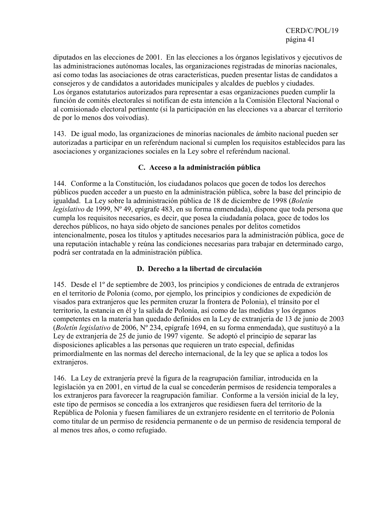diputados en las elecciones de 2001. En las elecciones a los órganos legislativos y ejecutivos de las administraciones autónomas locales, las organizaciones registradas de minorías nacionales, así como todas las asociaciones de otras características, pueden presentar listas de candidatos a consejeros y de candidatos a autoridades municipales y alcaldes de pueblos y ciudades. Los órganos estatutarios autorizados para representar a esas organizaciones pueden cumplir la función de comités electorales si notifican de esta intención a la Comisión Electoral Nacional o al comisionado electoral pertinente (si la participación en las elecciones va a abarcar el territorio de por lo menos dos voivodías).

143. De igual modo, las organizaciones de minorías nacionales de ámbito nacional pueden ser autorizadas a participar en un referéndum nacional si cumplen los requisitos establecidos para las asociaciones y organizaciones sociales en la Ley sobre el referéndum nacional.

## **C. Acceso a la administración pública**

144. Conforme a la Constitución, los ciudadanos polacos que gocen de todos los derechos públicos pueden acceder a un puesto en la administración pública, sobre la base del principio de igualdad. La Ley sobre la administración pública de 18 de diciembre de 1998 (*Boletín legislativo* de 1999, Nº 49, epígrafe 483, en su forma enmendada), dispone que toda persona que cumpla los requisitos necesarios, es decir, que posea la ciudadanía polaca, goce de todos los derechos públicos, no haya sido objeto de sanciones penales por delitos cometidos intencionalmente, posea los títulos y aptitudes necesarios para la administración pública, goce de una reputación intachable y reúna las condiciones necesarias para trabajar en determinado cargo, podrá ser contratada en la administración pública.

## **D. Derecho a la libertad de circulación**

145. Desde el 1º de septiembre de 2003, los principios y condiciones de entrada de extranjeros en el territorio de Polonia (como, por ejemplo, los principios y condiciones de expedición de visados para extranjeros que les permiten cruzar la frontera de Polonia), el tránsito por el territorio, la estancia en él y la salida de Polonia, así como de las medidas y los órganos competentes en la materia han quedado definidos en la Ley de extranjería de 13 de junio de 2003 (*Boletín legislativo* de 2006, Nº 234, epígrafe 1694, en su forma enmendada), que sustituyó a la Ley de extranjería de 25 de junio de 1997 vigente. Se adoptó el principio de separar las disposiciones aplicables a las personas que requieren un trato especial, definidas primordialmente en las normas del derecho internacional, de la ley que se aplica a todos los extranjeros.

146. La Ley de extranjería prevé la figura de la reagrupación familiar, introducida en la legislación ya en 2001, en virtud de la cual se concederán permisos de residencia temporales a los extranjeros para favorecer la reagrupación familiar. Conforme a la versión inicial de la ley, este tipo de permisos se concedía a los extranjeros que residiesen fuera del territorio de la República de Polonia y fuesen familiares de un extranjero residente en el territorio de Polonia como titular de un permiso de residencia permanente o de un permiso de residencia temporal de al menos tres años, o como refugiado.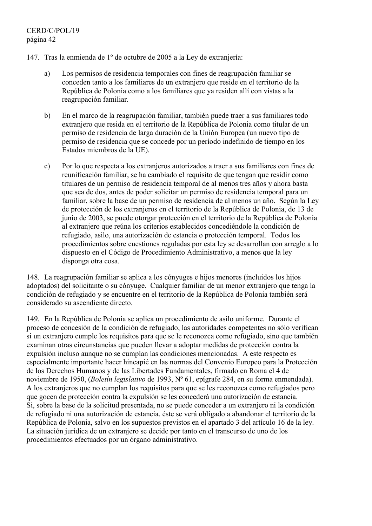- 147. Tras la enmienda de 1º de octubre de 2005 a la Ley de extranjería:
	- a) Los permisos de residencia temporales con fines de reagrupación familiar se conceden tanto a los familiares de un extranjero que reside en el territorio de la República de Polonia como a los familiares que ya residen allí con vistas a la reagrupación familiar.
	- b) En el marco de la reagrupación familiar, también puede traer a sus familiares todo extranjero que resida en el territorio de la República de Polonia como titular de un permiso de residencia de larga duración de la Unión Europea (un nuevo tipo de permiso de residencia que se concede por un período indefinido de tiempo en los Estados miembros de la UE).
	- c) Por lo que respecta a los extranjeros autorizados a traer a sus familiares con fines de reunificación familiar, se ha cambiado el requisito de que tengan que residir como titulares de un permiso de residencia temporal de al menos tres años y ahora basta que sea de dos, antes de poder solicitar un permiso de residencia temporal para un familiar, sobre la base de un permiso de residencia de al menos un año. Según la Ley de protección de los extranjeros en el territorio de la República de Polonia, de 13 de junio de 2003, se puede otorgar protección en el territorio de la República de Polonia al extranjero que reúna los criterios establecidos concediéndole la condición de refugiado, asilo, una autorización de estancia o protección temporal. Todos los procedimientos sobre cuestiones reguladas por esta ley se desarrollan con arreglo a lo dispuesto en el Código de Procedimiento Administrativo, a menos que la ley disponga otra cosa.

148. La reagrupación familiar se aplica a los cónyuges e hijos menores (incluidos los hijos adoptados) del solicitante o su cónyuge. Cualquier familiar de un menor extranjero que tenga la condición de refugiado y se encuentre en el territorio de la República de Polonia también será considerado su ascendiente directo.

149. En la República de Polonia se aplica un procedimiento de asilo uniforme. Durante el proceso de concesión de la condición de refugiado, las autoridades competentes no sólo verifican si un extranjero cumple los requisitos para que se le reconozca como refugiado, sino que también examinan otras circunstancias que pueden llevar a adoptar medidas de protección contra la expulsión incluso aunque no se cumplan las condiciones mencionadas. A este respecto es especialmente importante hacer hincapié en las normas del Convenio Europeo para la Protección de los Derechos Humanos y de las Libertades Fundamentales, firmado en Roma el 4 de noviembre de 1950, (*Boletín legislativo* de 1993, Nº 61, epígrafe 284, en su forma enmendada). A los extranjeros que no cumplan los requisitos para que se les reconozca como refugiados pero que gocen de protección contra la expulsión se les concederá una autorización de estancia. Si, sobre la base de la solicitud presentada, no se puede conceder a un extranjero ni la condición de refugiado ni una autorización de estancia, éste se verá obligado a abandonar el territorio de la República de Polonia, salvo en los supuestos previstos en el apartado 3 del artículo 16 de la ley. La situación jurídica de un extranjero se decide por tanto en el transcurso de uno de los procedimientos efectuados por un órgano administrativo.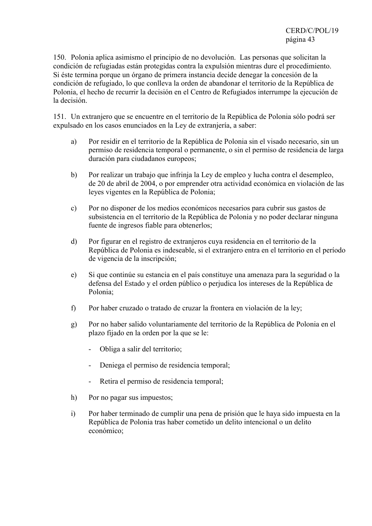150. Polonia aplica asimismo el principio de no devolución. Las personas que solicitan la condición de refugiadas están protegidas contra la expulsión mientras dure el procedimiento. Si éste termina porque un órgano de primera instancia decide denegar la concesión de la condición de refugiado, lo que conlleva la orden de abandonar el territorio de la República de Polonia, el hecho de recurrir la decisión en el Centro de Refugiados interrumpe la ejecución de la decisión.

151. Un extranjero que se encuentre en el territorio de la República de Polonia sólo podrá ser expulsado en los casos enunciados en la Ley de extranjería, a saber:

- a) Por residir en el territorio de la República de Polonia sin el visado necesario, sin un permiso de residencia temporal o permanente, o sin el permiso de residencia de larga duración para ciudadanos europeos;
- b) Por realizar un trabajo que infrinja la Ley de empleo y lucha contra el desempleo, de 20 de abril de 2004, o por emprender otra actividad económica en violación de las leyes vigentes en la República de Polonia;
- c) Por no disponer de los medios económicos necesarios para cubrir sus gastos de subsistencia en el territorio de la República de Polonia y no poder declarar ninguna fuente de ingresos fiable para obtenerlos;
- d) Por figurar en el registro de extranjeros cuya residencia en el territorio de la República de Polonia es indeseable, si el extranjero entra en el territorio en el período de vigencia de la inscripción;
- e) Si que continúe su estancia en el país constituye una amenaza para la seguridad o la defensa del Estado y el orden público o perjudica los intereses de la República de Polonia;
- f) Por haber cruzado o tratado de cruzar la frontera en violación de la ley;
- g) Por no haber salido voluntariamente del territorio de la República de Polonia en el plazo fijado en la orden por la que se le:
	- Obliga a salir del territorio;
	- Deniega el permiso de residencia temporal;
	- Retira el permiso de residencia temporal;
- h) Por no pagar sus impuestos;
- i) Por haber terminado de cumplir una pena de prisión que le haya sido impuesta en la República de Polonia tras haber cometido un delito intencional o un delito económico;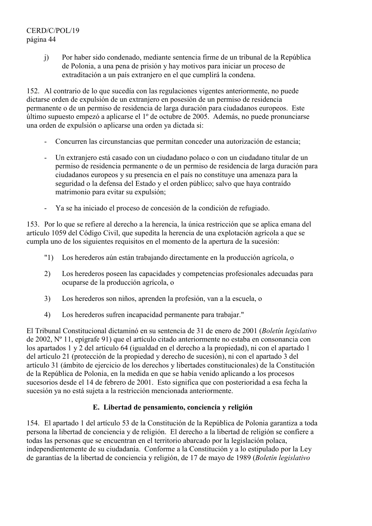# CERD/C/POL/19 página 44

j) Por haber sido condenado, mediante sentencia firme de un tribunal de la República de Polonia, a una pena de prisión y hay motivos para iniciar un proceso de extraditación a un país extranjero en el que cumplirá la condena.

152. Al contrario de lo que sucedía con las regulaciones vigentes anteriormente, no puede dictarse orden de expulsión de un extranjero en posesión de un permiso de residencia permanente o de un permiso de residencia de larga duración para ciudadanos europeos. Este último supuesto empezó a aplicarse el 1º de octubre de 2005. Además, no puede pronunciarse una orden de expulsión o aplicarse una orden ya dictada si:

- Concurren las circunstancias que permitan conceder una autorización de estancia;
- Un extranjero está casado con un ciudadano polaco o con un ciudadano titular de un permiso de residencia permanente o de un permiso de residencia de larga duración para ciudadanos europeos y su presencia en el país no constituye una amenaza para la seguridad o la defensa del Estado y el orden público; salvo que haya contraído matrimonio para evitar su expulsión;
- Ya se ha iniciado el proceso de concesión de la condición de refugiado.

153. Por lo que se refiere al derecho a la herencia, la única restricción que se aplica emana del artículo 1059 del Código Civil, que supedita la herencia de una explotación agrícola a que se cumpla uno de los siguientes requisitos en el momento de la apertura de la sucesión:

- "1) Los herederos aún están trabajando directamente en la producción agrícola, o
- 2) Los herederos poseen las capacidades y competencias profesionales adecuadas para ocuparse de la producción agrícola, o
- 3) Los herederos son niños, aprenden la profesión, van a la escuela, o
- 4) Los herederos sufren incapacidad permanente para trabajar."

El Tribunal Constitucional dictaminó en su sentencia de 31 de enero de 2001 (*Boletín legislativo* de 2002, Nº 11, epígrafe 91) que el artículo citado anteriormente no estaba en consonancia con los apartados 1 y 2 del artículo 64 (igualdad en el derecho a la propiedad), ni con el apartado 1 del artículo 21 (protección de la propiedad y derecho de sucesión), ni con el apartado 3 del artículo 31 (ámbito de ejercicio de los derechos y libertades constitucionales) de la Constitución de la República de Polonia, en la medida en que se había venido aplicando a los procesos sucesorios desde el 14 de febrero de 2001. Esto significa que con posterioridad a esa fecha la sucesión ya no está sujeta a la restricción mencionada anteriormente.

## **E. Libertad de pensamiento, conciencia y religión**

154. El apartado 1 del artículo 53 de la Constitución de la República de Polonia garantiza a toda persona la libertad de conciencia y de religión. El derecho a la libertad de religión se confiere a todas las personas que se encuentran en el territorio abarcado por la legislación polaca, independientemente de su ciudadanía. Conforme a la Constitución y a lo estipulado por la Ley de garantías de la libertad de conciencia y religión, de 17 de mayo de 1989 (*Boletín legislativo*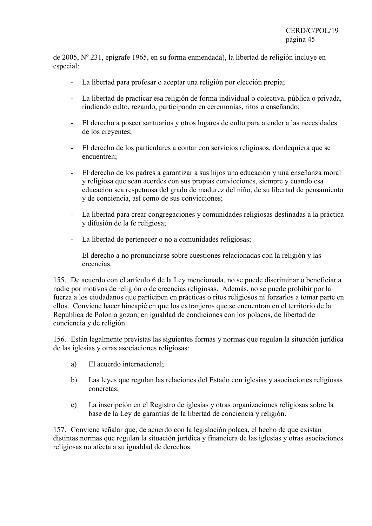de 2005, Nº 231, epígrafe 1965, en su forma enmendada), la libertad de religión incluye en especial:

- La libertad para profesar o aceptar una religión por elección propia;
- La libertad de practicar esa religión de forma individual o colectiva, pública o privada, rindiendo culto, rezando, participando en ceremonias, ritos o enseñando;
- El derecho a poseer santuarios y otros lugares de culto para atender a las necesidades de los creyentes;
- El derecho de los particulares a contar con servicios religiosos, dondequiera que se encuentren;
- El derecho de los padres a garantizar a sus hijos una educación y una enseñanza moral y religiosa que sean acordes con sus propias convicciones, siempre y cuando esa educación sea respetuosa del grado de madurez del niño, de su libertad de pensamiento y de conciencia, así como de sus convicciones;
- La libertad para crear congregaciones y comunidades religiosas destinadas a la práctica y difusión de la fe religiosa;
- La libertad de pertenecer o no a comunidades religiosas;
- El derecho a no pronunciarse sobre cuestiones relacionadas con la religión y las creencias.

155. De acuerdo con el artículo 6 de la Ley mencionada, no se puede discriminar o beneficiar a nadie por motivos de religión o de creencias religiosas. Además, no se puede prohibir por la fuerza a los ciudadanos que participen en prácticas o ritos religiosos ni forzarlos a tomar parte en ellos. Conviene hacer hincapié en que los extranjeros que se encuentran en el territorio de la República de Polonia gozan, en igualdad de condiciones con los polacos, de libertad de conciencia y de religión.

156. Están legalmente previstas las siguientes formas y normas que regulan la situación jurídica de las iglesias y otras asociaciones religiosas:

- a) El acuerdo internacional;
- b) Las leyes que regulan las relaciones del Estado con iglesias y asociaciones religiosas concretas;
- c) La inscripción en el Registro de iglesias y otras organizaciones religiosas sobre la base de la Ley de garantías de la libertad de conciencia y religión.

157. Conviene señalar que, de acuerdo con la legislación polaca, el hecho de que existan distintas normas que regulan la situación jurídica y financiera de las iglesias y otras asociaciones religiosas no afecta a su igualdad de derechos.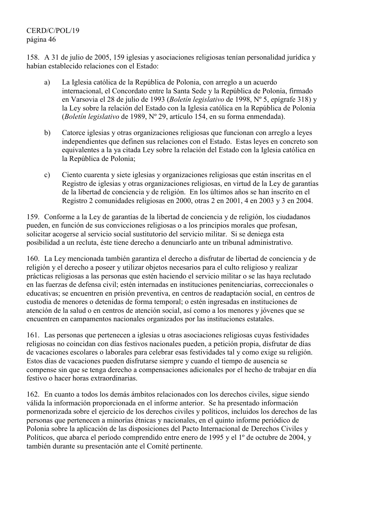# CERD/C/POL/19 página 46

158. A 31 de julio de 2005, 159 iglesias y asociaciones religiosas tenían personalidad jurídica y habían establecido relaciones con el Estado:

- a) La Iglesia católica de la República de Polonia, con arreglo a un acuerdo internacional, el Concordato entre la Santa Sede y la República de Polonia, firmado en Varsovia el 28 de julio de 1993 (*Boletín legislativo* de 1998, Nº 5, epígrafe 318) y la Ley sobre la relación del Estado con la Iglesia católica en la República de Polonia (*Boletín legislativo* de 1989, Nº 29, artículo 154, en su forma enmendada).
- b) Catorce iglesias y otras organizaciones religiosas que funcionan con arreglo a leyes independientes que definen sus relaciones con el Estado. Estas leyes en concreto son equivalentes a la ya citada Ley sobre la relación del Estado con la Iglesia católica en la República de Polonia;
- c) Ciento cuarenta y siete iglesias y organizaciones religiosas que están inscritas en el Registro de iglesias y otras organizaciones religiosas, en virtud de la Ley de garantías de la libertad de conciencia y de religión. En los últimos años se han inscrito en el Registro 2 comunidades religiosas en 2000, otras 2 en 2001, 4 en 2003 y 3 en 2004.

159. Conforme a la Ley de garantías de la libertad de conciencia y de religión, los ciudadanos pueden, en función de sus convicciones religiosas o a los principios morales que profesan, solicitar acogerse al servicio social sustitutorio del servicio militar. Si se deniega esta posibilidad a un recluta, éste tiene derecho a denunciarlo ante un tribunal administrativo.

160. La Ley mencionada también garantiza el derecho a disfrutar de libertad de conciencia y de religión y el derecho a poseer y utilizar objetos necesarios para el culto religioso y realizar prácticas religiosas a las personas que estén haciendo el servicio militar o se las haya reclutado en las fuerzas de defensa civil; estén internadas en instituciones penitenciarias, correccionales o educativas; se encuentren en prisión preventiva, en centros de readaptación social, en centros de custodia de menores o detenidas de forma temporal; o estén ingresadas en instituciones de atención de la salud o en centros de atención social, así como a los menores y jóvenes que se encuentren en campamentos nacionales organizados por las instituciones estatales.

161. Las personas que pertenecen a iglesias u otras asociaciones religiosas cuyas festividades religiosas no coincidan con días festivos nacionales pueden, a petición propia, disfrutar de días de vacaciones escolares o laborales para celebrar esas festividades tal y como exige su religión. Estos días de vacaciones pueden disfrutarse siempre y cuando el tiempo de ausencia se compense sin que se tenga derecho a compensaciones adicionales por el hecho de trabajar en día festivo o hacer horas extraordinarias.

162. En cuanto a todos los demás ámbitos relacionados con los derechos civiles, sigue siendo válida la información proporcionada en el informe anterior. Se ha presentado información pormenorizada sobre el ejercicio de los derechos civiles y políticos, incluidos los derechos de las personas que pertenecen a minorías étnicas y nacionales, en el quinto informe periódico de Polonia sobre la aplicación de las disposiciones del Pacto Internacional de Derechos Civiles y Políticos, que abarca el período comprendido entre enero de 1995 y el 1º de octubre de 2004, y también durante su presentación ante el Comité pertinente.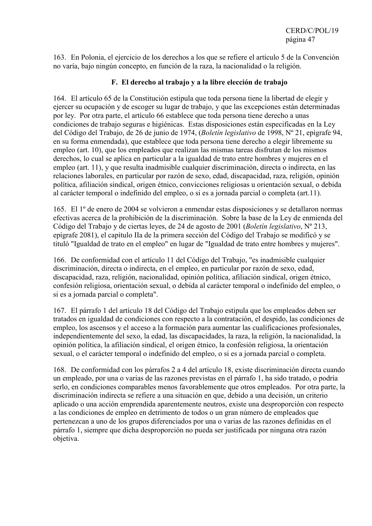163. En Polonia, el ejercicio de los derechos a los que se refiere el artículo 5 de la Convención no varía, bajo ningún concepto, en función de la raza, la nacionalidad o la religión.

# **F. El derecho al trabajo y a la libre elección de trabajo**

164. El artículo 65 de la Constitución estipula que toda persona tiene la libertad de elegir y ejercer su ocupación y de escoger su lugar de trabajo, y que las excepciones están determinadas por ley. Por otra parte, el artículo 66 establece que toda persona tiene derecho a unas condiciones de trabajo seguras e higiénicas. Estas disposiciones están especificadas en la Ley del Código del Trabajo, de 26 de junio de 1974, (*Boletín legislativo* de 1998, Nº 21, epígrafe 94, en su forma enmendada), que establece que toda persona tiene derecho a elegir libremente su empleo (art. 10), que los empleados que realizan las mismas tareas disfrutan de los mismos derechos, lo cual se aplica en particular a la igualdad de trato entre hombres y mujeres en el empleo (art. 11), y que resulta inadmisible cualquier discriminación, directa o indirecta, en las relaciones laborales, en particular por razón de sexo, edad, discapacidad, raza, religión, opinión política, afiliación sindical, origen étnico, convicciones religiosas u orientación sexual, o debida al carácter temporal o indefinido del empleo, o si es a jornada parcial o completa (art.11).

165. El 1º de enero de 2004 se volvieron a enmendar estas disposiciones y se detallaron normas efectivas acerca de la prohibición de la discriminación. Sobre la base de la Ley de enmienda del Código del Trabajo y de ciertas leyes, de 24 de agosto de 2001 (*Boletín legislativo*, Nº 213, epígrafe 2081), el capítulo IIa de la primera sección del Código del Trabajo se modificó y se tituló "Igualdad de trato en el empleo" en lugar de "Igualdad de trato entre hombres y mujeres".

166. De conformidad con el artículo 11 del Código del Trabajo, "es inadmisible cualquier discriminación, directa o indirecta, en el empleo, en particular por razón de sexo, edad, discapacidad, raza, religión, nacionalidad, opinión política, afiliación sindical, origen étnico, confesión religiosa, orientación sexual, o debida al carácter temporal o indefinido del empleo, o si es a jornada parcial o completa".

167. El párrafo 1 del artículo 18 del Código del Trabajo estipula que los empleados deben ser tratados en igualdad de condiciones con respecto a la contratación, el despido, las condiciones de empleo, los ascensos y el acceso a la formación para aumentar las cualificaciones profesionales, independientemente del sexo, la edad, las discapacidades, la raza, la religión, la nacionalidad, la opinión política, la afiliación sindical, el origen étnico, la confesión religiosa, la orientación sexual, o el carácter temporal o indefinido del empleo, o si es a jornada parcial o completa.

168. De conformidad con los párrafos 2 a 4 del artículo 18, existe discriminación directa cuando un empleado, por una o varias de las razones previstas en el párrafo 1, ha sido tratado, o podría serlo, en condiciones comparables menos favorablemente que otros empleados. Por otra parte, la discriminación indirecta se refiere a una situación en que, debido a una decisión, un criterio aplicado o una acción emprendida aparentemente neutros, existe una desproporción con respecto a las condiciones de empleo en detrimento de todos o un gran número de empleados que pertenezcan a uno de los grupos diferenciados por una o varias de las razones definidas en el párrafo 1, siempre que dicha desproporción no pueda ser justificada por ninguna otra razón objetiva.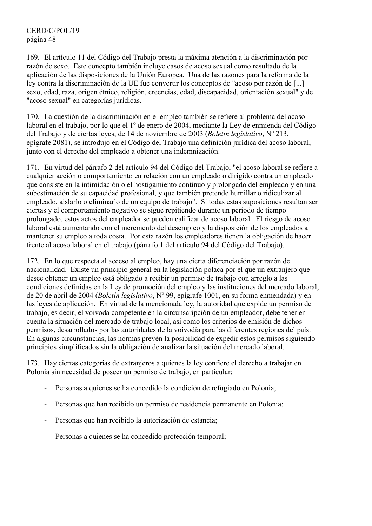CERD/C/POL/19 página 48

169. El artículo 11 del Código del Trabajo presta la máxima atención a la discriminación por razón de sexo. Este concepto también incluye casos de acoso sexual como resultado de la aplicación de las disposiciones de la Unión Europea. Una de las razones para la reforma de la ley contra la discriminación de la UE fue convertir los conceptos de "acoso por razón de [...] sexo, edad, raza, origen étnico, religión, creencias, edad, discapacidad, orientación sexual" y de "acoso sexual" en categorías jurídicas.

170. La cuestión de la discriminación en el empleo también se refiere al problema del acoso laboral en el trabajo, por lo que el 1º de enero de 2004, mediante la Ley de enmienda del Código del Trabajo y de ciertas leyes, de 14 de noviembre de 2003 (*Boletín legislativo*, Nº 213, epígrafe 2081), se introdujo en el Código del Trabajo una definición jurídica del acoso laboral, junto con el derecho del empleado a obtener una indemnización.

171. En virtud del párrafo 2 del artículo 94 del Código del Trabajo, "el acoso laboral se refiere a cualquier acción o comportamiento en relación con un empleado o dirigido contra un empleado que consiste en la intimidación o el hostigamiento continuo y prolongado del empleado y en una subestimación de su capacidad profesional, y que también pretende humillar o ridiculizar al empleado, aislarlo o eliminarlo de un equipo de trabajo". Si todas estas suposiciones resultan ser ciertas y el comportamiento negativo se sigue repitiendo durante un período de tiempo prolongado, estos actos del empleador se pueden calificar de acoso laboral. El riesgo de acoso laboral está aumentando con el incremento del desempleo y la disposición de los empleados a mantener su empleo a toda costa. Por esta razón los empleadores tienen la obligación de hacer frente al acoso laboral en el trabajo (párrafo 1 del artículo 94 del Código del Trabajo).

172. En lo que respecta al acceso al empleo, hay una cierta diferenciación por razón de nacionalidad. Existe un principio general en la legislación polaca por el que un extranjero que desee obtener un empleo está obligado a recibir un permiso de trabajo con arreglo a las condiciones definidas en la Ley de promoción del empleo y las instituciones del mercado laboral, de 20 de abril de 2004 (*Boletín legislativo*, Nº 99, epígrafe 1001, en su forma enmendada) y en las leyes de aplicación. En virtud de la mencionada ley, la autoridad que expide un permiso de trabajo, es decir, el voivoda competente en la circunscripción de un empleador, debe tener en cuenta la situación del mercado de trabajo local, así como los criterios de emisión de dichos permisos, desarrollados por las autoridades de la voivodía para las diferentes regiones del país. En algunas circunstancias, las normas prevén la posibilidad de expedir estos permisos siguiendo principios simplificados sin la obligación de analizar la situación del mercado laboral.

173. Hay ciertas categorías de extranjeros a quienes la ley confiere el derecho a trabajar en Polonia sin necesidad de poseer un permiso de trabajo, en particular:

- Personas a quienes se ha concedido la condición de refugiado en Polonia;
- Personas que han recibido un permiso de residencia permanente en Polonia;
- Personas que han recibido la autorización de estancia;
- Personas a quienes se ha concedido protección temporal;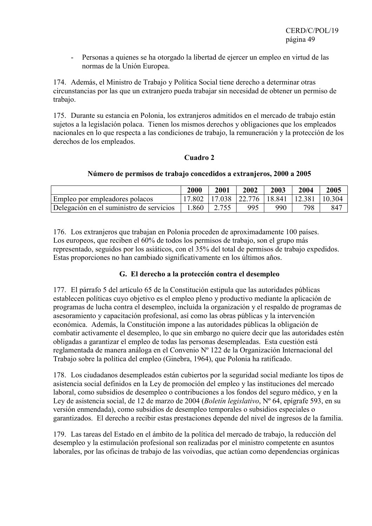- Personas a quienes se ha otorgado la libertad de ejercer un empleo en virtud de las normas de la Unión Europea.

174. Además, el Ministro de Trabajo y Política Social tiene derecho a determinar otras circunstancias por las que un extranjero pueda trabajar sin necesidad de obtener un permiso de trabajo.

175. Durante su estancia en Polonia, los extranjeros admitidos en el mercado de trabajo están sujetos a la legislación polaca. Tienen los mismos derechos y obligaciones que los empleados nacionales en lo que respecta a las condiciones de trabajo, la remuneración y la protección de los derechos de los empleados.

## **Cuadro 2**

#### **Número de permisos de trabajo concedidos a extranjeros, 2000 a 2005**

|                                          | 2000 | 2001 | 2002          | 2003   | 2004   | 2005   |
|------------------------------------------|------|------|---------------|--------|--------|--------|
| Empleo por empleadores polacos           |      |      | 17.038 22.776 | 18.841 | 12.381 | 10.304 |
| Delegación en el suministro de servicios | .860 |      | 995           | 990    | 798    | 847    |

176. Los extranjeros que trabajan en Polonia proceden de aproximadamente 100 países. Los europeos, que reciben el 60% de todos los permisos de trabajo, son el grupo más representado, seguidos por los asiáticos, con el 35% del total de permisos de trabajo expedidos. Estas proporciones no han cambiado significativamente en los últimos años.

## **G. El derecho a la protección contra el desempleo**

177. El párrafo 5 del artículo 65 de la Constitución estipula que las autoridades públicas establecen políticas cuyo objetivo es el empleo pleno y productivo mediante la aplicación de programas de lucha contra el desempleo, incluida la organización y el respaldo de programas de asesoramiento y capacitación profesional, así como las obras públicas y la intervención económica. Además, la Constitución impone a las autoridades públicas la obligación de combatir activamente el desempleo, lo que sin embargo no quiere decir que las autoridades estén obligadas a garantizar el empleo de todas las personas desempleadas. Esta cuestión está reglamentada de manera análoga en el Convenio Nº 122 de la Organización Internacional del Trabajo sobre la política del empleo (Ginebra, 1964), que Polonia ha ratificado.

178. Los ciudadanos desempleados están cubiertos por la seguridad social mediante los tipos de asistencia social definidos en la Ley de promoción del empleo y las instituciones del mercado laboral, como subsidios de desempleo o contribuciones a los fondos del seguro médico, y en la Ley de asistencia social, de 12 de marzo de 2004 (*Boletín legislativo*, Nº 64, epígrafe 593, en su versión enmendada), como subsidios de desempleo temporales o subsidios especiales o garantizados. El derecho a recibir estas prestaciones depende del nivel de ingresos de la familia.

179. Las tareas del Estado en el ámbito de la política del mercado de trabajo, la reducción del desempleo y la estimulación profesional son realizadas por el ministro competente en asuntos laborales, por las oficinas de trabajo de las voivodías, que actúan como dependencias orgánicas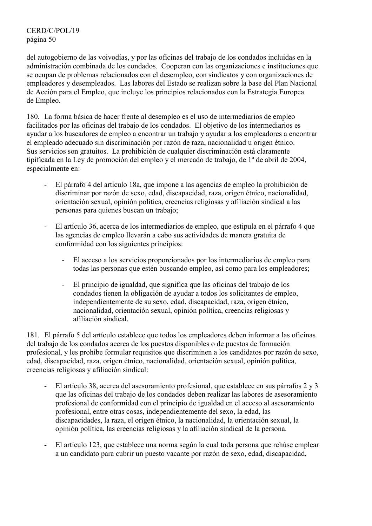del autogobierno de las voivodías, y por las oficinas del trabajo de los condados incluidas en la administración combinada de los condados. Cooperan con las organizaciones e instituciones que se ocupan de problemas relacionados con el desempleo, con sindicatos y con organizaciones de empleadores y desempleados. Las labores del Estado se realizan sobre la base del Plan Nacional de Acción para el Empleo, que incluye los principios relacionados con la Estrategia Europea de Empleo.

180. La forma básica de hacer frente al desempleo es el uso de intermediarios de empleo facilitados por las oficinas del trabajo de los condados. El objetivo de los intermediarios es ayudar a los buscadores de empleo a encontrar un trabajo y ayudar a los empleadores a encontrar el empleado adecuado sin discriminación por razón de raza, nacionalidad u origen étnico. Sus servicios son gratuitos. La prohibición de cualquier discriminación está claramente tipificada en la Ley de promoción del empleo y el mercado de trabajo, de 1º de abril de 2004, especialmente en:

- El párrafo 4 del artículo 18a, que impone a las agencias de empleo la prohibición de discriminar por razón de sexo, edad, discapacidad, raza, origen étnico, nacionalidad, orientación sexual, opinión política, creencias religiosas y afiliación sindical a las personas para quienes buscan un trabajo;
- El artículo 36, acerca de los intermediarios de empleo, que estipula en el párrafo 4 que las agencias de empleo llevarán a cabo sus actividades de manera gratuita de conformidad con los siguientes principios:
	- El acceso a los servicios proporcionados por los intermediarios de empleo para todas las personas que estén buscando empleo, así como para los empleadores;
	- El principio de igualdad, que significa que las oficinas del trabajo de los condados tienen la obligación de ayudar a todos los solicitantes de empleo, independientemente de su sexo, edad, discapacidad, raza, origen étnico, nacionalidad, orientación sexual, opinión política, creencias religiosas y afiliación sindical.

181. El párrafo 5 del artículo establece que todos los empleadores deben informar a las oficinas del trabajo de los condados acerca de los puestos disponibles o de puestos de formación profesional, y les prohíbe formular requisitos que discriminen a los candidatos por razón de sexo, edad, discapacidad, raza, origen étnico, nacionalidad, orientación sexual, opinión política, creencias religiosas y afiliación sindical:

- El artículo 38, acerca del asesoramiento profesional, que establece en sus párrafos 2 y 3 que las oficinas del trabajo de los condados deben realizar las labores de asesoramiento profesional de conformidad con el principio de igualdad en el acceso al asesoramiento profesional, entre otras cosas, independientemente del sexo, la edad, las discapacidades, la raza, el origen étnico, la nacionalidad, la orientación sexual, la opinión política, las creencias religiosas y la afiliación sindical de la persona.
- El artículo 123, que establece una norma según la cual toda persona que rehúse emplear a un candidato para cubrir un puesto vacante por razón de sexo, edad, discapacidad,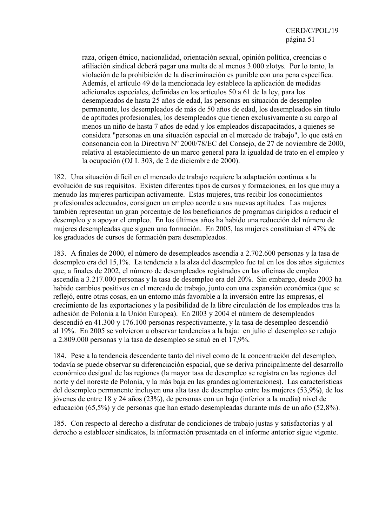raza, origen étnico, nacionalidad, orientación sexual, opinión política, creencias o afiliación sindical deberá pagar una multa de al menos 3.000 zlotys. Por lo tanto, la violación de la prohibición de la discriminación es punible con una pena específica. Además, el artículo 49 de la mencionada ley establece la aplicación de medidas adicionales especiales, definidas en los artículos 50 a 61 de la ley, para los desempleados de hasta 25 años de edad, las personas en situación de desempleo permanente, los desempleados de más de 50 años de edad, los desempleados sin título de aptitudes profesionales, los desempleados que tienen exclusivamente a su cargo al menos un niño de hasta 7 años de edad y los empleados discapacitados, a quienes se considera "personas en una situación especial en el mercado de trabajo", lo que está en consonancia con la Directiva Nº 2000/78/EC del Consejo, de 27 de noviembre de 2000, relativa al establecimiento de un marco general para la igualdad de trato en el empleo y la ocupación (OJ L 303, de 2 de diciembre de 2000).

182. Una situación difícil en el mercado de trabajo requiere la adaptación continua a la evolución de sus requisitos. Existen diferentes tipos de cursos y formaciones, en los que muy a menudo las mujeres participan activamente. Estas mujeres, tras recibir los conocimientos profesionales adecuados, consiguen un empleo acorde a sus nuevas aptitudes. Las mujeres también representan un gran porcentaje de los beneficiarios de programas dirigidos a reducir el desempleo y a apoyar el empleo. En los últimos años ha habido una reducción del número de mujeres desempleadas que siguen una formación. En 2005, las mujeres constituían el 47% de los graduados de cursos de formación para desempleados.

183. A finales de 2000, el número de desempleados ascendía a 2.702.600 personas y la tasa de desempleo era del 15,1%. La tendencia a la alza del desempleo fue tal en los dos años siguientes que, a finales de 2002, el número de desempleados registrados en las oficinas de empleo ascendía a 3.217.000 personas y la tasa de desempleo era del 20%. Sin embargo, desde 2003 ha habido cambios positivos en el mercado de trabajo, junto con una expansión económica (que se reflejó, entre otras cosas, en un entorno más favorable a la inversión entre las empresas, el crecimiento de las exportaciones y la posibilidad de la libre circulación de los empleados tras la adhesión de Polonia a la Unión Europea). En 2003 y 2004 el número de desempleados descendió en 41.300 y 176.100 personas respectivamente, y la tasa de desempleo descendió al 19%. En 2005 se volvieron a observar tendencias a la baja: en julio el desempleo se redujo a 2.809.000 personas y la tasa de desempleo se situó en el 17,9%.

184. Pese a la tendencia descendente tanto del nivel como de la concentración del desempleo, todavía se puede observar su diferenciación espacial, que se deriva principalmente del desarrollo económico desigual de las regiones (la mayor tasa de desempleo se registra en las regiones del norte y del noreste de Polonia, y la más baja en las grandes aglomeraciones). Las características del desempleo permanente incluyen una alta tasa de desempleo entre las mujeres (53,9%), de los jóvenes de entre 18 y 24 años (23%), de personas con un bajo (inferior a la media) nivel de educación (65,5%) y de personas que han estado desempleadas durante más de un año (52,8%).

185. Con respecto al derecho a disfrutar de condiciones de trabajo justas y satisfactorias y al derecho a establecer sindicatos, la información presentada en el informe anterior sigue vigente.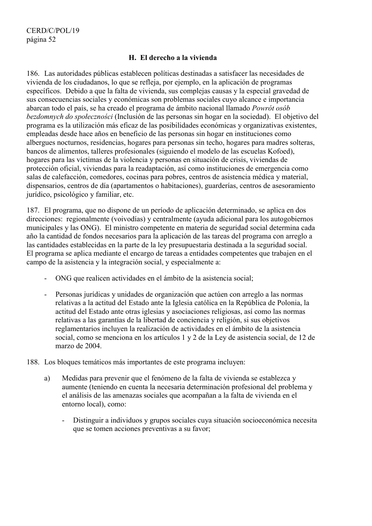#### **H. El derecho a la vivienda**

186. Las autoridades públicas establecen políticas destinadas a satisfacer las necesidades de vivienda de los ciudadanos, lo que se refleja, por ejemplo, en la aplicación de programas específicos. Debido a que la falta de vivienda, sus complejas causas y la especial gravedad de sus consecuencias sociales y económicas son problemas sociales cuyo alcance e importancia abarcan todo el país, se ha creado el programa de ámbito nacional llamado *Powrót osób bezdomnych do społeczności* (Inclusión de las personas sin hogar en la sociedad). El objetivo del programa es la utilización más eficaz de las posibilidades económicas y organizativas existentes, empleadas desde hace años en beneficio de las personas sin hogar en instituciones como albergues nocturnos, residencias, hogares para personas sin techo, hogares para madres solteras, bancos de alimentos, talleres profesionales (siguiendo el modelo de las escuelas Kofoed), hogares para las víctimas de la violencia y personas en situación de crisis, viviendas de protección oficial, viviendas para la readaptación, así como instituciones de emergencia como salas de calefacción, comedores, cocinas para pobres, centros de asistencia médica y material, dispensarios, centros de día (apartamentos o habitaciones), guarderías, centros de asesoramiento jurídico, psicológico y familiar, etc.

187. El programa, que no dispone de un período de aplicación determinado, se aplica en dos direcciones: regionalmente (voivodías) y centralmente (ayuda adicional para los autogobiernos municipales y las ONG). El ministro competente en materia de seguridad social determina cada año la cantidad de fondos necesarios para la aplicación de las tareas del programa con arreglo a las cantidades establecidas en la parte de la ley presupuestaria destinada a la seguridad social. El programa se aplica mediante el encargo de tareas a entidades competentes que trabajen en el campo de la asistencia y la integración social, y especialmente a:

- ONG que realicen actividades en el ámbito de la asistencia social;
- Personas jurídicas y unidades de organización que actúen con arreglo a las normas relativas a la actitud del Estado ante la Iglesia católica en la República de Polonia, la actitud del Estado ante otras iglesias y asociaciones religiosas, así como las normas relativas a las garantías de la libertad de conciencia y religión, si sus objetivos reglamentarios incluyen la realización de actividades en el ámbito de la asistencia social, como se menciona en los artículos 1 y 2 de la Ley de asistencia social, de 12 de marzo de 2004.
- 188. Los bloques temáticos más importantes de este programa incluyen:
	- a) Medidas para prevenir que el fenómeno de la falta de vivienda se establezca y aumente (teniendo en cuenta la necesaria determinación profesional del problema y el análisis de las amenazas sociales que acompañan a la falta de vivienda en el entorno local), como:
		- Distinguir a individuos y grupos sociales cuya situación socioeconómica necesita que se tomen acciones preventivas a su favor;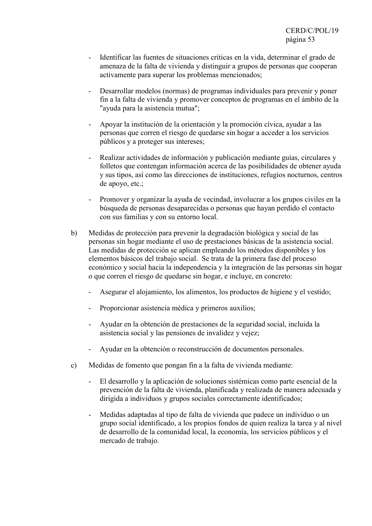- Identificar las fuentes de situaciones críticas en la vida, determinar el grado de amenaza de la falta de vivienda y distinguir a grupos de personas que cooperan activamente para superar los problemas mencionados;
- Desarrollar modelos (normas) de programas individuales para prevenir y poner fin a la falta de vivienda y promover conceptos de programas en el ámbito de la "ayuda para la asistencia mutua";
- Apoyar la institución de la orientación y la promoción cívica, ayudar a las personas que corren el riesgo de quedarse sin hogar a acceder a los servicios públicos y a proteger sus intereses;
- Realizar actividades de información y publicación mediante guías, circulares y folletos que contengan información acerca de las posibilidades de obtener ayuda y sus tipos, así como las direcciones de instituciones, refugios nocturnos, centros de apoyo, etc.;
- Promover y organizar la ayuda de vecindad, involucrar a los grupos civiles en la búsqueda de personas desaparecidas o personas que hayan perdido el contacto con sus familias y con su entorno local.
- b) Medidas de protección para prevenir la degradación biológica y social de las personas sin hogar mediante el uso de prestaciones básicas de la asistencia social. Las medidas de protección se aplican empleando los métodos disponibles y los elementos básicos del trabajo social. Se trata de la primera fase del proceso económico y social hacia la independencia y la integración de las personas sin hogar o que corren el riesgo de quedarse sin hogar, e incluye, en concreto:
	- Asegurar el alojamiento, los alimentos, los productos de higiene y el vestido;
	- Proporcionar asistencia médica y primeros auxilios;
	- Ayudar en la obtención de prestaciones de la seguridad social, incluida la asistencia social y las pensiones de invalidez y vejez;
	- Ayudar en la obtención o reconstrucción de documentos personales.
- c) Medidas de fomento que pongan fin a la falta de vivienda mediante:
	- El desarrollo y la aplicación de soluciones sistémicas como parte esencial de la prevención de la falta de vivienda, planificada y realizada de manera adecuada y dirigida a individuos y grupos sociales correctamente identificados;
	- Medidas adaptadas al tipo de falta de vivienda que padece un individuo o un grupo social identificado, a los propios fondos de quien realiza la tarea y al nivel de desarrollo de la comunidad local, la economía, los servicios públicos y el mercado de trabajo.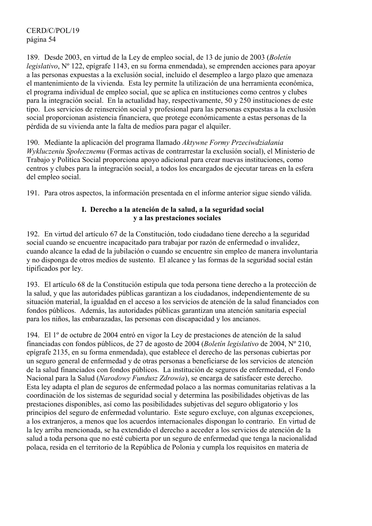CERD/C/POL/19 página 54

189. Desde 2003, en virtud de la Ley de empleo social, de 13 de junio de 2003 (*Boletín legislativo*, Nº 122, epígrafe 1143, en su forma enmendada), se emprenden acciones para apoyar a las personas expuestas a la exclusión social, incluido el desempleo a largo plazo que amenaza el mantenimiento de la vivienda. Esta ley permite la utilización de una herramienta económica, el programa individual de empleo social, que se aplica en instituciones como centros y clubes para la integración social. En la actualidad hay, respectivamente, 50 y 250 instituciones de este tipo. Los servicios de reinserción social y profesional para las personas expuestas a la exclusión social proporcionan asistencia financiera, que protege económicamente a estas personas de la pérdida de su vivienda ante la falta de medios para pagar el alquiler.

190. Mediante la aplicación del programa llamado *Aktywne Formy Przeciwdziałania Wykluczeniu Społecznemu* (Formas activas de contrarrestar la exclusión social), el Ministerio de Trabajo y Política Social proporciona apoyo adicional para crear nuevas instituciones, como centros y clubes para la integración social, a todos los encargados de ejecutar tareas en la esfera del empleo social.

191. Para otros aspectos, la información presentada en el informe anterior sigue siendo válida.

## **I. Derecho a la atención de la salud, a la seguridad social y a las prestaciones sociales**

192. En virtud del artículo 67 de la Constitución, todo ciudadano tiene derecho a la seguridad social cuando se encuentre incapacitado para trabajar por razón de enfermedad o invalidez, cuando alcance la edad de la jubilación o cuando se encuentre sin empleo de manera involuntaria y no disponga de otros medios de sustento. El alcance y las formas de la seguridad social están tipificados por ley.

193. El artículo 68 de la Constitución estipula que toda persona tiene derecho a la protección de la salud, y que las autoridades públicas garantizan a los ciudadanos, independientemente de su situación material, la igualdad en el acceso a los servicios de atención de la salud financiados con fondos públicos. Además, las autoridades públicas garantizan una atención sanitaria especial para los niños, las embarazadas, las personas con discapacidad y los ancianos.

194. El 1º de octubre de 2004 entró en vigor la Ley de prestaciones de atención de la salud financiadas con fondos públicos, de 27 de agosto de 2004 (*Boletín legislativo* de 2004, Nº 210, epígrafe 2135, en su forma enmendada), que establece el derecho de las personas cubiertas por un seguro general de enfermedad y de otras personas a beneficiarse de los servicios de atención de la salud financiados con fondos públicos. La institución de seguros de enfermedad, el Fondo Nacional para la Salud (*Narodowy Fundusz Zdrowia*), se encarga de satisfacer este derecho. Esta ley adapta el plan de seguros de enfermedad polaco a las normas comunitarias relativas a la coordinación de los sistemas de seguridad social y determina las posibilidades objetivas de las prestaciones disponibles, así como las posibilidades subjetivas del seguro obligatorio y los principios del seguro de enfermedad voluntario. Este seguro excluye, con algunas excepciones, a los extranjeros, a menos que los acuerdos internacionales dispongan lo contrario. En virtud de la ley arriba mencionada, se ha extendido el derecho a acceder a los servicios de atención de la salud a toda persona que no esté cubierta por un seguro de enfermedad que tenga la nacionalidad polaca, resida en el territorio de la República de Polonia y cumpla los requisitos en materia de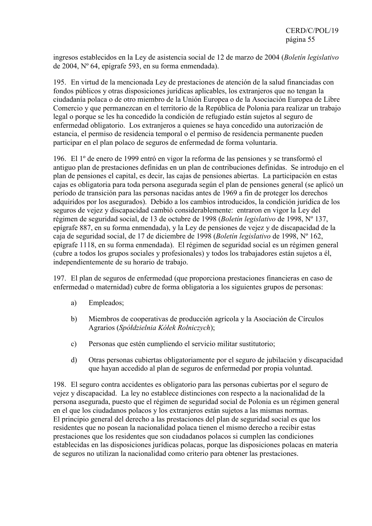ingresos establecidos en la Ley de asistencia social de 12 de marzo de 2004 (*Boletín legislativo*  de 2004, Nº 64, epígrafe 593, en su forma enmendada).

195. En virtud de la mencionada Ley de prestaciones de atención de la salud financiadas con fondos públicos y otras disposiciones jurídicas aplicables, los extranjeros que no tengan la ciudadanía polaca o de otro miembro de la Unión Europea o de la Asociación Europea de Libre Comercio y que permanezcan en el territorio de la República de Polonia para realizar un trabajo legal o porque se les ha concedido la condición de refugiado están sujetos al seguro de enfermedad obligatorio. Los extranjeros a quienes se haya concedido una autorización de estancia, el permiso de residencia temporal o el permiso de residencia permanente pueden participar en el plan polaco de seguros de enfermedad de forma voluntaria.

196. El 1º de enero de 1999 entró en vigor la reforma de las pensiones y se transformó el antiguo plan de prestaciones definidas en un plan de contribuciones definidas. Se introdujo en el plan de pensiones el capital, es decir, las cajas de pensiones abiertas. La participación en estas cajas es obligatoria para toda persona asegurada según el plan de pensiones general (se aplicó un período de transición para las personas nacidas antes de 1969 a fin de proteger los derechos adquiridos por los asegurados). Debido a los cambios introducidos, la condición jurídica de los seguros de vejez y discapacidad cambió considerablemente: entraron en vigor la Ley del régimen de seguridad social, de 13 de octubre de 1998 (*Boletín legislativo* de 1998, Nº 137, epígrafe 887, en su forma enmendada), y la Ley de pensiones de vejez y de discapacidad de la caja de seguridad social, de 17 de diciembre de 1998 (*Boletín legislativo* de 1998, Nº 162, epígrafe 1118, en su forma enmendada). El régimen de seguridad social es un régimen general (cubre a todos los grupos sociales y profesionales) y todos los trabajadores están sujetos a él, independientemente de su horario de trabajo.

197. El plan de seguros de enfermedad (que proporciona prestaciones financieras en caso de enfermedad o maternidad) cubre de forma obligatoria a los siguientes grupos de personas:

- a) Empleados;
- b) Miembros de cooperativas de producción agrícola y la Asociación de Círculos Agrarios (*Spółdzielnia Kółek Rolniczych*);
- c) Personas que estén cumpliendo el servicio militar sustitutorio;
- d) Otras personas cubiertas obligatoriamente por el seguro de jubilación y discapacidad que hayan accedido al plan de seguros de enfermedad por propia voluntad.

198. El seguro contra accidentes es obligatorio para las personas cubiertas por el seguro de vejez y discapacidad. La ley no establece distinciones con respecto a la nacionalidad de la persona asegurada, puesto que el régimen de seguridad social de Polonia es un régimen general en el que los ciudadanos polacos y los extranjeros están sujetos a las mismas normas. El principio general del derecho a las prestaciones del plan de seguridad social es que los residentes que no posean la nacionalidad polaca tienen el mismo derecho a recibir estas prestaciones que los residentes que son ciudadanos polacos si cumplen las condiciones establecidas en las disposiciones jurídicas polacas, porque las disposiciones polacas en materia de seguros no utilizan la nacionalidad como criterio para obtener las prestaciones.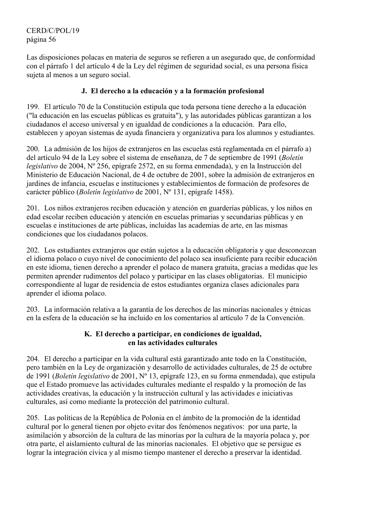Las disposiciones polacas en materia de seguros se refieren a un asegurado que, de conformidad con el párrafo 1 del artículo 4 de la Ley del régimen de seguridad social, es una persona física sujeta al menos a un seguro social.

# **J. El derecho a la educación y a la formación profesional**

199. El artículo 70 de la Constitución estipula que toda persona tiene derecho a la educación ("la educación en las escuelas públicas es gratuita"), y las autoridades públicas garantizan a los ciudadanos el acceso universal y en igualdad de condiciones a la educación. Para ello, establecen y apoyan sistemas de ayuda financiera y organizativa para los alumnos y estudiantes.

200. La admisión de los hijos de extranjeros en las escuelas está reglamentada en el párrafo a) del artículo 94 de la Ley sobre el sistema de enseñanza, de 7 de septiembre de 1991 (*Boletín legislativo* de 2004, Nº 256, epígrafe 2572, en su forma enmendada), y en la Instrucción del Ministerio de Educación Nacional, de 4 de octubre de 2001, sobre la admisión de extranjeros en jardines de infancia, escuelas e instituciones y establecimientos de formación de profesores de carácter público (*Boletín legislativo* de 2001, Nº 131, epígrafe 1458).

201. Los niños extranjeros reciben educación y atención en guarderías públicas, y los niños en edad escolar reciben educación y atención en escuelas primarias y secundarias públicas y en escuelas e instituciones de arte públicas, incluidas las academias de arte, en las mismas condiciones que los ciudadanos polacos.

202. Los estudiantes extranjeros que están sujetos a la educación obligatoria y que desconozcan el idioma polaco o cuyo nivel de conocimiento del polaco sea insuficiente para recibir educación en este idioma, tienen derecho a aprender el polaco de manera gratuita, gracias a medidas que les permiten aprender rudimentos del polaco y participar en las clases obligatorias. El municipio correspondiente al lugar de residencia de estos estudiantes organiza clases adicionales para aprender el idioma polaco.

203. La información relativa a la garantía de los derechos de las minorías nacionales y étnicas en la esfera de la educación se ha incluido en los comentarios al artículo 7 de la Convención.

## **K. El derecho a participar, en condiciones de igualdad, en las actividades culturales**

204. El derecho a participar en la vida cultural está garantizado ante todo en la Constitución, pero también en la Ley de organización y desarrollo de actividades culturales, de 25 de octubre de 1991 (*Boletín legislativo* de 2001, Nº 13, epígrafe 123, en su forma enmendada), que estipula que el Estado promueve las actividades culturales mediante el respaldo y la promoción de las actividades creativas, la educación y la instrucción cultural y las actividades e iniciativas culturales, así como mediante la protección del patrimonio cultural.

205. Las políticas de la República de Polonia en el ámbito de la promoción de la identidad cultural por lo general tienen por objeto evitar dos fenómenos negativos: por una parte, la asimilación y absorción de la cultura de las minorías por la cultura de la mayoría polaca y, por otra parte, el aislamiento cultural de las minorías nacionales. El objetivo que se persigue es lograr la integración cívica y al mismo tiempo mantener el derecho a preservar la identidad.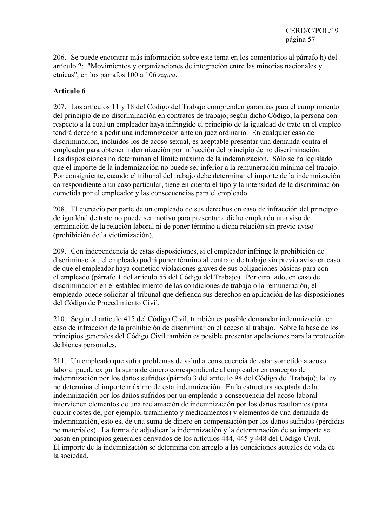206. Se puede encontrar más información sobre este tema en los comentarios al párrafo h) del artículo 2: "Movimientos y organizaciones de integración entre las minorías nacionales y étnicas", en los párrafos 100 a 106 *supra*.

## **Artículo 6**

207. Los artículos 11 y 18 del Código del Trabajo comprenden garantías para el cumplimiento del principio de no discriminación en contratos de trabajo; según dicho Código, la persona con respecto a la cual un empleador haya infringido el principio de la igualdad de trato en el empleo tendrá derecho a pedir una indemnización ante un juez ordinario. En cualquier caso de discriminación, incluidos los de acoso sexual, es aceptable presentar una demanda contra el empleador para obtener indemnización por infracción del principio de no discriminación. Las disposiciones no determinan el límite máximo de la indemnización. Sólo se ha legislado que el importe de la indemnización no puede ser inferior a la remuneración mínima del trabajo. Por consiguiente, cuando el tribunal del trabajo debe determinar el importe de la indemnización correspondiente a un caso particular, tiene en cuenta el tipo y la intensidad de la discriminación cometida por el empleador y las consecuencias para el empleado.

208. El ejercicio por parte de un empleado de sus derechos en caso de infracción del principio de igualdad de trato no puede ser motivo para presentar a dicho empleado un aviso de terminación de la relación laboral ni de poner término a dicha relación sin previo aviso (prohibición de la victimización).

209. Con independencia de estas disposiciones, si el empleador infringe la prohibición de discriminación, el empleado podrá poner término al contrato de trabajo sin previo aviso en caso de que el empleador haya cometido violaciones graves de sus obligaciones básicas para con el empleado (párrafo 1 del artículo 55 del Código del Trabajo). Por otro lado, en caso de discriminación en el establecimiento de las condiciones de trabajo o la remuneración, el empleado puede solicitar al tribunal que defienda sus derechos en aplicación de las disposiciones del Código de Procedimiento Civil.

210. Según el artículo 415 del Código Civil, también es posible demandar indemnización en caso de infracción de la prohibición de discriminar en el acceso al trabajo. Sobre la base de los principios generales del Código Civil también es posible presentar apelaciones para la protección de bienes personales.

211. Un empleado que sufra problemas de salud a consecuencia de estar sometido a acoso laboral puede exigir la suma de dinero correspondiente al empleador en concepto de indemnización por los daños sufridos (párrafo 3 del artículo 94 del Código del Trabajo); la ley no determina el importe máximo de esta indemnización. En la estructura aceptada de la indemnización por los daños sufridos por un empleado a consecuencia del acoso laboral intervienen elementos de una reclamación de indemnización por los daños resultantes (para cubrir costes de, por ejemplo, tratamiento y medicamentos) y elementos de una demanda de indemnización, esto es, de una suma de dinero en compensación por los daños sufridos (pérdidas no materiales). La forma de adjudicar la indemnización y la determinación de su importe se basan en principios generales derivados de los artículos 444, 445 y 448 del Código Civil. El importe de la indemnización se determina con arreglo a las condiciones actuales de vida de la sociedad.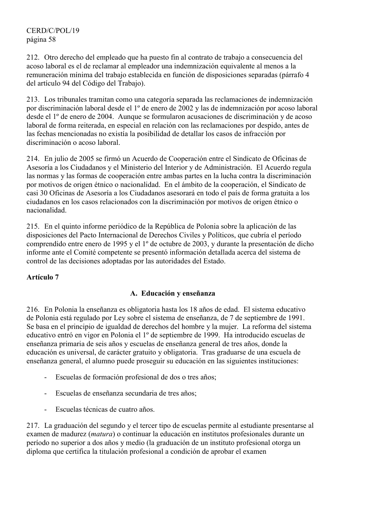212. Otro derecho del empleado que ha puesto fin al contrato de trabajo a consecuencia del acoso laboral es el de reclamar al empleador una indemnización equivalente al menos a la remuneración mínima del trabajo establecida en función de disposiciones separadas (párrafo 4 del artículo 94 del Código del Trabajo).

213. Los tribunales tramitan como una categoría separada las reclamaciones de indemnización por discriminación laboral desde el 1º de enero de 2002 y las de indemnización por acoso laboral desde el 1º de enero de 2004. Aunque se formularon acusaciones de discriminación y de acoso laboral de forma reiterada, en especial en relación con las reclamaciones por despido, antes de las fechas mencionadas no existía la posibilidad de detallar los casos de infracción por discriminación o acoso laboral.

214. En julio de 2005 se firmó un Acuerdo de Cooperación entre el Sindicato de Oficinas de Asesoría a los Ciudadanos y el Ministerio del Interior y de Administración. El Acuerdo regula las normas y las formas de cooperación entre ambas partes en la lucha contra la discriminación por motivos de origen étnico o nacionalidad. En el ámbito de la cooperación, el Sindicato de casi 30 Oficinas de Asesoría a los Ciudadanos asesorará en todo el país de forma gratuita a los ciudadanos en los casos relacionados con la discriminación por motivos de origen étnico o nacionalidad.

215. En el quinto informe periódico de la República de Polonia sobre la aplicación de las disposiciones del Pacto Internacional de Derechos Civiles y Políticos, que cubría el período comprendido entre enero de 1995 y el 1º de octubre de 2003, y durante la presentación de dicho informe ante el Comité competente se presentó información detallada acerca del sistema de control de las decisiones adoptadas por las autoridades del Estado.

## **Artículo 7**

## **A. Educación y enseñanza**

216. En Polonia la enseñanza es obligatoria hasta los 18 años de edad. El sistema educativo de Polonia está regulado por Ley sobre el sistema de enseñanza, de 7 de septiembre de 1991. Se basa en el principio de igualdad de derechos del hombre y la mujer. La reforma del sistema educativo entró en vigor en Polonia el 1º de septiembre de 1999. Ha introducido escuelas de enseñanza primaria de seis años y escuelas de enseñanza general de tres años, donde la educación es universal, de carácter gratuito y obligatoria. Tras graduarse de una escuela de enseñanza general, el alumno puede proseguir su educación en las siguientes instituciones:

- Escuelas de formación profesional de dos o tres años;
- Escuelas de enseñanza secundaria de tres años;
- Escuelas técnicas de cuatro años.

217. La graduación del segundo y el tercer tipo de escuelas permite al estudiante presentarse al examen de madurez (*matura*) o continuar la educación en institutos profesionales durante un período no superior a dos años y medio (la graduación de un instituto profesional otorga un diploma que certifica la titulación profesional a condición de aprobar el examen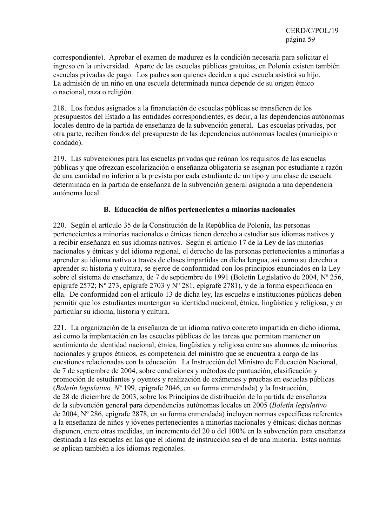correspondiente). Aprobar el examen de madurez es la condición necesaria para solicitar el ingreso en la universidad. Aparte de las escuelas públicas gratuitas, en Polonia existen también escuelas privadas de pago. Los padres son quienes deciden a qué escuela asistirá su hijo. La admisión de un niño en una escuela determinada nunca depende de su origen étnico o nacional, raza o religión.

218. Los fondos asignados a la financiación de escuelas públicas se transfieren de los presupuestos del Estado a las entidades correspondientes, es decir, a las dependencias autónomas locales dentro de la partida de enseñanza de la subvención general. Las escuelas privadas, por otra parte, reciben fondos del presupuesto de las dependencias autónomas locales (municipio o condado).

219. Las subvenciones para las escuelas privadas que reúnan los requisitos de las escuelas públicas y que ofrezcan escolarización o enseñanza obligatoria se asignan por estudiante a razón de una cantidad no inferior a la prevista por cada estudiante de un tipo y una clase de escuela determinada en la partida de enseñanza de la subvención general asignada a una dependencia autónoma local.

#### **B. Educación de niños pertenecientes a minorías nacionales**

220. Según el artículo 35 de la Constitución de la República de Polonia, las personas pertenecientes a minorías nacionales o étnicas tienen derecho a estudiar sus idiomas nativos y a recibir enseñanza en sus idiomas nativos. Según el artículo 17 de la Ley de las minorías nacionales y étnicas y del idioma regional*,* el derecho de las personas pertenecientes a minorías a aprender su idioma nativo a través de clases impartidas en dicha lengua, así como su derecho a aprender su historia y cultura, se ejerce de conformidad con los principios enunciados en la Ley sobre el sistema de enseñanza, de 7 de septiembre de 1991 (Boletín Legislativo de 2004, Nº 256, epígrafe 2572; N° 273, epígrafe 2703 y N° 281, epígrafe 2781), y de la forma especificada en ella. De conformidad con el artículo 13 de dicha ley, las escuelas e instituciones públicas deben permitir que los estudiantes mantengan su identidad nacional, étnica, lingüística y religiosa, y en particular su idioma, historia y cultura.

221. La organización de la enseñanza de un idioma nativo concreto impartida en dicho idioma, así como la implantación en las escuelas públicas de las tareas que permitan mantener un sentimiento de identidad nacional, étnica, lingüística y religiosa entre sus alumnos de minorías nacionales y grupos étnicos, es competencia del ministro que se encuentra a cargo de las cuestiones relacionadas con la educación. La Instrucción del Ministro de Educación Nacional, de 7 de septiembre de 2004, sobre condiciones y métodos de puntuación, clasificación y promoción de estudiantes y oyentes y realización de exámenes y pruebas en escuelas públicas (*Boletín legislativo, Nº* 199, epígrafe 2046, en su forma enmendada) y la Instrucción, de 28 de diciembre de 2003, sobre los Principios de distribución de la partida de enseñanza de la subvención general para dependencias autónomas locales en 2005 (*Boletín legislativo* de 2004, Nº 286, epígrafe 2878, en su forma enmendada) incluyen normas específicas referentes a la enseñanza de niños y jóvenes pertenecientes a minorías nacionales y étnicas; dichas normas disponen, entre otras medidas, un incremento del 20 o del 100% en la subvención para enseñanza destinada a las escuelas en las que el idioma de instrucción sea el de una minoría. Estas normas se aplican también a los idiomas regionales.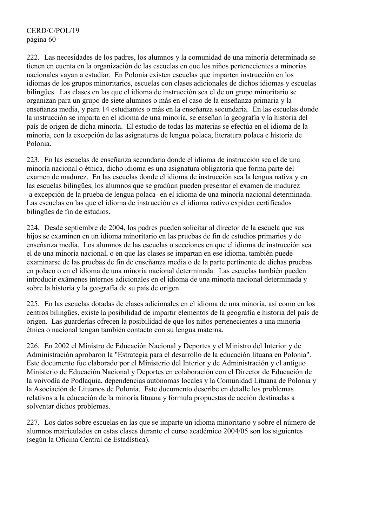222. Las necesidades de los padres, los alumnos y la comunidad de una minoría determinada se tienen en cuenta en la organización de las escuelas en que los niños pertenecientes a minorías nacionales vayan a estudiar. En Polonia existen escuelas que imparten instrucción en los idiomas de los grupos minoritarios, escuelas con clases adicionales de dichos idiomas y escuelas bilingües. Las clases en las que el idioma de instrucción sea el de un grupo minoritario se organizan para un grupo de siete alumnos o más en el caso de la enseñanza primaria y la enseñanza media, y para 14 estudiantes o más en la enseñanza secundaria. En las escuelas donde la instrucción se imparta en el idioma de una minoría, se enseñan la geografía y la historia del país de origen de dicha minoría. El estudio de todas las materias se efectúa en el idioma de la minoría, con la excepción de las asignaturas de lengua polaca, literatura polaca e historia de Polonia.

223. En las escuelas de enseñanza secundaria donde el idioma de instrucción sea el de una minoría nacional o étnica, dicho idioma es una asignatura obligatoria que forma parte del examen de madurez. En las escuelas donde el idioma de instrucción sea la lengua nativa y en las escuelas bilingües, los alumnos que se gradúan pueden presentar el examen de madurez -a excepción de la prueba de lengua polaca- en el idioma de una minoría nacional determinada. Las escuelas en las que el idioma de instrucción es el idioma nativo expiden certificados bilingües de fin de estudios.

224. Desde septiembre de 2004, los padres pueden solicitar al director de la escuela que sus hijos se examinen en un idioma minoritario en las pruebas de fin de estudios primarios y de enseñanza media. Los alumnos de las escuelas o secciones en que el idioma de instrucción sea el de una minoría nacional, o en que las clases se impartan en ese idioma, también puede examinarse de las pruebas de fin de enseñanza media o de la parte pertinente de dichas pruebas en polaco o en el idioma de una minoría nacional determinada. Las escuelas también pueden introducir exámenes internos adicionales en el idioma de una minoría nacional determinada y sobre la historia y la geografía de su país de origen.

225. En las escuelas dotadas de clases adicionales en el idioma de una minoría, así como en los centros bilingües, existe la posibilidad de impartir elementos de la geografía e historia del país de origen. Las guarderías ofrecen la posibilidad de que los niños pertenecientes a una minoría étnica o nacional tengan también contacto con su lengua materna.

226. En 2002 el Ministro de Educación Nacional y Deportes y el Ministro del Interior y de Administración aprobaron la "Estrategia para el desarrollo de la educación lituana en Polonia". Este documento fue elaborado por el Ministerio del Interior y de Administración y el antiguo Ministerio de Educación Nacional y Deportes en colaboración con el Director de Educación de la voivodía de Podlaquia, dependencias autónomas locales y la Comunidad Lituana de Polonia y la Asociación de Lituanos de Polonia. Este documento describe en detalle los problemas relativos a la educación de la minoría lituana y formula propuestas de acción destinadas a solventar dichos problemas.

227. Los datos sobre escuelas en las que se imparte un idioma minoritario y sobre el número de alumnos matriculados en estas clases durante el curso académico 2004/05 son los siguientes (según la Oficina Central de Estadística).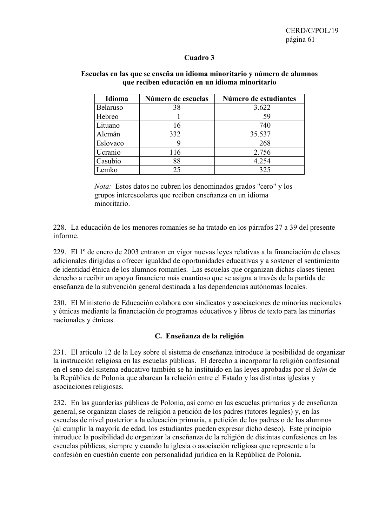#### **Cuadro 3**

| Idioma   | Número de escuelas | Número de estudiantes |
|----------|--------------------|-----------------------|
| Belaruso | 38                 | 3.622                 |
| Hebreo   |                    | 59                    |
| Lituano  | 16                 | 740                   |
| Alemán   | 332                | 35.537                |
| Eslovaco |                    | 268                   |
| Ucranio  | 116                | 2.756                 |
| Casubio  | 88                 | 4.254                 |
| emko     | 25                 | 325                   |

#### **Escuelas en las que se enseña un idioma minoritario y número de alumnos que reciben educación en un idioma minoritario**

*Nota:* Estos datos no cubren los denominados grados "cero" y los grupos interescolares que reciben enseñanza en un idioma minoritario.

228. La educación de los menores romaníes se ha tratado en los párrafos 27 a 39 del presente informe.

229. El 1º de enero de 2003 entraron en vigor nuevas leyes relativas a la financiación de clases adicionales dirigidas a ofrecer igualdad de oportunidades educativas y a sostener el sentimiento de identidad étnica de los alumnos romaníes. Las escuelas que organizan dichas clases tienen derecho a recibir un apoyo financiero más cuantioso que se asigna a través de la partida de enseñanza de la subvención general destinada a las dependencias autónomas locales.

230. El Ministerio de Educación colabora con sindicatos y asociaciones de minorías nacionales y étnicas mediante la financiación de programas educativos y libros de texto para las minorías nacionales y étnicas.

#### **C. Enseñanza de la religión**

231. El artículo 12 de la Ley sobre el sistema de enseñanza introduce la posibilidad de organizar la instrucción religiosa en las escuelas públicas. El derecho a incorporar la religión confesional en el seno del sistema educativo también se ha instituido en las leyes aprobadas por el *Sejm* de la República de Polonia que abarcan la relación entre el Estado y las distintas iglesias y asociaciones religiosas.

232. En las guarderías públicas de Polonia, así como en las escuelas primarias y de enseñanza general, se organizan clases de religión a petición de los padres (tutores legales) y, en las escuelas de nivel posterior a la educación primaria, a petición de los padres o de los alumnos (al cumplir la mayoría de edad, los estudiantes pueden expresar dicho deseo). Este principio introduce la posibilidad de organizar la enseñanza de la religión de distintas confesiones en las escuelas públicas, siempre y cuando la iglesia o asociación religiosa que represente a la confesión en cuestión cuente con personalidad jurídica en la República de Polonia.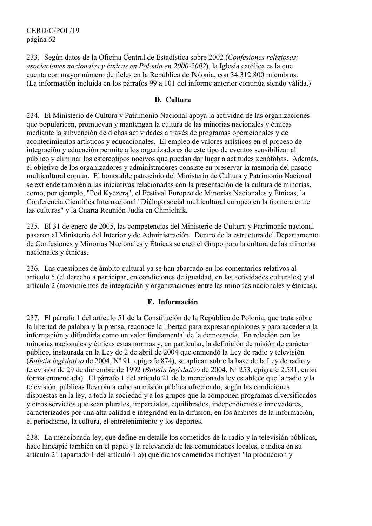233. Según datos de la Oficina Central de Estadística sobre 2002 (*Confesiones religiosas: asociaciones nacionales y étnicas en Polonia en 2000-2002*), la Iglesia católica es la que cuenta con mayor número de fieles en la República de Polonia, con 34.312.800 miembros. (La información incluida en los párrafos 99 a 101 del informe anterior continúa siendo válida.)

#### **D. Cultura**

234. El Ministerio de Cultura y Patrimonio Nacional apoya la actividad de las organizaciones que popularicen, promuevan y mantengan la cultura de las minorías nacionales y étnicas mediante la subvención de dichas actividades a través de programas operacionales y de acontecimientos artísticos y educacionales. El empleo de valores artísticos en el proceso de integración y educación permite a los organizadores de este tipo de eventos sensibilizar al público y eliminar los estereotipos nocivos que puedan dar lugar a actitudes xenófobas. Además, el objetivo de los organizadores y administradores consiste en preservar la memoria del pasado multicultural común. El honorable patrocinio del Ministerio de Cultura y Patrimonio Nacional se extiende también a las iniciativas relacionadas con la presentación de la cultura de minorías, como, por ejemplo, "Pod Kyczerą", el Festival Europeo de Minorías Nacionales y Étnicas, la Conferencia Científica Internacional "Diálogo social multicultural europeo en la frontera entre las culturas" y la Cuarta Reunión Judía en Chmielnik*.*

235. El 31 de enero de 2005, las competencias del Ministerio de Cultura y Patrimonio nacional pasaron al Ministerio del Interior y de Administración. Dentro de la estructura del Departamento de Confesiones y Minorías Nacionales y Étnicas se creó el Grupo para la cultura de las minorías nacionales y étnicas.

236. Las cuestiones de ámbito cultural ya se han abarcado en los comentarios relativos al artículo 5 (el derecho a participar, en condiciones de igualdad, en las actividades culturales) y al artículo 2 (movimientos de integración y organizaciones entre las minorías nacionales y étnicas).

## **E. Información**

237. El párrafo 1 del artículo 51 de la Constitución de la República de Polonia, que trata sobre la libertad de palabra y la prensa, reconoce la libertad para expresar opiniones y para acceder a la información y difundirla como un valor fundamental de la democracia. En relación con las minorías nacionales y étnicas estas normas y, en particular, la definición de misión de carácter público, instaurada en la Ley de 2 de abril de 2004 que enmendó la Ley de radio y televisión (*Boletín legislativo* de 2004, Nº 91, epígrafe 874), se aplican sobre la base de la Ley de radio y televisión de 29 de diciembre de 1992 (*Boletín legislativo* de 2004, Nº 253, epígrafe 2.531, en su forma enmendada). El párrafo 1 del artículo 21 de la mencionada ley establece que la radio y la televisión, públicas llevarán a cabo su misión pública ofreciendo, según las condiciones dispuestas en la ley, a toda la sociedad y a los grupos que la componen programas diversificados y otros servicios que sean plurales, imparciales, equilibrados, independientes e innovadores, caracterizados por una alta calidad e integridad en la difusión, en los ámbitos de la información, el periodismo, la cultura, el entretenimiento y los deportes.

238. La mencionada ley, que define en detalle los cometidos de la radio y la televisión públicas, hace hincapié también en el papel y la relevancia de las comunidades locales, e indica en su artículo 21 (apartado 1 del artículo 1 a)) que dichos cometidos incluyen "la producción y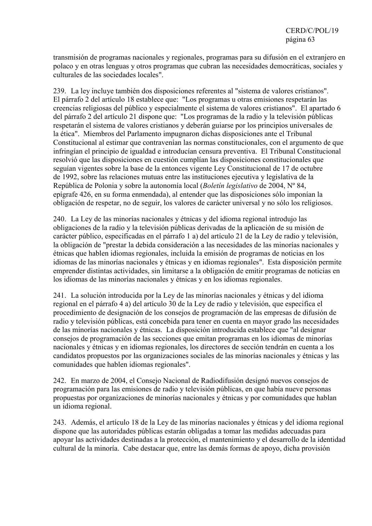transmisión de programas nacionales y regionales, programas para su difusión en el extranjero en polaco y en otras lenguas y otros programas que cubran las necesidades democráticas, sociales y culturales de las sociedades locales".

239. La ley incluye también dos disposiciones referentes al "sistema de valores cristianos". El párrafo 2 del artículo 18 establece que: "Los programas u otras emisiones respetarán las creencias religiosas del público y especialmente el sistema de valores cristianos". El apartado 6 del párrafo 2 del artículo 21 dispone que: "Los programas de la radio y la televisión públicas respetarán el sistema de valores cristianos y deberán guiarse por los principios universales de la ética". Miembros del Parlamento impugnaron dichas disposiciones ante el Tribunal Constitucional al estimar que contravenían las normas constitucionales, con el argumento de que infringían el principio de igualdad e introducían censura preventiva. El Tribunal Constitucional resolvió que las disposiciones en cuestión cumplían las disposiciones constitucionales que seguían vigentes sobre la base de la entonces vigente Ley Constitucional de 17 de octubre de 1992, sobre las relaciones mutuas entre las instituciones ejecutiva y legislativa de la República de Polonia y sobre la autonomía local (*Boletín legislativo* de 2004, Nº 84, epígrafe 426, en su forma enmendada), al entender que las disposiciones sólo imponían la obligación de respetar, no de seguir, los valores de carácter universal y no sólo los religiosos.

240. La Ley de las minorías nacionales y étnicas y del idioma regional introdujo las obligaciones de la radio y la televisión públicas derivadas de la aplicación de su misión de carácter público, especificadas en el párrafo 1 a) del artículo 21 de la Ley de radio y televisión, la obligación de "prestar la debida consideración a las necesidades de las minorías nacionales y étnicas que hablen idiomas regionales, incluida la emisión de programas de noticias en los idiomas de las minorías nacionales y étnicas y en idiomas regionales". Esta disposición permite emprender distintas actividades, sin limitarse a la obligación de emitir programas de noticias en los idiomas de las minorías nacionales y étnicas y en los idiomas regionales.

241. La solución introducida por la Ley de las minorías nacionales y étnicas y del idioma regional en el párrafo 4 a) del artículo 30 de la Ley de radio y televisión, que especifica el procedimiento de designación de los consejos de programación de las empresas de difusión de radio y televisión públicas, está concebida para tener en cuenta en mayor grado las necesidades de las minorías nacionales y étnicas. La disposición introducida establece que "al designar consejos de programación de las secciones que emitan programas en los idiomas de minorías nacionales y étnicas y en idiomas regionales, los directores de sección tendrán en cuenta a los candidatos propuestos por las organizaciones sociales de las minorías nacionales y étnicas y las comunidades que hablen idiomas regionales".

242. En marzo de 2004, el Consejo Nacional de Radiodifusión designó nuevos consejos de programación para las emisiones de radio y televisión públicas, en que había nueve personas propuestas por organizaciones de minorías nacionales y étnicas y por comunidades que hablan un idioma regional.

243. Además, el artículo 18 de la Ley de las minorías nacionales y étnicas y del idioma regional dispone que las autoridades públicas estarán obligadas a tomar las medidas adecuadas para apoyar las actividades destinadas a la protección, el mantenimiento y el desarrollo de la identidad cultural de la minoría. Cabe destacar que, entre las demás formas de apoyo, dicha provisión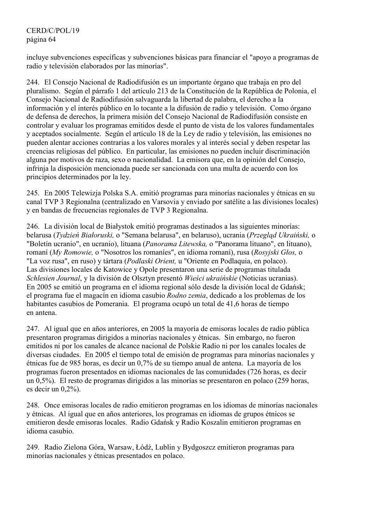# CERD/C/POL/19 página 64

incluye subvenciones específicas y subvenciones básicas para financiar el "apoyo a programas de radio y televisión elaborados por las minorías".

244. El Consejo Nacional de Radiodifusión es un importante órgano que trabaja en pro del pluralismo. Según el párrafo 1 del artículo 213 de la Constitución de la República de Polonia, el Consejo Nacional de Radiodifusión salvaguarda la libertad de palabra, el derecho a la información y el interés público en lo tocante a la difusión de radio y televisión. Como órgano de defensa de derechos, la primera misión del Consejo Nacional de Radiodifusión consiste en controlar y evaluar los programas emitidos desde el punto de vista de los valores fundamentales y aceptados socialmente. Según el artículo 18 de la Ley de radio y televisión, las emisiones no pueden alentar acciones contrarias a los valores morales y al interés social y deben respetar las creencias religiosas del público. En particular, las emisiones no pueden incluir discriminación alguna por motivos de raza, sexo o nacionalidad. La emisora que, en la opinión del Consejo, infrinja la disposición mencionada puede ser sancionada con una multa de acuerdo con los principios determinados por la ley.

245. En 2005 Telewizja Polska S.A. emitió programas para minorías nacionales y étnicas en su canal TVP 3 Regionalna (centralizado en Varsovia y enviado por satélite a las divisiones locales) y en bandas de frecuencias regionales de TVP 3 Regionalna.

246. La división local de Białystok emitió programas destinados a las siguientes minorías: belarusa (*Tydzień Białoruski,* o "Semana belarusa", en belaruso), ucrania (*Przegląd Ukraiński,* o "Boletín ucranio", en ucranio), lituana (*Panorama Litewska,* o "Panorama lituano", en lituano), romaní (*My Romowie,* o "Nosotros los romaníes", en idioma romaní), rusa (*Rosyjski Głos,* o "La voz rusa", en ruso) y tártara (*Podlaski Orient,* u "Oriente en Podlaquia, en polaco). Las divisiones locales de Katowice y Opole presentaron una serie de programas titulada *Schlesien Journal*, y la división de Olsztyn presentó *Wieści ukraińskie* (Noticias ucranias). En 2005 se emitió un programa en el idioma regional sólo desde la división local de Gdańsk; el programa fue el magacín en idioma casubio *Rodno zemia*, dedicado a los problemas de los habitantes casubios de Pomerania. El programa ocupó un total de 41,6 horas de tiempo en antena.

247. Al igual que en años anteriores, en 2005 la mayoría de emisoras locales de radio pública presentaron programas dirigidos a minorías nacionales y étnicas. Sin embargo, no fueron emitidos ni por los canales de alcance nacional de Polskie Radio ni por los canales locales de diversas ciudades. En 2005 el tiempo total de emisión de programas para minorías nacionales y étnicas fue de 985 horas, es decir un 0,7% de su tiempo anual de antena. La mayoría de los programas fueron presentados en idiomas nacionales de las comunidades (726 horas, es decir un 0,5%). El resto de programas dirigidos a las minorías se presentaron en polaco (259 horas, es decir un 0,2%).

248. Once emisoras locales de radio emitieron programas en los idiomas de minorías nacionales y étnicas. Al igual que en años anteriores, los programas en idiomas de grupos étnicos se emitieron desde emisoras locales. Radio Gdańsk y Radio Koszalin emitieron programas en idioma casubio.

249. Radio Zielona Góra, Warsaw, Łódź, Lublin y Bydgoszcz emitieron programas para minorías nacionales y étnicas presentados en polaco.